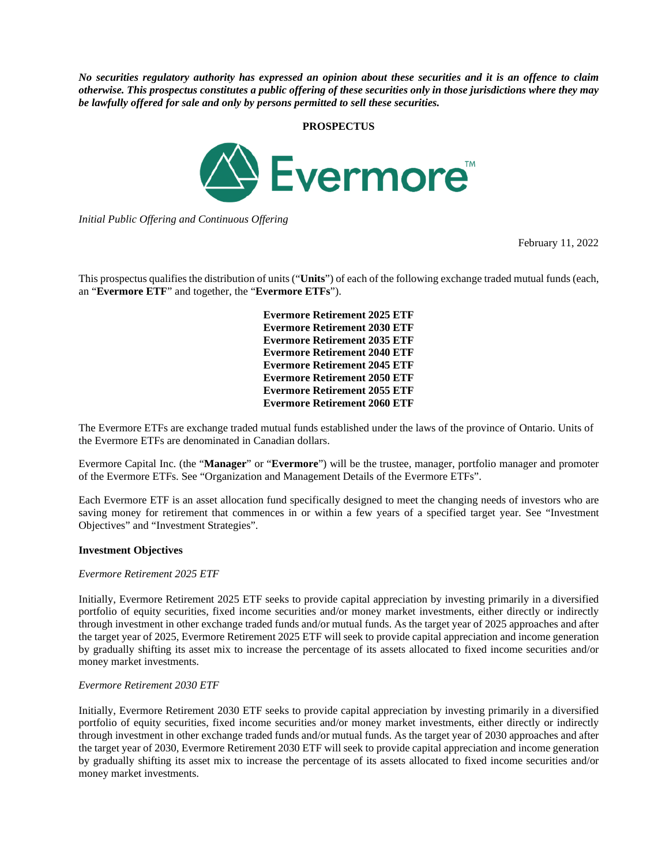*No securities regulatory authority has expressed an opinion about these securities and it is an offence to claim otherwise. This prospectus constitutes a public offering of these securities only in those jurisdictions where they may be lawfully offered for sale and only by persons permitted to sell these securities.* 

#### **PROSPECTUS**



*Initial Public Offering and Continuous Offering* 

February 11, 2022

This prospectus qualifies the distribution of units ("**Units**") of each of the following exchange traded mutual funds (each, an "**Evermore ETF**" and together, the "**Evermore ETFs**").

> **Evermore Retirement 2025 ETF Evermore Retirement 2030 ETF Evermore Retirement 2035 ETF Evermore Retirement 2040 ETF Evermore Retirement 2045 ETF Evermore Retirement 2050 ETF Evermore Retirement 2055 ETF Evermore Retirement 2060 ETF**

The Evermore ETFs are exchange traded mutual funds established under the laws of the province of Ontario. Units of the Evermore ETFs are denominated in Canadian dollars.

Evermore Capital Inc. (the "**Manager**" or "**Evermore**") will be the trustee, manager, portfolio manager and promoter of the Evermore ETFs. See "Organization and Management Details of the Evermore ETFs".

Each Evermore ETF is an asset allocation fund specifically designed to meet the changing needs of investors who are saving money for retirement that commences in or within a few years of a specified target year. See "Investment Objectives" and "Investment Strategies".

### **Investment Objectives**

#### *Evermore Retirement 2025 ETF*

Initially, Evermore Retirement 2025 ETF seeks to provide capital appreciation by investing primarily in a diversified portfolio of equity securities, fixed income securities and/or money market investments, either directly or indirectly through investment in other exchange traded funds and/or mutual funds. As the target year of 2025 approaches and after the target year of 2025, Evermore Retirement 2025 ETF will seek to provide capital appreciation and income generation by gradually shifting its asset mix to increase the percentage of its assets allocated to fixed income securities and/or money market investments.

### *Evermore Retirement 2030 ETF*

Initially, Evermore Retirement 2030 ETF seeks to provide capital appreciation by investing primarily in a diversified portfolio of equity securities, fixed income securities and/or money market investments, either directly or indirectly through investment in other exchange traded funds and/or mutual funds. As the target year of 2030 approaches and after the target year of 2030, Evermore Retirement 2030 ETF will seek to provide capital appreciation and income generation by gradually shifting its asset mix to increase the percentage of its assets allocated to fixed income securities and/or money market investments.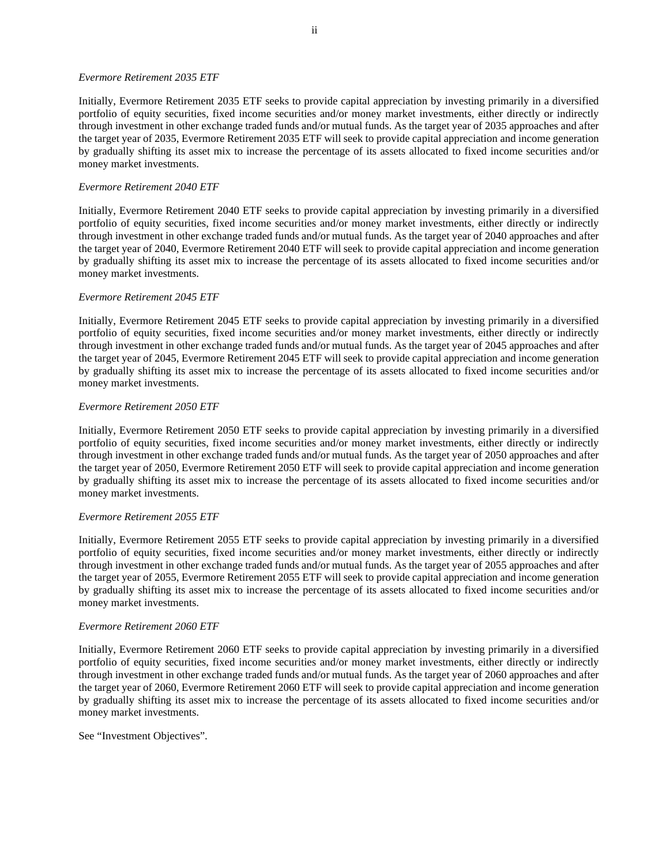#### *Evermore Retirement 2035 ETF*

Initially, Evermore Retirement 2035 ETF seeks to provide capital appreciation by investing primarily in a diversified portfolio of equity securities, fixed income securities and/or money market investments, either directly or indirectly through investment in other exchange traded funds and/or mutual funds. As the target year of 2035 approaches and after the target year of 2035, Evermore Retirement 2035 ETF will seek to provide capital appreciation and income generation by gradually shifting its asset mix to increase the percentage of its assets allocated to fixed income securities and/or money market investments.

#### *Evermore Retirement 2040 ETF*

Initially, Evermore Retirement 2040 ETF seeks to provide capital appreciation by investing primarily in a diversified portfolio of equity securities, fixed income securities and/or money market investments, either directly or indirectly through investment in other exchange traded funds and/or mutual funds. As the target year of 2040 approaches and after the target year of 2040, Evermore Retirement 2040 ETF will seek to provide capital appreciation and income generation by gradually shifting its asset mix to increase the percentage of its assets allocated to fixed income securities and/or money market investments.

#### *Evermore Retirement 2045 ETF*

Initially, Evermore Retirement 2045 ETF seeks to provide capital appreciation by investing primarily in a diversified portfolio of equity securities, fixed income securities and/or money market investments, either directly or indirectly through investment in other exchange traded funds and/or mutual funds. As the target year of 2045 approaches and after the target year of 2045, Evermore Retirement 2045 ETF will seek to provide capital appreciation and income generation by gradually shifting its asset mix to increase the percentage of its assets allocated to fixed income securities and/or money market investments.

#### *Evermore Retirement 2050 ETF*

Initially, Evermore Retirement 2050 ETF seeks to provide capital appreciation by investing primarily in a diversified portfolio of equity securities, fixed income securities and/or money market investments, either directly or indirectly through investment in other exchange traded funds and/or mutual funds. As the target year of 2050 approaches and after the target year of 2050, Evermore Retirement 2050 ETF will seek to provide capital appreciation and income generation by gradually shifting its asset mix to increase the percentage of its assets allocated to fixed income securities and/or money market investments.

### *Evermore Retirement 2055 ETF*

Initially, Evermore Retirement 2055 ETF seeks to provide capital appreciation by investing primarily in a diversified portfolio of equity securities, fixed income securities and/or money market investments, either directly or indirectly through investment in other exchange traded funds and/or mutual funds. As the target year of 2055 approaches and after the target year of 2055, Evermore Retirement 2055 ETF will seek to provide capital appreciation and income generation by gradually shifting its asset mix to increase the percentage of its assets allocated to fixed income securities and/or money market investments.

#### *Evermore Retirement 2060 ETF*

Initially, Evermore Retirement 2060 ETF seeks to provide capital appreciation by investing primarily in a diversified portfolio of equity securities, fixed income securities and/or money market investments, either directly or indirectly through investment in other exchange traded funds and/or mutual funds. As the target year of 2060 approaches and after the target year of 2060, Evermore Retirement 2060 ETF will seek to provide capital appreciation and income generation by gradually shifting its asset mix to increase the percentage of its assets allocated to fixed income securities and/or money market investments.

See "Investment Objectives".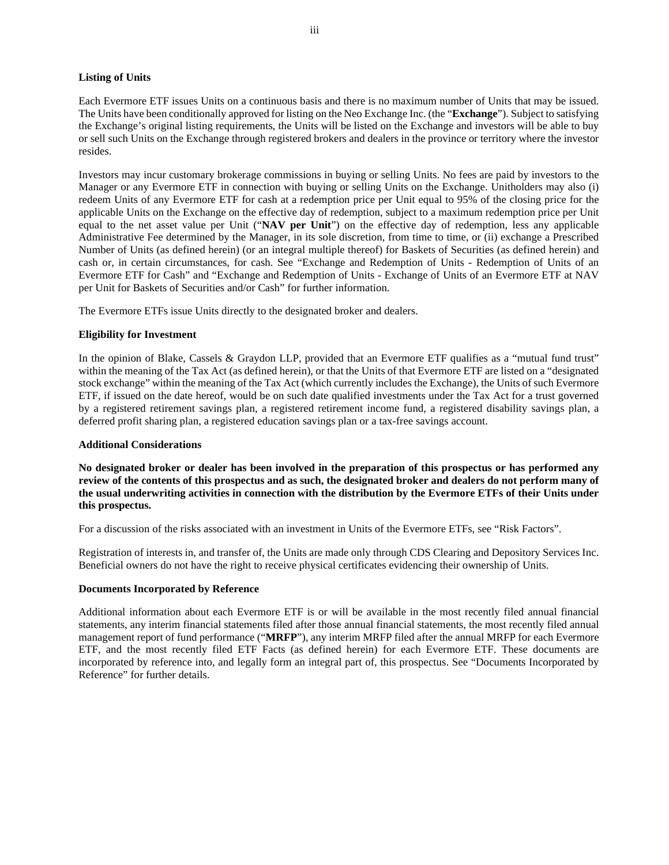### **Listing of Units**

Each Evermore ETF issues Units on a continuous basis and there is no maximum number of Units that may be issued. The Units have been conditionally approved for listing on the Neo Exchange Inc. (the "**Exchange**"). Subject to satisfying the Exchange's original listing requirements, the Units will be listed on the Exchange and investors will be able to buy or sell such Units on the Exchange through registered brokers and dealers in the province or territory where the investor resides.

Investors may incur customary brokerage commissions in buying or selling Units. No fees are paid by investors to the Manager or any Evermore ETF in connection with buying or selling Units on the Exchange. Unitholders may also (i) redeem Units of any Evermore ETF for cash at a redemption price per Unit equal to 95% of the closing price for the applicable Units on the Exchange on the effective day of redemption, subject to a maximum redemption price per Unit equal to the net asset value per Unit ("**NAV per Unit**") on the effective day of redemption, less any applicable Administrative Fee determined by the Manager, in its sole discretion, from time to time, or (ii) exchange a Prescribed Number of Units (as defined herein) (or an integral multiple thereof) for Baskets of Securities (as defined herein) and cash or, in certain circumstances, for cash. See "Exchange and Redemption of Units - Redemption of Units of an Evermore ETF for Cash" and "Exchange and Redemption of Units - Exchange of Units of an Evermore ETF at NAV per Unit for Baskets of Securities and/or Cash" for further information.

The Evermore ETFs issue Units directly to the designated broker and dealers.

### **Eligibility for Investment**

In the opinion of Blake, Cassels & Graydon LLP, provided that an Evermore ETF qualifies as a "mutual fund trust" within the meaning of the Tax Act (as defined herein), or that the Units of that Evermore ETF are listed on a "designated stock exchange" within the meaning of the Tax Act (which currently includes the Exchange), the Units of such Evermore ETF, if issued on the date hereof, would be on such date qualified investments under the Tax Act for a trust governed by a registered retirement savings plan, a registered retirement income fund, a registered disability savings plan, a deferred profit sharing plan, a registered education savings plan or a tax-free savings account.

## **Additional Considerations**

**No designated broker or dealer has been involved in the preparation of this prospectus or has performed any review of the contents of this prospectus and as such, the designated broker and dealers do not perform many of the usual underwriting activities in connection with the distribution by the Evermore ETFs of their Units under this prospectus.**

For a discussion of the risks associated with an investment in Units of the Evermore ETFs, see "Risk Factors".

Registration of interests in, and transfer of, the Units are made only through CDS Clearing and Depository Services Inc. Beneficial owners do not have the right to receive physical certificates evidencing their ownership of Units.

### **Documents Incorporated by Reference**

Additional information about each Evermore ETF is or will be available in the most recently filed annual financial statements, any interim financial statements filed after those annual financial statements, the most recently filed annual management report of fund performance ("**MRFP**"), any interim MRFP filed after the annual MRFP for each Evermore ETF, and the most recently filed ETF Facts (as defined herein) for each Evermore ETF. These documents are incorporated by reference into, and legally form an integral part of, this prospectus. See "Documents Incorporated by Reference" for further details.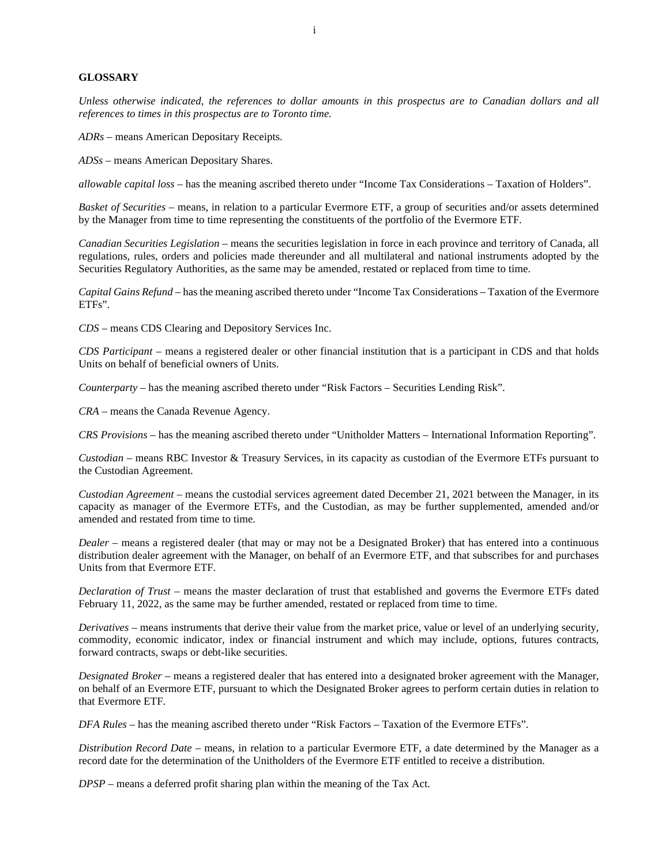#### **GLOSSARY**

*Unless otherwise indicated, the references to dollar amounts in this prospectus are to Canadian dollars and all references to times in this prospectus are to Toronto time.*

*ADRs* – means American Depositary Receipts.

*ADSs* – means American Depositary Shares.

*allowable capital loss* – has the meaning ascribed thereto under "Income Tax Considerations – Taxation of Holders".

*Basket of Securities* – means, in relation to a particular Evermore ETF, a group of securities and/or assets determined by the Manager from time to time representing the constituents of the portfolio of the Evermore ETF.

*Canadian Securities Legislation* – means the securities legislation in force in each province and territory of Canada, all regulations, rules, orders and policies made thereunder and all multilateral and national instruments adopted by the Securities Regulatory Authorities, as the same may be amended, restated or replaced from time to time.

*Capital Gains Refund* – has the meaning ascribed thereto under "Income Tax Considerations – Taxation of the Evermore ETFs".

*CDS* – means CDS Clearing and Depository Services Inc.

*CDS Participant* – means a registered dealer or other financial institution that is a participant in CDS and that holds Units on behalf of beneficial owners of Units.

*Counterparty* – has the meaning ascribed thereto under "Risk Factors – Securities Lending Risk".

*CRA* – means the Canada Revenue Agency.

*CRS Provisions* – has the meaning ascribed thereto under "Unitholder Matters – International Information Reporting".

*Custodian* – means RBC Investor & Treasury Services, in its capacity as custodian of the Evermore ETFs pursuant to the Custodian Agreement.

*Custodian Agreement* – means the custodial services agreement dated December 21, 2021 between the Manager, in its capacity as manager of the Evermore ETFs, and the Custodian, as may be further supplemented, amended and/or amended and restated from time to time.

*Dealer* – means a registered dealer (that may or may not be a Designated Broker) that has entered into a continuous distribution dealer agreement with the Manager, on behalf of an Evermore ETF, and that subscribes for and purchases Units from that Evermore ETF.

*Declaration of Trust* – means the master declaration of trust that established and governs the Evermore ETFs dated February 11, 2022, as the same may be further amended, restated or replaced from time to time.

*Derivatives* – means instruments that derive their value from the market price, value or level of an underlying security, commodity, economic indicator, index or financial instrument and which may include, options, futures contracts, forward contracts, swaps or debt-like securities.

*Designated Broker* – means a registered dealer that has entered into a designated broker agreement with the Manager, on behalf of an Evermore ETF, pursuant to which the Designated Broker agrees to perform certain duties in relation to that Evermore ETF.

*DFA Rules* – has the meaning ascribed thereto under "Risk Factors – Taxation of the Evermore ETFs".

*Distribution Record Date* – means, in relation to a particular Evermore ETF, a date determined by the Manager as a record date for the determination of the Unitholders of the Evermore ETF entitled to receive a distribution.

*DPSP* – means a deferred profit sharing plan within the meaning of the Tax Act.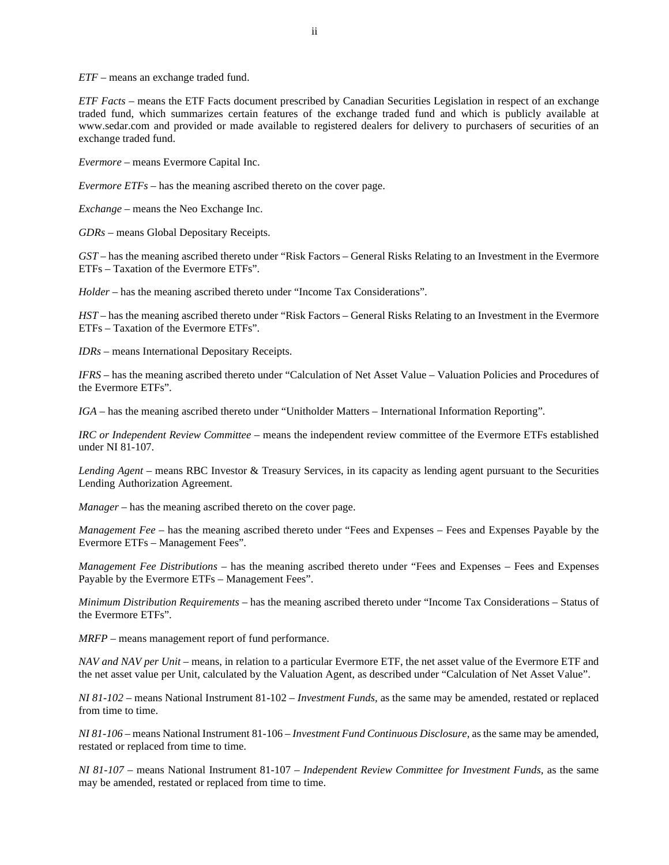*ETF* – means an exchange traded fund.

*ETF Facts* – means the ETF Facts document prescribed by Canadian Securities Legislation in respect of an exchange traded fund, which summarizes certain features of the exchange traded fund and which is publicly available at www.sedar.com and provided or made available to registered dealers for delivery to purchasers of securities of an exchange traded fund.

*Evermore* – means Evermore Capital Inc.

*Evermore ETFs* – has the meaning ascribed thereto on the cover page.

*Exchange* – means the Neo Exchange Inc.

*GDRs* – means Global Depositary Receipts.

*GST* – has the meaning ascribed thereto under "Risk Factors – General Risks Relating to an Investment in the Evermore ETFs – Taxation of the Evermore ETFs".

*Holder* – has the meaning ascribed thereto under "Income Tax Considerations".

*HST* – has the meaning ascribed thereto under "Risk Factors – General Risks Relating to an Investment in the Evermore ETFs – Taxation of the Evermore ETFs".

*IDRs* – means International Depositary Receipts.

*IFRS* – has the meaning ascribed thereto under "Calculation of Net Asset Value – Valuation Policies and Procedures of the Evermore ETFs".

*IGA* – has the meaning ascribed thereto under "Unitholder Matters – International Information Reporting".

*IRC or Independent Review Committee* – means the independent review committee of the Evermore ETFs established under NI 81-107.

*Lending Agent* – means RBC Investor & Treasury Services, in its capacity as lending agent pursuant to the Securities Lending Authorization Agreement.

*Manager* – has the meaning ascribed thereto on the cover page.

*Management Fee* – has the meaning ascribed thereto under "Fees and Expenses – Fees and Expenses Payable by the Evermore ETFs – Management Fees".

*Management Fee Distributions* – has the meaning ascribed thereto under "Fees and Expenses – Fees and Expenses Payable by the Evermore ETFs – Management Fees".

*Minimum Distribution Requirements* – has the meaning ascribed thereto under "Income Tax Considerations – Status of the Evermore ETFs".

*MRFP* – means management report of fund performance.

*NAV and NAV per Unit* – means, in relation to a particular Evermore ETF, the net asset value of the Evermore ETF and the net asset value per Unit, calculated by the Valuation Agent, as described under "Calculation of Net Asset Value".

*NI 81-102* – means National Instrument 81-102 – *Investment Funds*, as the same may be amended, restated or replaced from time to time.

*NI 81-106* – means National Instrument 81-106 – *Investment Fund Continuous Disclosure*, as the same may be amended, restated or replaced from time to time.

*NI 81-107* – means National Instrument 81-107 – *Independent Review Committee for Investment Funds*, as the same may be amended, restated or replaced from time to time.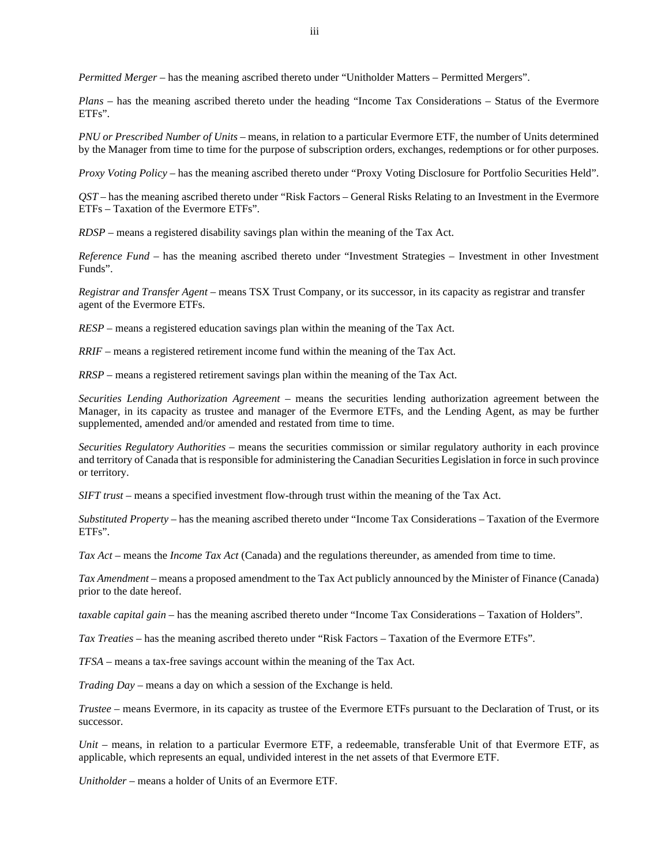*Permitted Merger* – has the meaning ascribed thereto under "Unitholder Matters – Permitted Mergers".

*Plans* – has the meaning ascribed thereto under the heading "Income Tax Considerations – Status of the Evermore ETFs".

*PNU or Prescribed Number of Units* – means, in relation to a particular Evermore ETF, the number of Units determined by the Manager from time to time for the purpose of subscription orders, exchanges, redemptions or for other purposes.

*Proxy Voting Policy* – has the meaning ascribed thereto under "Proxy Voting Disclosure for Portfolio Securities Held".

*QST* – has the meaning ascribed thereto under "Risk Factors – General Risks Relating to an Investment in the Evermore ETFs – Taxation of the Evermore ETFs".

*RDSP* – means a registered disability savings plan within the meaning of the Tax Act.

*Reference Fund* – has the meaning ascribed thereto under "Investment Strategies – Investment in other Investment Funds".

*Registrar and Transfer Agent* – means TSX Trust Company, or its successor, in its capacity as registrar and transfer agent of the Evermore ETFs.

*RESP* – means a registered education savings plan within the meaning of the Tax Act.

*RRIF* – means a registered retirement income fund within the meaning of the Tax Act.

*RRSP* – means a registered retirement savings plan within the meaning of the Tax Act.

*Securities Lending Authorization Agreement* – means the securities lending authorization agreement between the Manager, in its capacity as trustee and manager of the Evermore ETFs, and the Lending Agent, as may be further supplemented, amended and/or amended and restated from time to time.

*Securities Regulatory Authorities* – means the securities commission or similar regulatory authority in each province and territory of Canada that is responsible for administering the Canadian Securities Legislation in force in such province or territory.

*SIFT trust* – means a specified investment flow-through trust within the meaning of the Tax Act.

*Substituted Property* – has the meaning ascribed thereto under "Income Tax Considerations – Taxation of the Evermore ETFs".

*Tax Act* – means the *Income Tax Act* (Canada) and the regulations thereunder, as amended from time to time.

*Tax Amendment* – means a proposed amendment to the Tax Act publicly announced by the Minister of Finance (Canada) prior to the date hereof.

*taxable capital gain* – has the meaning ascribed thereto under "Income Tax Considerations – Taxation of Holders".

*Tax Treaties* – has the meaning ascribed thereto under "Risk Factors – Taxation of the Evermore ETFs".

*TFSA* – means a tax-free savings account within the meaning of the Tax Act.

*Trading Day* – means a day on which a session of the Exchange is held.

*Trustee* – means Evermore, in its capacity as trustee of the Evermore ETFs pursuant to the Declaration of Trust, or its successor.

*Unit* – means, in relation to a particular Evermore ETF, a redeemable, transferable Unit of that Evermore ETF, as applicable, which represents an equal, undivided interest in the net assets of that Evermore ETF.

*Unitholder* – means a holder of Units of an Evermore ETF.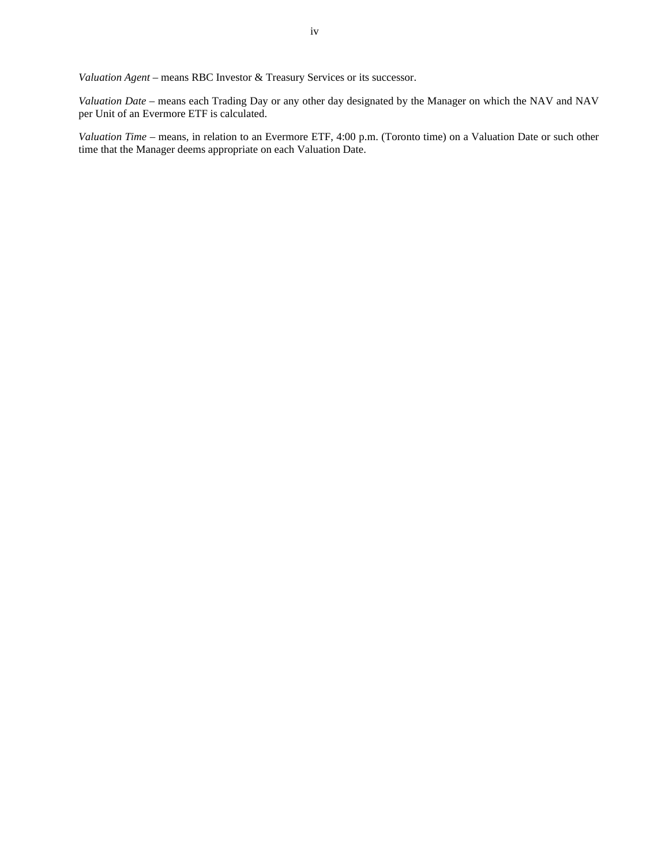*Valuation Date* – means each Trading Day or any other day designated by the Manager on which the NAV and NAV per Unit of an Evermore ETF is calculated.

*Valuation Time* – means, in relation to an Evermore ETF, 4:00 p.m. (Toronto time) on a Valuation Date or such other time that the Manager deems appropriate on each Valuation Date.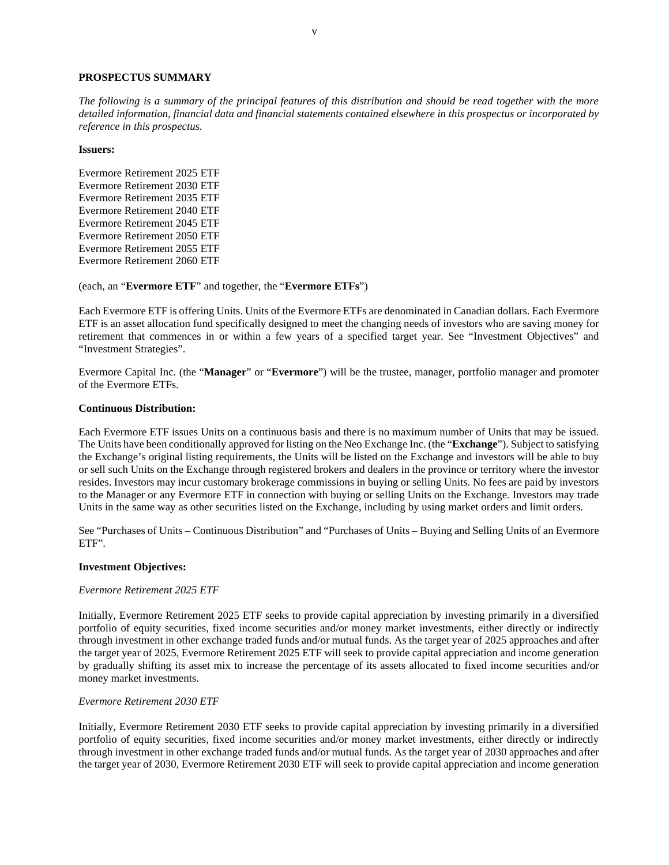## **PROSPECTUS SUMMARY**

*The following is a summary of the principal features of this distribution and should be read together with the more detailed information, financial data and financial statements contained elsewhere in this prospectus or incorporated by reference in this prospectus.* 

v

### **Issuers:**

Evermore Retirement 2025 ETF Evermore Retirement 2030 ETF Evermore Retirement 2035 ETF Evermore Retirement 2040 ETF Evermore Retirement 2045 ETF Evermore Retirement 2050 ETF Evermore Retirement 2055 ETF Evermore Retirement 2060 ETF

(each, an "**Evermore ETF**" and together, the "**Evermore ETFs**")

Each Evermore ETF is offering Units. Units of the Evermore ETFs are denominated in Canadian dollars. Each Evermore ETF is an asset allocation fund specifically designed to meet the changing needs of investors who are saving money for retirement that commences in or within a few years of a specified target year. See "Investment Objectives" and "Investment Strategies".

Evermore Capital Inc. (the "**Manager**" or "**Evermore**") will be the trustee, manager, portfolio manager and promoter of the Evermore ETFs.

#### **Continuous Distribution:**

Each Evermore ETF issues Units on a continuous basis and there is no maximum number of Units that may be issued. The Units have been conditionally approved for listing on the Neo Exchange Inc. (the "**Exchange**"). Subject to satisfying the Exchange's original listing requirements, the Units will be listed on the Exchange and investors will be able to buy or sell such Units on the Exchange through registered brokers and dealers in the province or territory where the investor resides. Investors may incur customary brokerage commissions in buying or selling Units. No fees are paid by investors to the Manager or any Evermore ETF in connection with buying or selling Units on the Exchange. Investors may trade Units in the same way as other securities listed on the Exchange, including by using market orders and limit orders.

See "Purchases of Units – Continuous Distribution" and "Purchases of Units – Buying and Selling Units of an Evermore ETF".

## **Investment Objectives:**

### *Evermore Retirement 2025 ETF*

Initially, Evermore Retirement 2025 ETF seeks to provide capital appreciation by investing primarily in a diversified portfolio of equity securities, fixed income securities and/or money market investments, either directly or indirectly through investment in other exchange traded funds and/or mutual funds. As the target year of 2025 approaches and after the target year of 2025, Evermore Retirement 2025 ETF will seek to provide capital appreciation and income generation by gradually shifting its asset mix to increase the percentage of its assets allocated to fixed income securities and/or money market investments.

## *Evermore Retirement 2030 ETF*

Initially, Evermore Retirement 2030 ETF seeks to provide capital appreciation by investing primarily in a diversified portfolio of equity securities, fixed income securities and/or money market investments, either directly or indirectly through investment in other exchange traded funds and/or mutual funds. As the target year of 2030 approaches and after the target year of 2030, Evermore Retirement 2030 ETF will seek to provide capital appreciation and income generation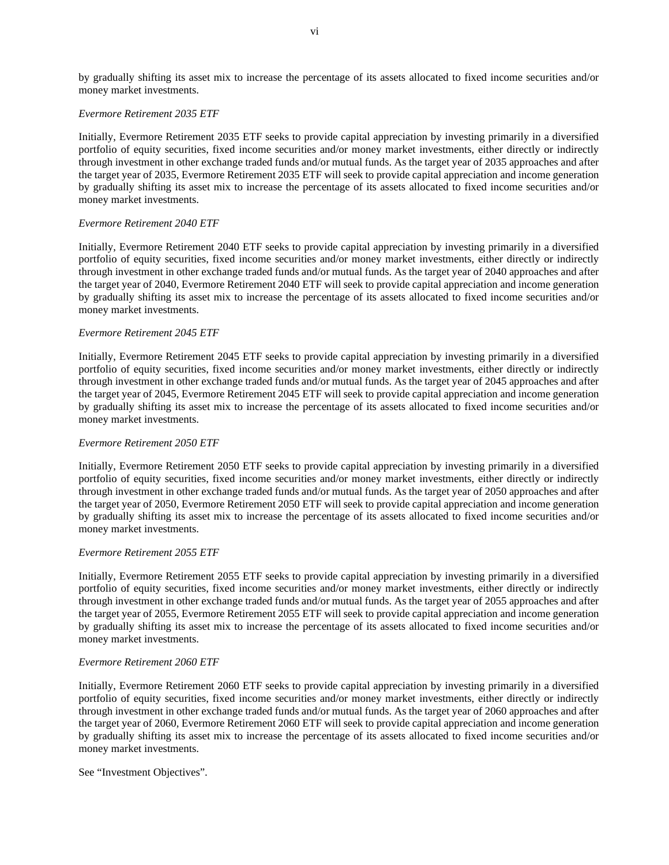by gradually shifting its asset mix to increase the percentage of its assets allocated to fixed income securities and/or money market investments.

#### *Evermore Retirement 2035 ETF*

Initially, Evermore Retirement 2035 ETF seeks to provide capital appreciation by investing primarily in a diversified portfolio of equity securities, fixed income securities and/or money market investments, either directly or indirectly through investment in other exchange traded funds and/or mutual funds. As the target year of 2035 approaches and after the target year of 2035, Evermore Retirement 2035 ETF will seek to provide capital appreciation and income generation by gradually shifting its asset mix to increase the percentage of its assets allocated to fixed income securities and/or money market investments.

#### *Evermore Retirement 2040 ETF*

Initially, Evermore Retirement 2040 ETF seeks to provide capital appreciation by investing primarily in a diversified portfolio of equity securities, fixed income securities and/or money market investments, either directly or indirectly through investment in other exchange traded funds and/or mutual funds. As the target year of 2040 approaches and after the target year of 2040, Evermore Retirement 2040 ETF will seek to provide capital appreciation and income generation by gradually shifting its asset mix to increase the percentage of its assets allocated to fixed income securities and/or money market investments.

#### *Evermore Retirement 2045 ETF*

Initially, Evermore Retirement 2045 ETF seeks to provide capital appreciation by investing primarily in a diversified portfolio of equity securities, fixed income securities and/or money market investments, either directly or indirectly through investment in other exchange traded funds and/or mutual funds. As the target year of 2045 approaches and after the target year of 2045, Evermore Retirement 2045 ETF will seek to provide capital appreciation and income generation by gradually shifting its asset mix to increase the percentage of its assets allocated to fixed income securities and/or money market investments.

#### *Evermore Retirement 2050 ETF*

Initially, Evermore Retirement 2050 ETF seeks to provide capital appreciation by investing primarily in a diversified portfolio of equity securities, fixed income securities and/or money market investments, either directly or indirectly through investment in other exchange traded funds and/or mutual funds. As the target year of 2050 approaches and after the target year of 2050, Evermore Retirement 2050 ETF will seek to provide capital appreciation and income generation by gradually shifting its asset mix to increase the percentage of its assets allocated to fixed income securities and/or money market investments.

#### *Evermore Retirement 2055 ETF*

Initially, Evermore Retirement 2055 ETF seeks to provide capital appreciation by investing primarily in a diversified portfolio of equity securities, fixed income securities and/or money market investments, either directly or indirectly through investment in other exchange traded funds and/or mutual funds. As the target year of 2055 approaches and after the target year of 2055, Evermore Retirement 2055 ETF will seek to provide capital appreciation and income generation by gradually shifting its asset mix to increase the percentage of its assets allocated to fixed income securities and/or money market investments.

#### *Evermore Retirement 2060 ETF*

Initially, Evermore Retirement 2060 ETF seeks to provide capital appreciation by investing primarily in a diversified portfolio of equity securities, fixed income securities and/or money market investments, either directly or indirectly through investment in other exchange traded funds and/or mutual funds. As the target year of 2060 approaches and after the target year of 2060, Evermore Retirement 2060 ETF will seek to provide capital appreciation and income generation by gradually shifting its asset mix to increase the percentage of its assets allocated to fixed income securities and/or money market investments.

See "Investment Objectives".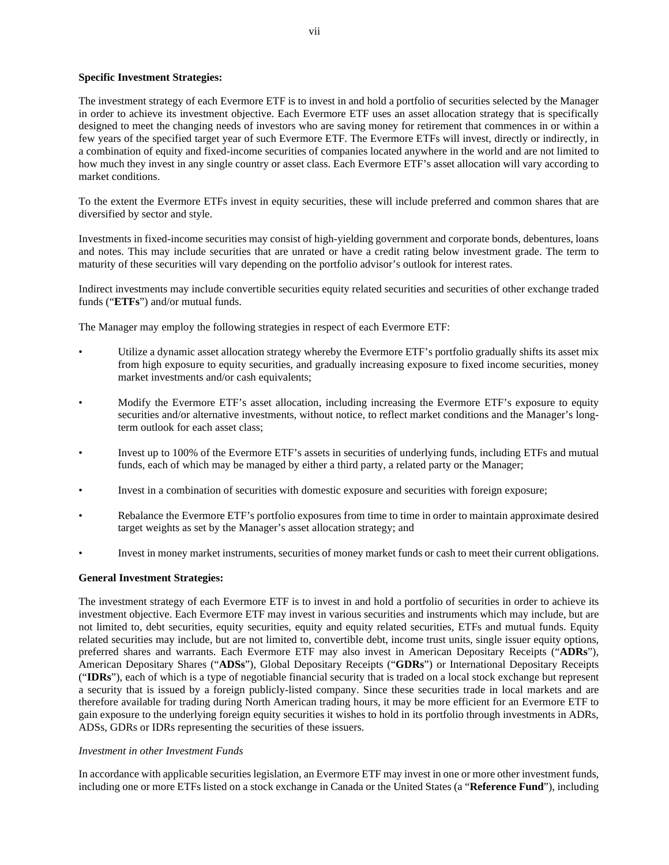## **Specific Investment Strategies:**

The investment strategy of each Evermore ETF is to invest in and hold a portfolio of securities selected by the Manager in order to achieve its investment objective. Each Evermore ETF uses an asset allocation strategy that is specifically designed to meet the changing needs of investors who are saving money for retirement that commences in or within a few years of the specified target year of such Evermore ETF. The Evermore ETFs will invest, directly or indirectly, in a combination of equity and fixed-income securities of companies located anywhere in the world and are not limited to how much they invest in any single country or asset class. Each Evermore ETF's asset allocation will vary according to market conditions.

To the extent the Evermore ETFs invest in equity securities, these will include preferred and common shares that are diversified by sector and style.

Investments in fixed-income securities may consist of high-yielding government and corporate bonds, debentures, loans and notes. This may include securities that are unrated or have a credit rating below investment grade. The term to maturity of these securities will vary depending on the portfolio advisor's outlook for interest rates.

Indirect investments may include convertible securities equity related securities and securities of other exchange traded funds ("**ETFs**") and/or mutual funds.

The Manager may employ the following strategies in respect of each Evermore ETF:

- Utilize a dynamic asset allocation strategy whereby the Evermore ETF's portfolio gradually shifts its asset mix from high exposure to equity securities, and gradually increasing exposure to fixed income securities, money market investments and/or cash equivalents;
- Modify the Evermore ETF's asset allocation, including increasing the Evermore ETF's exposure to equity securities and/or alternative investments, without notice, to reflect market conditions and the Manager's longterm outlook for each asset class;
- Invest up to 100% of the Evermore ETF's assets in securities of underlying funds, including ETFs and mutual funds, each of which may be managed by either a third party, a related party or the Manager;
- Invest in a combination of securities with domestic exposure and securities with foreign exposure;
- Rebalance the Evermore ETF's portfolio exposures from time to time in order to maintain approximate desired target weights as set by the Manager's asset allocation strategy; and
- Invest in money market instruments, securities of money market funds or cash to meet their current obligations.

### **General Investment Strategies:**

The investment strategy of each Evermore ETF is to invest in and hold a portfolio of securities in order to achieve its investment objective. Each Evermore ETF may invest in various securities and instruments which may include, but are not limited to, debt securities, equity securities, equity and equity related securities, ETFs and mutual funds. Equity related securities may include, but are not limited to, convertible debt, income trust units, single issuer equity options, preferred shares and warrants. Each Evermore ETF may also invest in American Depositary Receipts ("**ADRs**"), American Depositary Shares ("**ADSs**"), Global Depositary Receipts ("**GDRs**") or International Depositary Receipts ("**IDRs**"), each of which is a type of negotiable financial security that is traded on a local stock exchange but represent a security that is issued by a foreign publicly-listed company. Since these securities trade in local markets and are therefore available for trading during North American trading hours, it may be more efficient for an Evermore ETF to gain exposure to the underlying foreign equity securities it wishes to hold in its portfolio through investments in ADRs, ADSs, GDRs or IDRs representing the securities of these issuers.

## *Investment in other Investment Funds*

In accordance with applicable securities legislation, an Evermore ETF may invest in one or more other investment funds, including one or more ETFs listed on a stock exchange in Canada or the United States (a "**Reference Fund**"), including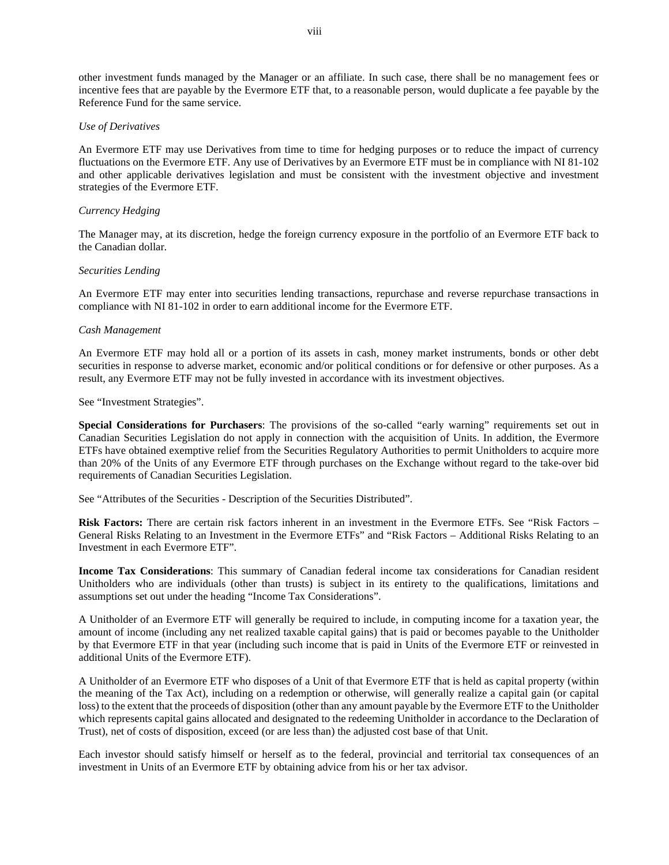other investment funds managed by the Manager or an affiliate. In such case, there shall be no management fees or incentive fees that are payable by the Evermore ETF that, to a reasonable person, would duplicate a fee payable by the Reference Fund for the same service.

#### *Use of Derivatives*

An Evermore ETF may use Derivatives from time to time for hedging purposes or to reduce the impact of currency fluctuations on the Evermore ETF. Any use of Derivatives by an Evermore ETF must be in compliance with NI 81-102 and other applicable derivatives legislation and must be consistent with the investment objective and investment strategies of the Evermore ETF.

## *Currency Hedging*

The Manager may, at its discretion, hedge the foreign currency exposure in the portfolio of an Evermore ETF back to the Canadian dollar.

#### *Securities Lending*

An Evermore ETF may enter into securities lending transactions, repurchase and reverse repurchase transactions in compliance with NI 81-102 in order to earn additional income for the Evermore ETF.

### *Cash Management*

An Evermore ETF may hold all or a portion of its assets in cash, money market instruments, bonds or other debt securities in response to adverse market, economic and/or political conditions or for defensive or other purposes. As a result, any Evermore ETF may not be fully invested in accordance with its investment objectives.

### See "Investment Strategies".

**Special Considerations for Purchasers**: The provisions of the so-called "early warning" requirements set out in Canadian Securities Legislation do not apply in connection with the acquisition of Units. In addition, the Evermore ETFs have obtained exemptive relief from the Securities Regulatory Authorities to permit Unitholders to acquire more than 20% of the Units of any Evermore ETF through purchases on the Exchange without regard to the take-over bid requirements of Canadian Securities Legislation.

See "Attributes of the Securities - Description of the Securities Distributed".

**Risk Factors:** There are certain risk factors inherent in an investment in the Evermore ETFs. See "Risk Factors – General Risks Relating to an Investment in the Evermore ETFs" and "Risk Factors – Additional Risks Relating to an Investment in each Evermore ETF".

**Income Tax Considerations**: This summary of Canadian federal income tax considerations for Canadian resident Unitholders who are individuals (other than trusts) is subject in its entirety to the qualifications, limitations and assumptions set out under the heading "Income Tax Considerations".

A Unitholder of an Evermore ETF will generally be required to include, in computing income for a taxation year, the amount of income (including any net realized taxable capital gains) that is paid or becomes payable to the Unitholder by that Evermore ETF in that year (including such income that is paid in Units of the Evermore ETF or reinvested in additional Units of the Evermore ETF).

A Unitholder of an Evermore ETF who disposes of a Unit of that Evermore ETF that is held as capital property (within the meaning of the Tax Act), including on a redemption or otherwise, will generally realize a capital gain (or capital loss) to the extent that the proceeds of disposition (other than any amount payable by the Evermore ETF to the Unitholder which represents capital gains allocated and designated to the redeeming Unitholder in accordance to the Declaration of Trust), net of costs of disposition, exceed (or are less than) the adjusted cost base of that Unit.

Each investor should satisfy himself or herself as to the federal, provincial and territorial tax consequences of an investment in Units of an Evermore ETF by obtaining advice from his or her tax advisor.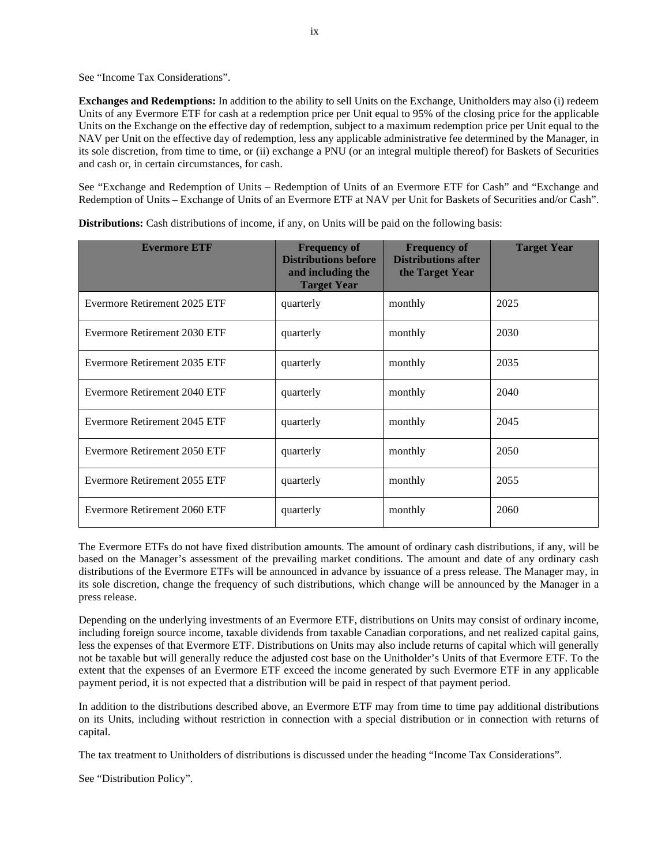See "Income Tax Considerations".

**Exchanges and Redemptions:** In addition to the ability to sell Units on the Exchange, Unitholders may also (i) redeem Units of any Evermore ETF for cash at a redemption price per Unit equal to 95% of the closing price for the applicable Units on the Exchange on the effective day of redemption, subject to a maximum redemption price per Unit equal to the NAV per Unit on the effective day of redemption, less any applicable administrative fee determined by the Manager, in its sole discretion, from time to time, or (ii) exchange a PNU (or an integral multiple thereof) for Baskets of Securities and cash or, in certain circumstances, for cash.

See "Exchange and Redemption of Units – Redemption of Units of an Evermore ETF for Cash" and "Exchange and Redemption of Units – Exchange of Units of an Evermore ETF at NAV per Unit for Baskets of Securities and/or Cash".

| <b>Evermore ETF</b>          | <b>Frequency of</b><br><b>Distributions before</b><br>and including the<br><b>Target Year</b> | <b>Frequency of</b><br><b>Distributions after</b><br>the Target Year | <b>Target Year</b> |
|------------------------------|-----------------------------------------------------------------------------------------------|----------------------------------------------------------------------|--------------------|
| Evermore Retirement 2025 ETF | quarterly                                                                                     | monthly                                                              | 2025               |
| Evermore Retirement 2030 ETF | quarterly                                                                                     | monthly                                                              | 2030               |
| Evermore Retirement 2035 ETF | quarterly                                                                                     | monthly                                                              | 2035               |
| Evermore Retirement 2040 ETF | quarterly                                                                                     | monthly                                                              | 2040               |
| Evermore Retirement 2045 ETF | quarterly                                                                                     | monthly                                                              | 2045               |
| Evermore Retirement 2050 ETF | quarterly                                                                                     | monthly                                                              | 2050               |
| Evermore Retirement 2055 ETF | quarterly                                                                                     | monthly                                                              | 2055               |
| Evermore Retirement 2060 ETF | quarterly                                                                                     | monthly                                                              | 2060               |

**Distributions:** Cash distributions of income, if any, on Units will be paid on the following basis:

The Evermore ETFs do not have fixed distribution amounts. The amount of ordinary cash distributions, if any, will be based on the Manager's assessment of the prevailing market conditions. The amount and date of any ordinary cash distributions of the Evermore ETFs will be announced in advance by issuance of a press release. The Manager may, in its sole discretion, change the frequency of such distributions, which change will be announced by the Manager in a press release.

Depending on the underlying investments of an Evermore ETF, distributions on Units may consist of ordinary income, including foreign source income, taxable dividends from taxable Canadian corporations, and net realized capital gains, less the expenses of that Evermore ETF. Distributions on Units may also include returns of capital which will generally not be taxable but will generally reduce the adjusted cost base on the Unitholder's Units of that Evermore ETF. To the extent that the expenses of an Evermore ETF exceed the income generated by such Evermore ETF in any applicable payment period, it is not expected that a distribution will be paid in respect of that payment period.

In addition to the distributions described above, an Evermore ETF may from time to time pay additional distributions on its Units, including without restriction in connection with a special distribution or in connection with returns of capital.

The tax treatment to Unitholders of distributions is discussed under the heading "Income Tax Considerations".

See "Distribution Policy".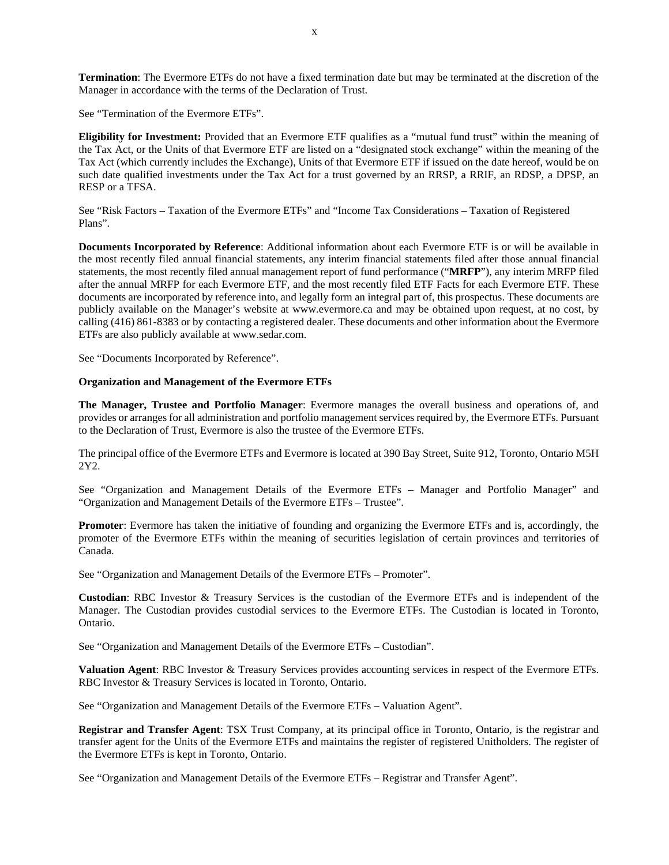**Termination**: The Evermore ETFs do not have a fixed termination date but may be terminated at the discretion of the Manager in accordance with the terms of the Declaration of Trust.

See "Termination of the Evermore ETFs".

**Eligibility for Investment:** Provided that an Evermore ETF qualifies as a "mutual fund trust" within the meaning of the Tax Act, or the Units of that Evermore ETF are listed on a "designated stock exchange" within the meaning of the Tax Act (which currently includes the Exchange), Units of that Evermore ETF if issued on the date hereof, would be on such date qualified investments under the Tax Act for a trust governed by an RRSP, a RRIF, an RDSP, a DPSP, an RESP or a TFSA.

See "Risk Factors – Taxation of the Evermore ETFs" and "Income Tax Considerations – Taxation of Registered Plans".

**Documents Incorporated by Reference**: Additional information about each Evermore ETF is or will be available in the most recently filed annual financial statements, any interim financial statements filed after those annual financial statements, the most recently filed annual management report of fund performance ("**MRFP**"), any interim MRFP filed after the annual MRFP for each Evermore ETF, and the most recently filed ETF Facts for each Evermore ETF. These documents are incorporated by reference into, and legally form an integral part of, this prospectus. These documents are publicly available on the Manager's website at www.evermore.ca and may be obtained upon request, at no cost, by calling (416) 861-8383 or by contacting a registered dealer. These documents and other information about the Evermore ETFs are also publicly available at www.sedar.com.

See "Documents Incorporated by Reference".

#### **Organization and Management of the Evermore ETFs**

**The Manager, Trustee and Portfolio Manager**: Evermore manages the overall business and operations of, and provides or arranges for all administration and portfolio management services required by, the Evermore ETFs. Pursuant to the Declaration of Trust, Evermore is also the trustee of the Evermore ETFs.

The principal office of the Evermore ETFs and Evermore is located at 390 Bay Street, Suite 912, Toronto, Ontario M5H 2Y2.

See "Organization and Management Details of the Evermore ETFs – Manager and Portfolio Manager" and "Organization and Management Details of the Evermore ETFs – Trustee".

**Promoter**: Evermore has taken the initiative of founding and organizing the Evermore ETFs and is, accordingly, the promoter of the Evermore ETFs within the meaning of securities legislation of certain provinces and territories of Canada.

See "Organization and Management Details of the Evermore ETFs – Promoter".

**Custodian**: RBC Investor & Treasury Services is the custodian of the Evermore ETFs and is independent of the Manager. The Custodian provides custodial services to the Evermore ETFs. The Custodian is located in Toronto, Ontario.

See "Organization and Management Details of the Evermore ETFs – Custodian".

**Valuation Agent**: RBC Investor & Treasury Services provides accounting services in respect of the Evermore ETFs. RBC Investor & Treasury Services is located in Toronto, Ontario.

See "Organization and Management Details of the Evermore ETFs – Valuation Agent".

**Registrar and Transfer Agent**: TSX Trust Company, at its principal office in Toronto, Ontario, is the registrar and transfer agent for the Units of the Evermore ETFs and maintains the register of registered Unitholders. The register of the Evermore ETFs is kept in Toronto, Ontario.

See "Organization and Management Details of the Evermore ETFs – Registrar and Transfer Agent".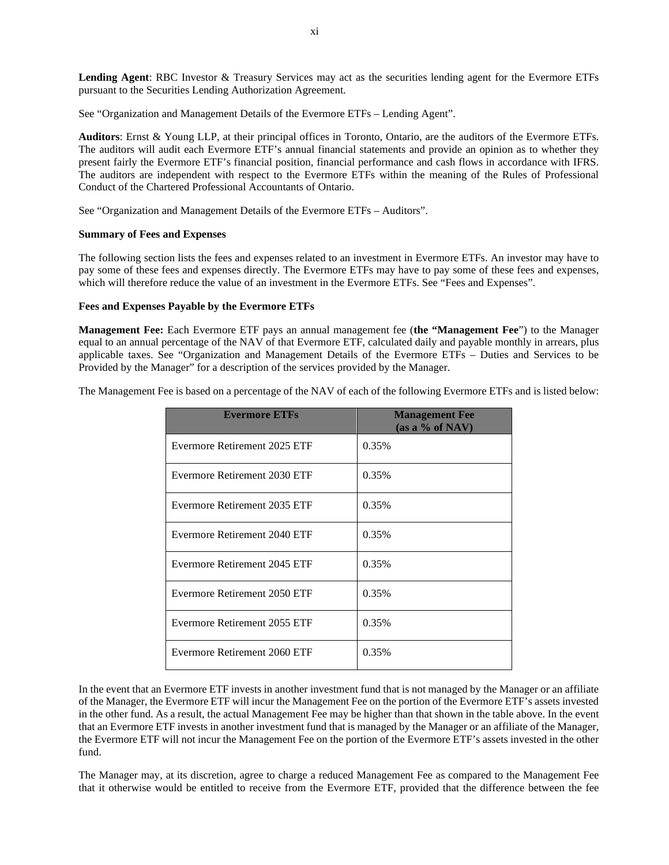**Lending Agent**: RBC Investor & Treasury Services may act as the securities lending agent for the Evermore ETFs pursuant to the Securities Lending Authorization Agreement.

See "Organization and Management Details of the Evermore ETFs – Lending Agent".

**Auditors**: Ernst & Young LLP, at their principal offices in Toronto, Ontario, are the auditors of the Evermore ETFs. The auditors will audit each Evermore ETF's annual financial statements and provide an opinion as to whether they present fairly the Evermore ETF's financial position, financial performance and cash flows in accordance with IFRS. The auditors are independent with respect to the Evermore ETFs within the meaning of the Rules of Professional Conduct of the Chartered Professional Accountants of Ontario.

See "Organization and Management Details of the Evermore ETFs – Auditors".

### **Summary of Fees and Expenses**

The following section lists the fees and expenses related to an investment in Evermore ETFs. An investor may have to pay some of these fees and expenses directly. The Evermore ETFs may have to pay some of these fees and expenses, which will therefore reduce the value of an investment in the Evermore ETFs. See "Fees and Expenses".

### **Fees and Expenses Payable by the Evermore ETFs**

**Management Fee:** Each Evermore ETF pays an annual management fee (**the "Management Fee**") to the Manager equal to an annual percentage of the NAV of that Evermore ETF, calculated daily and payable monthly in arrears, plus applicable taxes. See "Organization and Management Details of the Evermore ETFs – Duties and Services to be Provided by the Manager" for a description of the services provided by the Manager.

The Management Fee is based on a percentage of the NAV of each of the following Evermore ETFs and is listed below:

| <b>Evermore ETFs</b>         | <b>Management Fee</b><br>(as a % of NAV) |
|------------------------------|------------------------------------------|
| Evermore Retirement 2025 ETF | 0.35%                                    |
| Evermore Retirement 2030 ETF | 0.35%                                    |
| Evermore Retirement 2035 ETF | 0.35%                                    |
| Evermore Retirement 2040 ETF | 0.35%                                    |
| Evermore Retirement 2045 ETF | 0.35%                                    |
| Evermore Retirement 2050 ETF | 0.35%                                    |
| Evermore Retirement 2055 ETF | 0.35%                                    |
| Evermore Retirement 2060 ETF | 0.35%                                    |

In the event that an Evermore ETF invests in another investment fund that is not managed by the Manager or an affiliate of the Manager, the Evermore ETF will incur the Management Fee on the portion of the Evermore ETF's assets invested in the other fund. As a result, the actual Management Fee may be higher than that shown in the table above. In the event that an Evermore ETF invests in another investment fund that is managed by the Manager or an affiliate of the Manager, the Evermore ETF will not incur the Management Fee on the portion of the Evermore ETF's assets invested in the other fund.

The Manager may, at its discretion, agree to charge a reduced Management Fee as compared to the Management Fee that it otherwise would be entitled to receive from the Evermore ETF, provided that the difference between the fee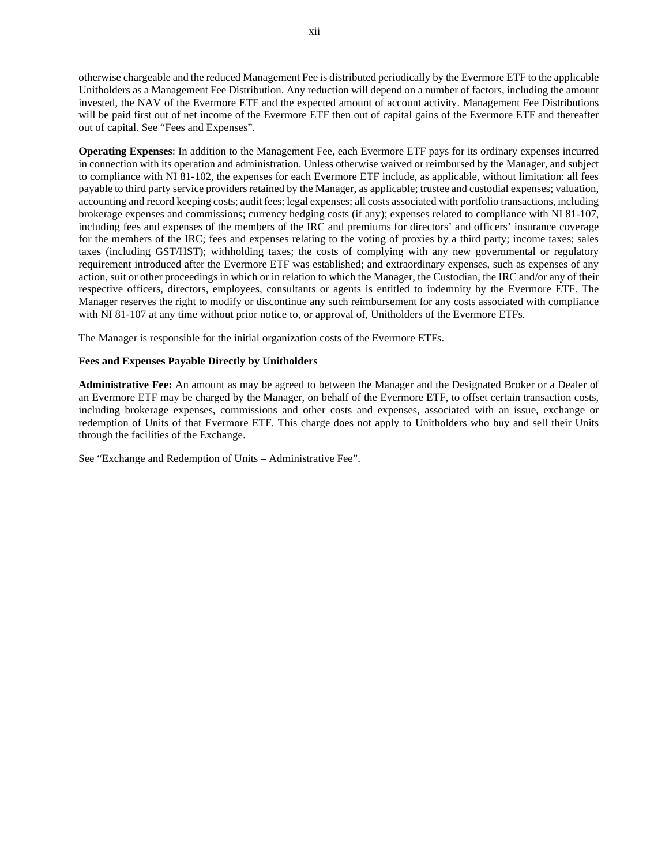otherwise chargeable and the reduced Management Fee is distributed periodically by the Evermore ETF to the applicable Unitholders as a Management Fee Distribution. Any reduction will depend on a number of factors, including the amount invested, the NAV of the Evermore ETF and the expected amount of account activity. Management Fee Distributions will be paid first out of net income of the Evermore ETF then out of capital gains of the Evermore ETF and thereafter out of capital. See "Fees and Expenses".

**Operating Expenses**: In addition to the Management Fee, each Evermore ETF pays for its ordinary expenses incurred in connection with its operation and administration. Unless otherwise waived or reimbursed by the Manager, and subject to compliance with NI 81-102, the expenses for each Evermore ETF include, as applicable, without limitation: all fees payable to third party service providers retained by the Manager, as applicable; trustee and custodial expenses; valuation, accounting and record keeping costs; audit fees; legal expenses; all costs associated with portfolio transactions, including brokerage expenses and commissions; currency hedging costs (if any); expenses related to compliance with NI 81-107, including fees and expenses of the members of the IRC and premiums for directors' and officers' insurance coverage for the members of the IRC; fees and expenses relating to the voting of proxies by a third party; income taxes; sales taxes (including GST/HST); withholding taxes; the costs of complying with any new governmental or regulatory requirement introduced after the Evermore ETF was established; and extraordinary expenses, such as expenses of any action, suit or other proceedings in which or in relation to which the Manager, the Custodian, the IRC and/or any of their respective officers, directors, employees, consultants or agents is entitled to indemnity by the Evermore ETF. The Manager reserves the right to modify or discontinue any such reimbursement for any costs associated with compliance with NI 81-107 at any time without prior notice to, or approval of, Unitholders of the Evermore ETFs.

The Manager is responsible for the initial organization costs of the Evermore ETFs.

#### **Fees and Expenses Payable Directly by Unitholders**

**Administrative Fee:** An amount as may be agreed to between the Manager and the Designated Broker or a Dealer of an Evermore ETF may be charged by the Manager, on behalf of the Evermore ETF, to offset certain transaction costs, including brokerage expenses, commissions and other costs and expenses, associated with an issue, exchange or redemption of Units of that Evermore ETF. This charge does not apply to Unitholders who buy and sell their Units through the facilities of the Exchange.

See "Exchange and Redemption of Units – Administrative Fee".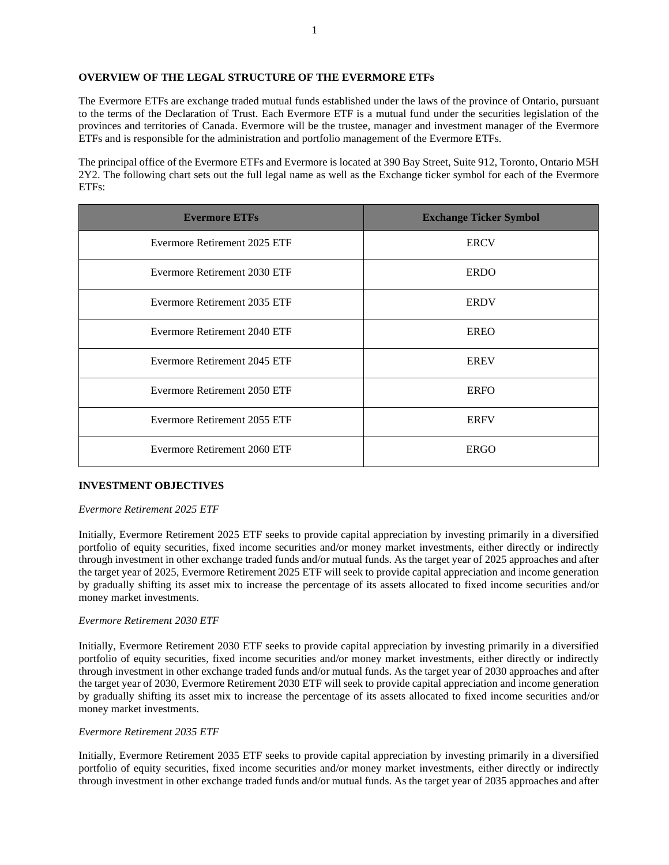## **OVERVIEW OF THE LEGAL STRUCTURE OF THE EVERMORE ETFs**

The Evermore ETFs are exchange traded mutual funds established under the laws of the province of Ontario, pursuant to the terms of the Declaration of Trust. Each Evermore ETF is a mutual fund under the securities legislation of the provinces and territories of Canada. Evermore will be the trustee, manager and investment manager of the Evermore ETFs and is responsible for the administration and portfolio management of the Evermore ETFs.

The principal office of the Evermore ETFs and Evermore is located at 390 Bay Street, Suite 912, Toronto, Ontario M5H 2Y2. The following chart sets out the full legal name as well as the Exchange ticker symbol for each of the Evermore ETFs:

| <b>Evermore ETFs</b>         | <b>Exchange Ticker Symbol</b> |
|------------------------------|-------------------------------|
| Evermore Retirement 2025 ETF | <b>ERCV</b>                   |
| Evermore Retirement 2030 ETF | <b>ERDO</b>                   |
| Evermore Retirement 2035 ETF | <b>ERDV</b>                   |
| Evermore Retirement 2040 ETF | <b>EREO</b>                   |
| Evermore Retirement 2045 ETF | <b>EREV</b>                   |
| Evermore Retirement 2050 ETF | <b>ERFO</b>                   |
| Evermore Retirement 2055 ETF | <b>ERFV</b>                   |
| Evermore Retirement 2060 ETF | <b>ERGO</b>                   |

## **INVESTMENT OBJECTIVES**

### *Evermore Retirement 2025 ETF*

Initially, Evermore Retirement 2025 ETF seeks to provide capital appreciation by investing primarily in a diversified portfolio of equity securities, fixed income securities and/or money market investments, either directly or indirectly through investment in other exchange traded funds and/or mutual funds. As the target year of 2025 approaches and after the target year of 2025, Evermore Retirement 2025 ETF will seek to provide capital appreciation and income generation by gradually shifting its asset mix to increase the percentage of its assets allocated to fixed income securities and/or money market investments.

### *Evermore Retirement 2030 ETF*

Initially, Evermore Retirement 2030 ETF seeks to provide capital appreciation by investing primarily in a diversified portfolio of equity securities, fixed income securities and/or money market investments, either directly or indirectly through investment in other exchange traded funds and/or mutual funds. As the target year of 2030 approaches and after the target year of 2030, Evermore Retirement 2030 ETF will seek to provide capital appreciation and income generation by gradually shifting its asset mix to increase the percentage of its assets allocated to fixed income securities and/or money market investments.

### *Evermore Retirement 2035 ETF*

Initially, Evermore Retirement 2035 ETF seeks to provide capital appreciation by investing primarily in a diversified portfolio of equity securities, fixed income securities and/or money market investments, either directly or indirectly through investment in other exchange traded funds and/or mutual funds. As the target year of 2035 approaches and after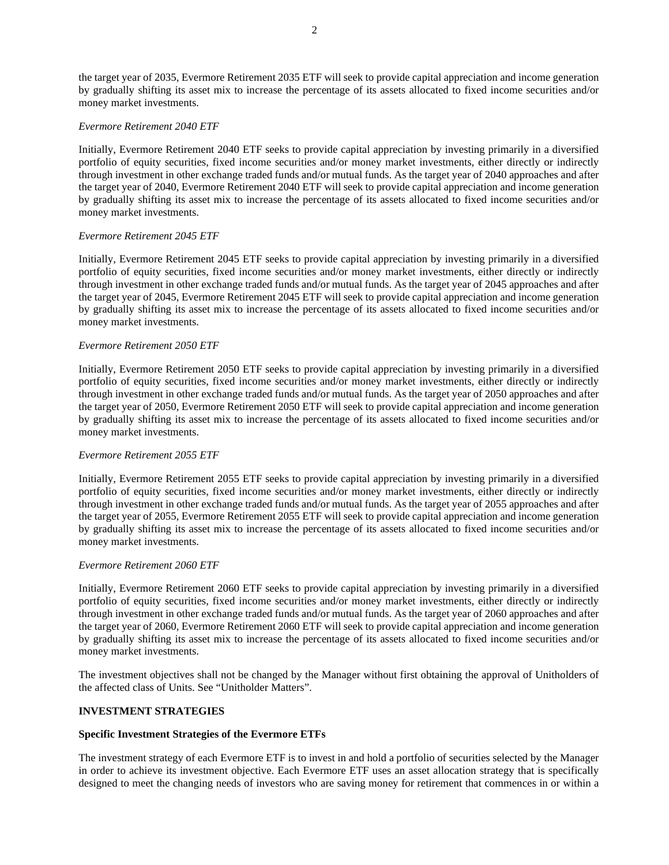the target year of 2035, Evermore Retirement 2035 ETF will seek to provide capital appreciation and income generation by gradually shifting its asset mix to increase the percentage of its assets allocated to fixed income securities and/or money market investments.

### *Evermore Retirement 2040 ETF*

Initially, Evermore Retirement 2040 ETF seeks to provide capital appreciation by investing primarily in a diversified portfolio of equity securities, fixed income securities and/or money market investments, either directly or indirectly through investment in other exchange traded funds and/or mutual funds. As the target year of 2040 approaches and after the target year of 2040, Evermore Retirement 2040 ETF will seek to provide capital appreciation and income generation by gradually shifting its asset mix to increase the percentage of its assets allocated to fixed income securities and/or money market investments.

### *Evermore Retirement 2045 ETF*

Initially, Evermore Retirement 2045 ETF seeks to provide capital appreciation by investing primarily in a diversified portfolio of equity securities, fixed income securities and/or money market investments, either directly or indirectly through investment in other exchange traded funds and/or mutual funds. As the target year of 2045 approaches and after the target year of 2045, Evermore Retirement 2045 ETF will seek to provide capital appreciation and income generation by gradually shifting its asset mix to increase the percentage of its assets allocated to fixed income securities and/or money market investments.

### *Evermore Retirement 2050 ETF*

Initially, Evermore Retirement 2050 ETF seeks to provide capital appreciation by investing primarily in a diversified portfolio of equity securities, fixed income securities and/or money market investments, either directly or indirectly through investment in other exchange traded funds and/or mutual funds. As the target year of 2050 approaches and after the target year of 2050, Evermore Retirement 2050 ETF will seek to provide capital appreciation and income generation by gradually shifting its asset mix to increase the percentage of its assets allocated to fixed income securities and/or money market investments.

### *Evermore Retirement 2055 ETF*

Initially, Evermore Retirement 2055 ETF seeks to provide capital appreciation by investing primarily in a diversified portfolio of equity securities, fixed income securities and/or money market investments, either directly or indirectly through investment in other exchange traded funds and/or mutual funds. As the target year of 2055 approaches and after the target year of 2055, Evermore Retirement 2055 ETF will seek to provide capital appreciation and income generation by gradually shifting its asset mix to increase the percentage of its assets allocated to fixed income securities and/or money market investments.

### *Evermore Retirement 2060 ETF*

Initially, Evermore Retirement 2060 ETF seeks to provide capital appreciation by investing primarily in a diversified portfolio of equity securities, fixed income securities and/or money market investments, either directly or indirectly through investment in other exchange traded funds and/or mutual funds. As the target year of 2060 approaches and after the target year of 2060, Evermore Retirement 2060 ETF will seek to provide capital appreciation and income generation by gradually shifting its asset mix to increase the percentage of its assets allocated to fixed income securities and/or money market investments.

The investment objectives shall not be changed by the Manager without first obtaining the approval of Unitholders of the affected class of Units. See "Unitholder Matters".

### **INVESTMENT STRATEGIES**

### **Specific Investment Strategies of the Evermore ETFs**

The investment strategy of each Evermore ETF is to invest in and hold a portfolio of securities selected by the Manager in order to achieve its investment objective. Each Evermore ETF uses an asset allocation strategy that is specifically designed to meet the changing needs of investors who are saving money for retirement that commences in or within a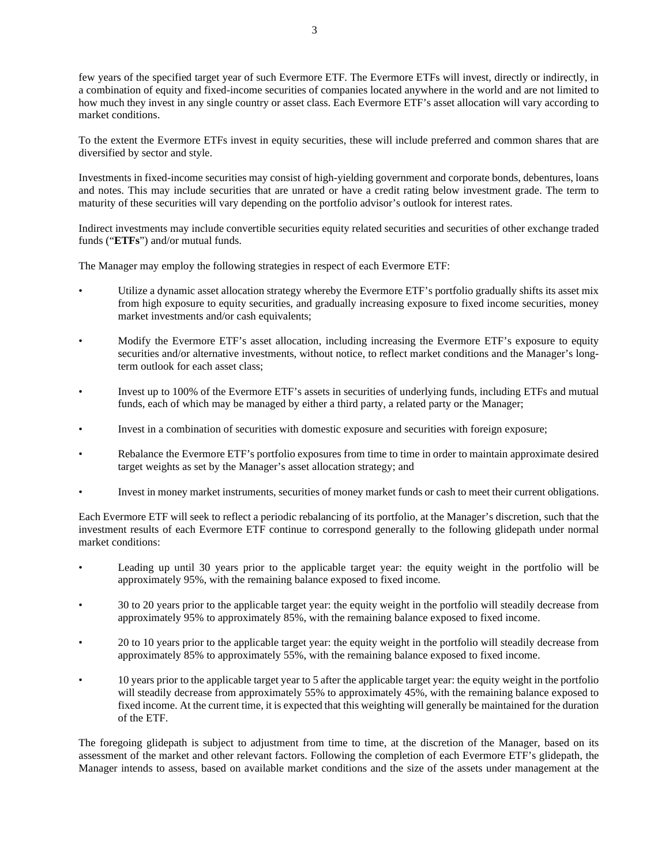few years of the specified target year of such Evermore ETF. The Evermore ETFs will invest, directly or indirectly, in a combination of equity and fixed-income securities of companies located anywhere in the world and are not limited to how much they invest in any single country or asset class. Each Evermore ETF's asset allocation will vary according to market conditions.

To the extent the Evermore ETFs invest in equity securities, these will include preferred and common shares that are diversified by sector and style.

Investments in fixed-income securities may consist of high-yielding government and corporate bonds, debentures, loans and notes. This may include securities that are unrated or have a credit rating below investment grade. The term to maturity of these securities will vary depending on the portfolio advisor's outlook for interest rates.

Indirect investments may include convertible securities equity related securities and securities of other exchange traded funds ("**ETFs**") and/or mutual funds.

The Manager may employ the following strategies in respect of each Evermore ETF:

- Utilize a dynamic asset allocation strategy whereby the Evermore ETF's portfolio gradually shifts its asset mix from high exposure to equity securities, and gradually increasing exposure to fixed income securities, money market investments and/or cash equivalents;
- Modify the Evermore ETF's asset allocation, including increasing the Evermore ETF's exposure to equity securities and/or alternative investments, without notice, to reflect market conditions and the Manager's longterm outlook for each asset class;
- Invest up to 100% of the Evermore ETF's assets in securities of underlying funds, including ETFs and mutual funds, each of which may be managed by either a third party, a related party or the Manager;
- Invest in a combination of securities with domestic exposure and securities with foreign exposure;
- Rebalance the Evermore ETF's portfolio exposures from time to time in order to maintain approximate desired target weights as set by the Manager's asset allocation strategy; and
- Invest in money market instruments, securities of money market funds or cash to meet their current obligations.

Each Evermore ETF will seek to reflect a periodic rebalancing of its portfolio, at the Manager's discretion, such that the investment results of each Evermore ETF continue to correspond generally to the following glidepath under normal market conditions:

- Leading up until 30 years prior to the applicable target year: the equity weight in the portfolio will be approximately 95%, with the remaining balance exposed to fixed income.
- 30 to 20 years prior to the applicable target year: the equity weight in the portfolio will steadily decrease from approximately 95% to approximately 85%, with the remaining balance exposed to fixed income.
- 20 to 10 years prior to the applicable target year: the equity weight in the portfolio will steadily decrease from approximately 85% to approximately 55%, with the remaining balance exposed to fixed income.
- 10 years prior to the applicable target year to 5 after the applicable target year: the equity weight in the portfolio will steadily decrease from approximately 55% to approximately 45%, with the remaining balance exposed to fixed income. At the current time, it is expected that this weighting will generally be maintained for the duration of the ETF.

The foregoing glidepath is subject to adjustment from time to time, at the discretion of the Manager, based on its assessment of the market and other relevant factors. Following the completion of each Evermore ETF's glidepath, the Manager intends to assess, based on available market conditions and the size of the assets under management at the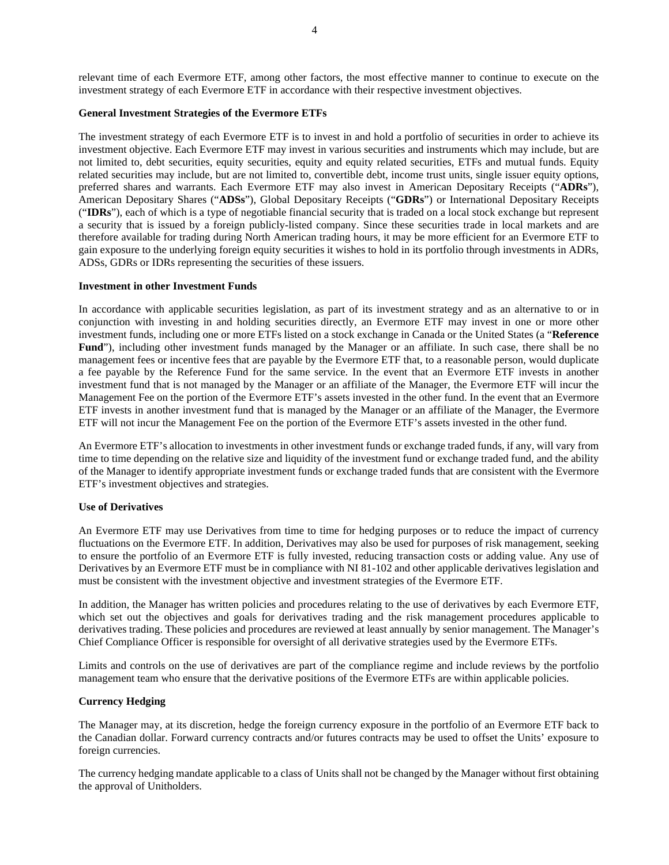relevant time of each Evermore ETF, among other factors, the most effective manner to continue to execute on the investment strategy of each Evermore ETF in accordance with their respective investment objectives.

### **General Investment Strategies of the Evermore ETFs**

The investment strategy of each Evermore ETF is to invest in and hold a portfolio of securities in order to achieve its investment objective. Each Evermore ETF may invest in various securities and instruments which may include, but are not limited to, debt securities, equity securities, equity and equity related securities, ETFs and mutual funds. Equity related securities may include, but are not limited to, convertible debt, income trust units, single issuer equity options, preferred shares and warrants. Each Evermore ETF may also invest in American Depositary Receipts ("**ADRs**"), American Depositary Shares ("**ADSs**"), Global Depositary Receipts ("**GDRs**") or International Depositary Receipts ("**IDRs**"), each of which is a type of negotiable financial security that is traded on a local stock exchange but represent a security that is issued by a foreign publicly-listed company. Since these securities trade in local markets and are therefore available for trading during North American trading hours, it may be more efficient for an Evermore ETF to gain exposure to the underlying foreign equity securities it wishes to hold in its portfolio through investments in ADRs, ADSs, GDRs or IDRs representing the securities of these issuers.

#### **Investment in other Investment Funds**

In accordance with applicable securities legislation, as part of its investment strategy and as an alternative to or in conjunction with investing in and holding securities directly, an Evermore ETF may invest in one or more other investment funds, including one or more ETFs listed on a stock exchange in Canada or the United States (a "**Reference Fund**"), including other investment funds managed by the Manager or an affiliate. In such case, there shall be no management fees or incentive fees that are payable by the Evermore ETF that, to a reasonable person, would duplicate a fee payable by the Reference Fund for the same service. In the event that an Evermore ETF invests in another investment fund that is not managed by the Manager or an affiliate of the Manager, the Evermore ETF will incur the Management Fee on the portion of the Evermore ETF's assets invested in the other fund. In the event that an Evermore ETF invests in another investment fund that is managed by the Manager or an affiliate of the Manager, the Evermore ETF will not incur the Management Fee on the portion of the Evermore ETF's assets invested in the other fund.

An Evermore ETF's allocation to investments in other investment funds or exchange traded funds, if any, will vary from time to time depending on the relative size and liquidity of the investment fund or exchange traded fund, and the ability of the Manager to identify appropriate investment funds or exchange traded funds that are consistent with the Evermore ETF's investment objectives and strategies.

### **Use of Derivatives**

An Evermore ETF may use Derivatives from time to time for hedging purposes or to reduce the impact of currency fluctuations on the Evermore ETF. In addition, Derivatives may also be used for purposes of risk management, seeking to ensure the portfolio of an Evermore ETF is fully invested, reducing transaction costs or adding value. Any use of Derivatives by an Evermore ETF must be in compliance with NI 81-102 and other applicable derivatives legislation and must be consistent with the investment objective and investment strategies of the Evermore ETF.

In addition, the Manager has written policies and procedures relating to the use of derivatives by each Evermore ETF, which set out the objectives and goals for derivatives trading and the risk management procedures applicable to derivatives trading. These policies and procedures are reviewed at least annually by senior management. The Manager's Chief Compliance Officer is responsible for oversight of all derivative strategies used by the Evermore ETFs.

Limits and controls on the use of derivatives are part of the compliance regime and include reviews by the portfolio management team who ensure that the derivative positions of the Evermore ETFs are within applicable policies.

#### **Currency Hedging**

The Manager may, at its discretion, hedge the foreign currency exposure in the portfolio of an Evermore ETF back to the Canadian dollar. Forward currency contracts and/or futures contracts may be used to offset the Units' exposure to foreign currencies.

The currency hedging mandate applicable to a class of Units shall not be changed by the Manager without first obtaining the approval of Unitholders.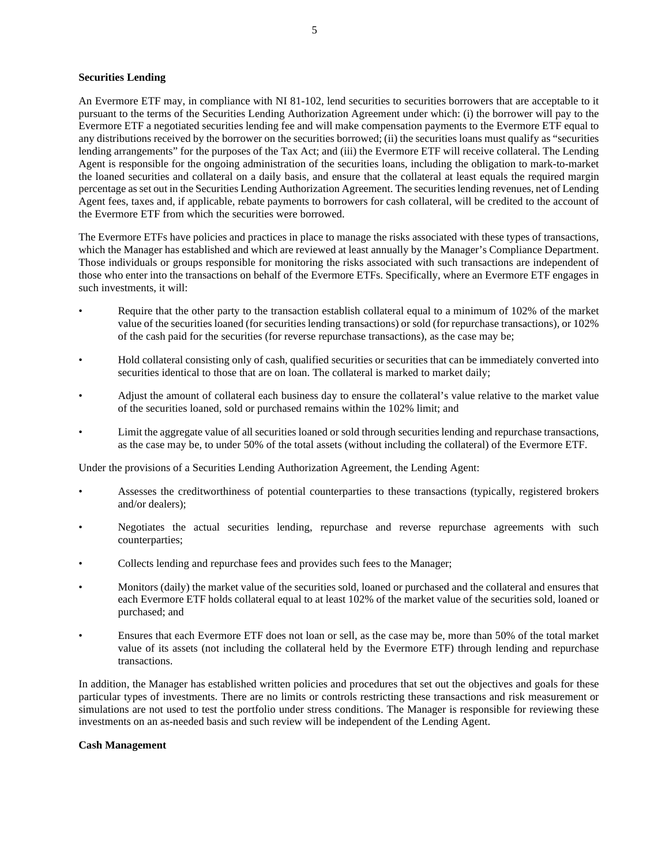### **Securities Lending**

An Evermore ETF may, in compliance with NI 81-102, lend securities to securities borrowers that are acceptable to it pursuant to the terms of the Securities Lending Authorization Agreement under which: (i) the borrower will pay to the Evermore ETF a negotiated securities lending fee and will make compensation payments to the Evermore ETF equal to any distributions received by the borrower on the securities borrowed; (ii) the securities loans must qualify as "securities lending arrangements" for the purposes of the Tax Act; and (iii) the Evermore ETF will receive collateral. The Lending Agent is responsible for the ongoing administration of the securities loans, including the obligation to mark-to-market the loaned securities and collateral on a daily basis, and ensure that the collateral at least equals the required margin percentage as set out in the Securities Lending Authorization Agreement. The securities lending revenues, net of Lending Agent fees, taxes and, if applicable, rebate payments to borrowers for cash collateral, will be credited to the account of the Evermore ETF from which the securities were borrowed.

The Evermore ETFs have policies and practices in place to manage the risks associated with these types of transactions, which the Manager has established and which are reviewed at least annually by the Manager's Compliance Department. Those individuals or groups responsible for monitoring the risks associated with such transactions are independent of those who enter into the transactions on behalf of the Evermore ETFs. Specifically, where an Evermore ETF engages in such investments, it will:

- Require that the other party to the transaction establish collateral equal to a minimum of 102% of the market value of the securities loaned (for securities lending transactions) or sold (for repurchase transactions), or 102% of the cash paid for the securities (for reverse repurchase transactions), as the case may be;
- Hold collateral consisting only of cash, qualified securities or securities that can be immediately converted into securities identical to those that are on loan. The collateral is marked to market daily;
- Adjust the amount of collateral each business day to ensure the collateral's value relative to the market value of the securities loaned, sold or purchased remains within the 102% limit; and
- Limit the aggregate value of all securities loaned or sold through securities lending and repurchase transactions, as the case may be, to under 50% of the total assets (without including the collateral) of the Evermore ETF.

Under the provisions of a Securities Lending Authorization Agreement, the Lending Agent:

- Assesses the creditworthiness of potential counterparties to these transactions (typically, registered brokers and/or dealers);
- Negotiates the actual securities lending, repurchase and reverse repurchase agreements with such counterparties;
- Collects lending and repurchase fees and provides such fees to the Manager;
- Monitors (daily) the market value of the securities sold, loaned or purchased and the collateral and ensures that each Evermore ETF holds collateral equal to at least 102% of the market value of the securities sold, loaned or purchased; and
- Ensures that each Evermore ETF does not loan or sell, as the case may be, more than 50% of the total market value of its assets (not including the collateral held by the Evermore ETF) through lending and repurchase transactions.

In addition, the Manager has established written policies and procedures that set out the objectives and goals for these particular types of investments. There are no limits or controls restricting these transactions and risk measurement or simulations are not used to test the portfolio under stress conditions. The Manager is responsible for reviewing these investments on an as-needed basis and such review will be independent of the Lending Agent.

#### **Cash Management**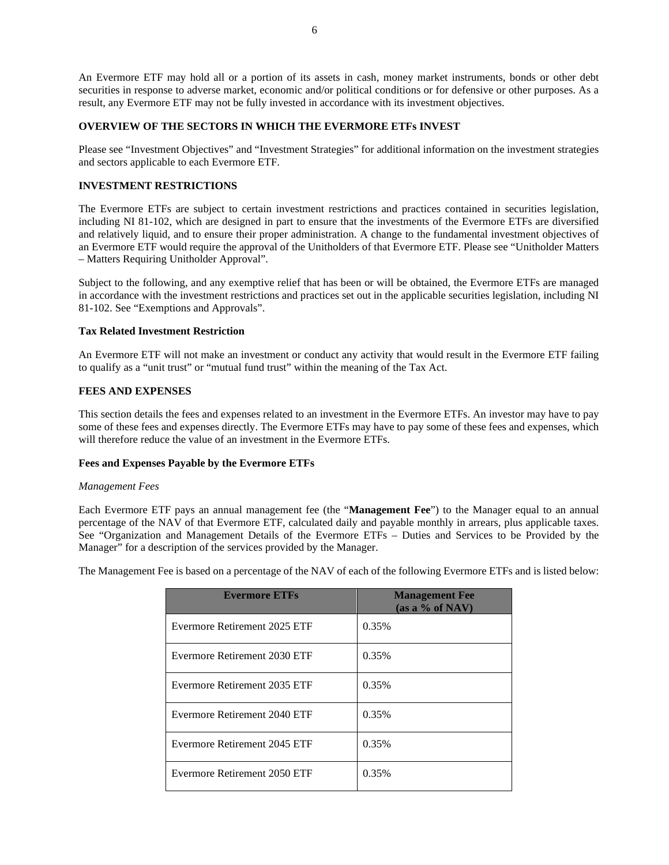An Evermore ETF may hold all or a portion of its assets in cash, money market instruments, bonds or other debt securities in response to adverse market, economic and/or political conditions or for defensive or other purposes. As a result, any Evermore ETF may not be fully invested in accordance with its investment objectives.

## **OVERVIEW OF THE SECTORS IN WHICH THE EVERMORE ETFs INVEST**

Please see "Investment Objectives" and "Investment Strategies" for additional information on the investment strategies and sectors applicable to each Evermore ETF.

## **INVESTMENT RESTRICTIONS**

The Evermore ETFs are subject to certain investment restrictions and practices contained in securities legislation, including NI 81-102, which are designed in part to ensure that the investments of the Evermore ETFs are diversified and relatively liquid, and to ensure their proper administration. A change to the fundamental investment objectives of an Evermore ETF would require the approval of the Unitholders of that Evermore ETF. Please see "Unitholder Matters – Matters Requiring Unitholder Approval".

Subject to the following, and any exemptive relief that has been or will be obtained, the Evermore ETFs are managed in accordance with the investment restrictions and practices set out in the applicable securities legislation, including NI 81-102. See "Exemptions and Approvals".

## **Tax Related Investment Restriction**

An Evermore ETF will not make an investment or conduct any activity that would result in the Evermore ETF failing to qualify as a "unit trust" or "mutual fund trust" within the meaning of the Tax Act.

## **FEES AND EXPENSES**

This section details the fees and expenses related to an investment in the Evermore ETFs. An investor may have to pay some of these fees and expenses directly. The Evermore ETFs may have to pay some of these fees and expenses, which will therefore reduce the value of an investment in the Evermore ETFs.

### **Fees and Expenses Payable by the Evermore ETFs**

### *Management Fees*

Each Evermore ETF pays an annual management fee (the "**Management Fee**") to the Manager equal to an annual percentage of the NAV of that Evermore ETF, calculated daily and payable monthly in arrears, plus applicable taxes. See "Organization and Management Details of the Evermore ETFs – Duties and Services to be Provided by the Manager" for a description of the services provided by the Manager.

The Management Fee is based on a percentage of the NAV of each of the following Evermore ETFs and is listed below:

| <b>Evermore ETFs</b>         | <b>Management Fee</b><br>(as a % of NAV) |
|------------------------------|------------------------------------------|
| Evermore Retirement 2025 ETF | 0.35%                                    |
| Evermore Retirement 2030 ETF | 0.35%                                    |
| Evermore Retirement 2035 ETF | 0.35%                                    |
| Evermore Retirement 2040 ETF | 0.35%                                    |
| Evermore Retirement 2045 ETF | 0.35%                                    |
| Evermore Retirement 2050 ETF | 0.35%                                    |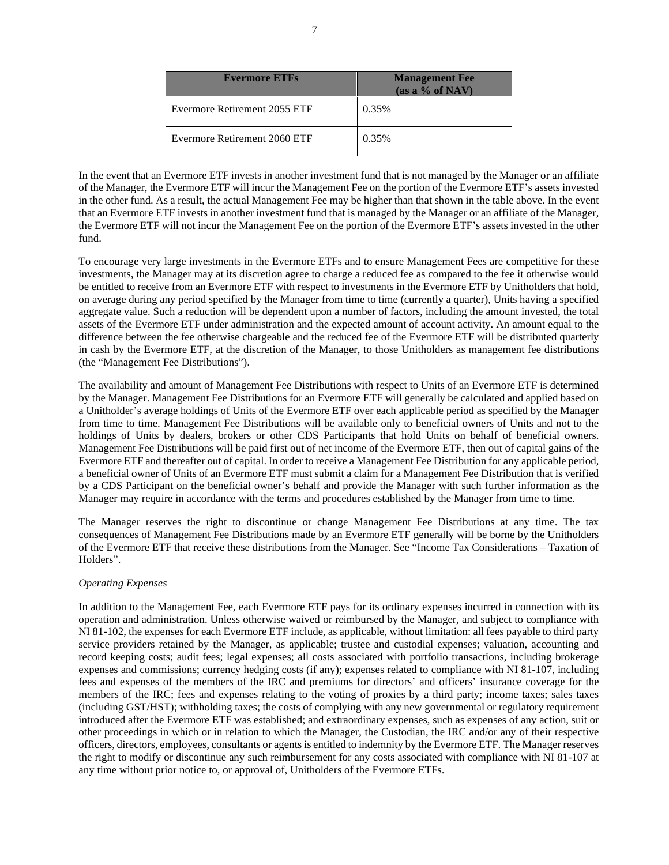| <b>Evermore ETFs</b>         | <b>Management Fee</b><br>(as a % of NAV) |
|------------------------------|------------------------------------------|
| Evermore Retirement 2055 ETF | 0.35%                                    |
| Evermore Retirement 2060 ETF | 0.35%                                    |

In the event that an Evermore ETF invests in another investment fund that is not managed by the Manager or an affiliate of the Manager, the Evermore ETF will incur the Management Fee on the portion of the Evermore ETF's assets invested in the other fund. As a result, the actual Management Fee may be higher than that shown in the table above. In the event that an Evermore ETF invests in another investment fund that is managed by the Manager or an affiliate of the Manager, the Evermore ETF will not incur the Management Fee on the portion of the Evermore ETF's assets invested in the other fund.

To encourage very large investments in the Evermore ETFs and to ensure Management Fees are competitive for these investments, the Manager may at its discretion agree to charge a reduced fee as compared to the fee it otherwise would be entitled to receive from an Evermore ETF with respect to investments in the Evermore ETF by Unitholders that hold, on average during any period specified by the Manager from time to time (currently a quarter), Units having a specified aggregate value. Such a reduction will be dependent upon a number of factors, including the amount invested, the total assets of the Evermore ETF under administration and the expected amount of account activity. An amount equal to the difference between the fee otherwise chargeable and the reduced fee of the Evermore ETF will be distributed quarterly in cash by the Evermore ETF, at the discretion of the Manager, to those Unitholders as management fee distributions (the "Management Fee Distributions").

The availability and amount of Management Fee Distributions with respect to Units of an Evermore ETF is determined by the Manager. Management Fee Distributions for an Evermore ETF will generally be calculated and applied based on a Unitholder's average holdings of Units of the Evermore ETF over each applicable period as specified by the Manager from time to time. Management Fee Distributions will be available only to beneficial owners of Units and not to the holdings of Units by dealers, brokers or other CDS Participants that hold Units on behalf of beneficial owners. Management Fee Distributions will be paid first out of net income of the Evermore ETF, then out of capital gains of the Evermore ETF and thereafter out of capital. In order to receive a Management Fee Distribution for any applicable period, a beneficial owner of Units of an Evermore ETF must submit a claim for a Management Fee Distribution that is verified by a CDS Participant on the beneficial owner's behalf and provide the Manager with such further information as the Manager may require in accordance with the terms and procedures established by the Manager from time to time.

The Manager reserves the right to discontinue or change Management Fee Distributions at any time. The tax consequences of Management Fee Distributions made by an Evermore ETF generally will be borne by the Unitholders of the Evermore ETF that receive these distributions from the Manager. See "Income Tax Considerations – Taxation of Holders".

## *Operating Expenses*

In addition to the Management Fee, each Evermore ETF pays for its ordinary expenses incurred in connection with its operation and administration. Unless otherwise waived or reimbursed by the Manager, and subject to compliance with NI 81-102, the expenses for each Evermore ETF include, as applicable, without limitation: all fees payable to third party service providers retained by the Manager, as applicable; trustee and custodial expenses; valuation, accounting and record keeping costs; audit fees; legal expenses; all costs associated with portfolio transactions, including brokerage expenses and commissions; currency hedging costs (if any); expenses related to compliance with NI 81-107, including fees and expenses of the members of the IRC and premiums for directors' and officers' insurance coverage for the members of the IRC; fees and expenses relating to the voting of proxies by a third party; income taxes; sales taxes (including GST/HST); withholding taxes; the costs of complying with any new governmental or regulatory requirement introduced after the Evermore ETF was established; and extraordinary expenses, such as expenses of any action, suit or other proceedings in which or in relation to which the Manager, the Custodian, the IRC and/or any of their respective officers, directors, employees, consultants or agents is entitled to indemnity by the Evermore ETF. The Manager reserves the right to modify or discontinue any such reimbursement for any costs associated with compliance with NI 81-107 at any time without prior notice to, or approval of, Unitholders of the Evermore ETFs.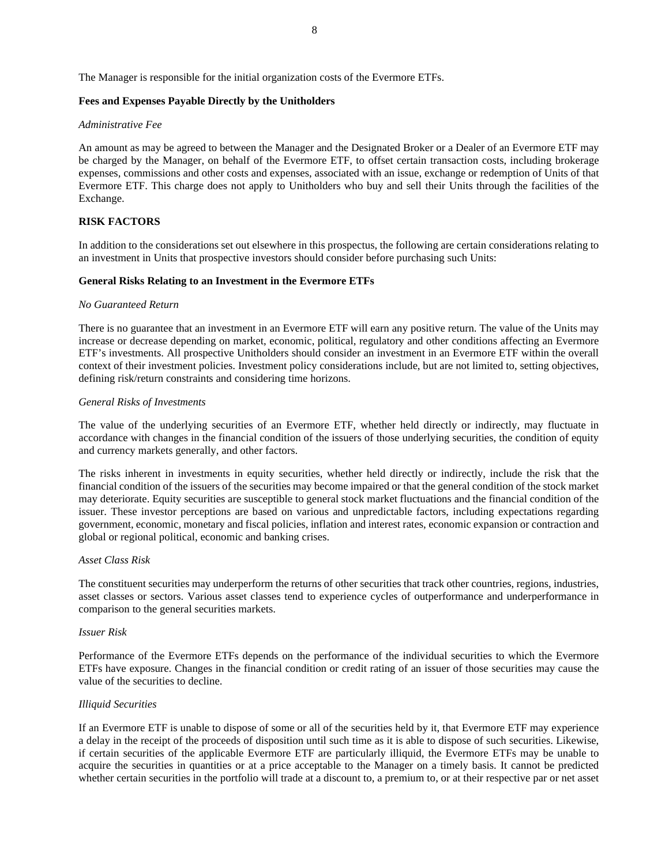The Manager is responsible for the initial organization costs of the Evermore ETFs.

## **Fees and Expenses Payable Directly by the Unitholders**

#### *Administrative Fee*

An amount as may be agreed to between the Manager and the Designated Broker or a Dealer of an Evermore ETF may be charged by the Manager, on behalf of the Evermore ETF, to offset certain transaction costs, including brokerage expenses, commissions and other costs and expenses, associated with an issue, exchange or redemption of Units of that Evermore ETF. This charge does not apply to Unitholders who buy and sell their Units through the facilities of the Exchange.

## **RISK FACTORS**

In addition to the considerations set out elsewhere in this prospectus, the following are certain considerations relating to an investment in Units that prospective investors should consider before purchasing such Units:

#### **General Risks Relating to an Investment in the Evermore ETFs**

#### *No Guaranteed Return*

There is no guarantee that an investment in an Evermore ETF will earn any positive return. The value of the Units may increase or decrease depending on market, economic, political, regulatory and other conditions affecting an Evermore ETF's investments. All prospective Unitholders should consider an investment in an Evermore ETF within the overall context of their investment policies. Investment policy considerations include, but are not limited to, setting objectives, defining risk/return constraints and considering time horizons.

## *General Risks of Investments*

The value of the underlying securities of an Evermore ETF, whether held directly or indirectly, may fluctuate in accordance with changes in the financial condition of the issuers of those underlying securities, the condition of equity and currency markets generally, and other factors.

The risks inherent in investments in equity securities, whether held directly or indirectly, include the risk that the financial condition of the issuers of the securities may become impaired or that the general condition of the stock market may deteriorate. Equity securities are susceptible to general stock market fluctuations and the financial condition of the issuer. These investor perceptions are based on various and unpredictable factors, including expectations regarding government, economic, monetary and fiscal policies, inflation and interest rates, economic expansion or contraction and global or regional political, economic and banking crises.

## *Asset Class Risk*

The constituent securities may underperform the returns of other securities that track other countries, regions, industries, asset classes or sectors. Various asset classes tend to experience cycles of outperformance and underperformance in comparison to the general securities markets.

### *Issuer Risk*

Performance of the Evermore ETFs depends on the performance of the individual securities to which the Evermore ETFs have exposure. Changes in the financial condition or credit rating of an issuer of those securities may cause the value of the securities to decline.

### *Illiquid Securities*

If an Evermore ETF is unable to dispose of some or all of the securities held by it, that Evermore ETF may experience a delay in the receipt of the proceeds of disposition until such time as it is able to dispose of such securities. Likewise, if certain securities of the applicable Evermore ETF are particularly illiquid, the Evermore ETFs may be unable to acquire the securities in quantities or at a price acceptable to the Manager on a timely basis. It cannot be predicted whether certain securities in the portfolio will trade at a discount to, a premium to, or at their respective par or net asset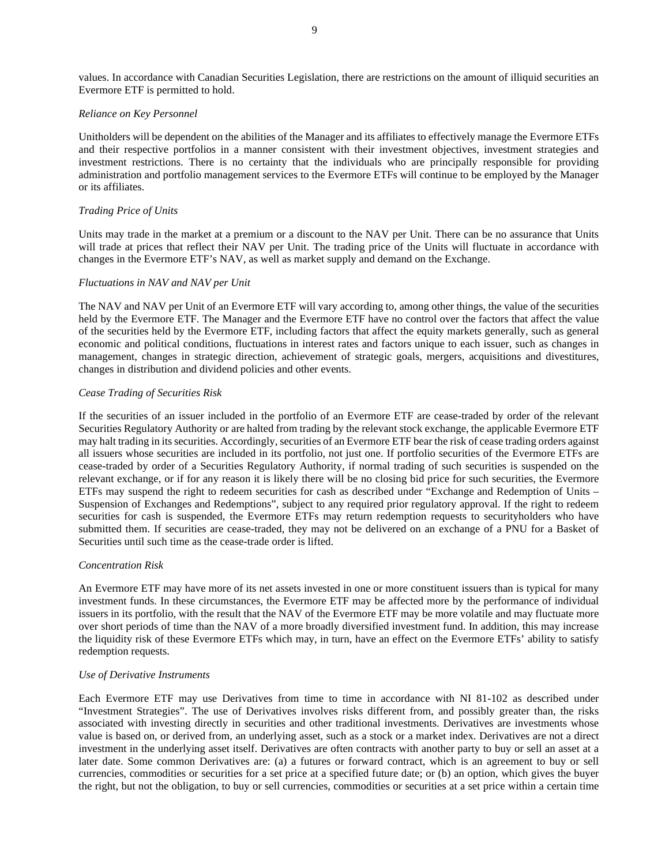values. In accordance with Canadian Securities Legislation, there are restrictions on the amount of illiquid securities an Evermore ETF is permitted to hold.

#### *Reliance on Key Personnel*

Unitholders will be dependent on the abilities of the Manager and its affiliates to effectively manage the Evermore ETFs and their respective portfolios in a manner consistent with their investment objectives, investment strategies and investment restrictions. There is no certainty that the individuals who are principally responsible for providing administration and portfolio management services to the Evermore ETFs will continue to be employed by the Manager or its affiliates.

## *Trading Price of Units*

Units may trade in the market at a premium or a discount to the NAV per Unit. There can be no assurance that Units will trade at prices that reflect their NAV per Unit. The trading price of the Units will fluctuate in accordance with changes in the Evermore ETF's NAV, as well as market supply and demand on the Exchange.

#### *Fluctuations in NAV and NAV per Unit*

The NAV and NAV per Unit of an Evermore ETF will vary according to, among other things, the value of the securities held by the Evermore ETF. The Manager and the Evermore ETF have no control over the factors that affect the value of the securities held by the Evermore ETF, including factors that affect the equity markets generally, such as general economic and political conditions, fluctuations in interest rates and factors unique to each issuer, such as changes in management, changes in strategic direction, achievement of strategic goals, mergers, acquisitions and divestitures, changes in distribution and dividend policies and other events.

#### *Cease Trading of Securities Risk*

If the securities of an issuer included in the portfolio of an Evermore ETF are cease-traded by order of the relevant Securities Regulatory Authority or are halted from trading by the relevant stock exchange, the applicable Evermore ETF may halt trading in its securities. Accordingly, securities of an Evermore ETF bear the risk of cease trading orders against all issuers whose securities are included in its portfolio, not just one. If portfolio securities of the Evermore ETFs are cease-traded by order of a Securities Regulatory Authority, if normal trading of such securities is suspended on the relevant exchange, or if for any reason it is likely there will be no closing bid price for such securities, the Evermore ETFs may suspend the right to redeem securities for cash as described under "Exchange and Redemption of Units – Suspension of Exchanges and Redemptions", subject to any required prior regulatory approval. If the right to redeem securities for cash is suspended, the Evermore ETFs may return redemption requests to securityholders who have submitted them. If securities are cease-traded, they may not be delivered on an exchange of a PNU for a Basket of Securities until such time as the cease-trade order is lifted.

#### *Concentration Risk*

An Evermore ETF may have more of its net assets invested in one or more constituent issuers than is typical for many investment funds. In these circumstances, the Evermore ETF may be affected more by the performance of individual issuers in its portfolio, with the result that the NAV of the Evermore ETF may be more volatile and may fluctuate more over short periods of time than the NAV of a more broadly diversified investment fund. In addition, this may increase the liquidity risk of these Evermore ETFs which may, in turn, have an effect on the Evermore ETFs' ability to satisfy redemption requests.

#### *Use of Derivative Instruments*

Each Evermore ETF may use Derivatives from time to time in accordance with NI 81-102 as described under "Investment Strategies". The use of Derivatives involves risks different from, and possibly greater than, the risks associated with investing directly in securities and other traditional investments. Derivatives are investments whose value is based on, or derived from, an underlying asset, such as a stock or a market index. Derivatives are not a direct investment in the underlying asset itself. Derivatives are often contracts with another party to buy or sell an asset at a later date. Some common Derivatives are: (a) a futures or forward contract, which is an agreement to buy or sell currencies, commodities or securities for a set price at a specified future date; or (b) an option, which gives the buyer the right, but not the obligation, to buy or sell currencies, commodities or securities at a set price within a certain time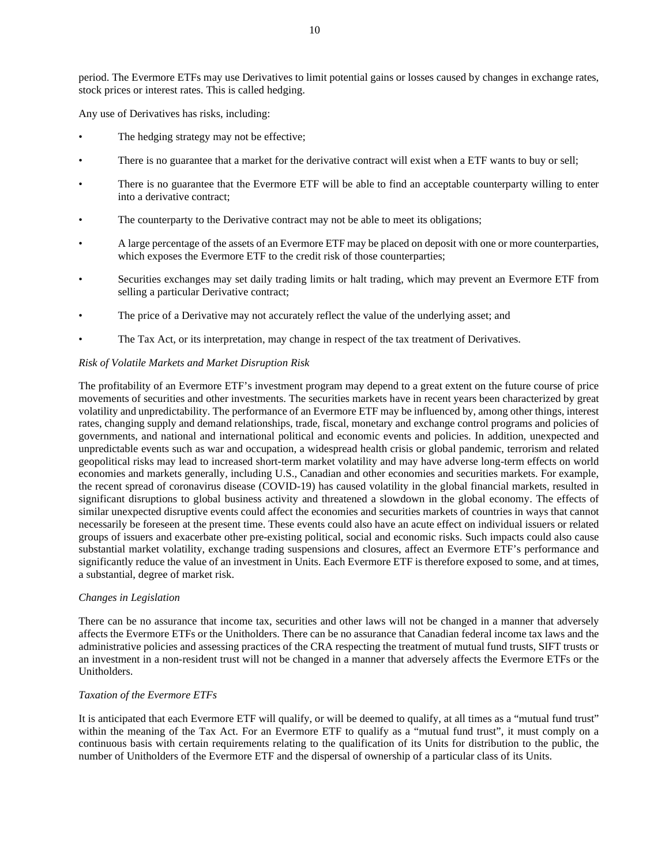period. The Evermore ETFs may use Derivatives to limit potential gains or losses caused by changes in exchange rates, stock prices or interest rates. This is called hedging.

Any use of Derivatives has risks, including:

- The hedging strategy may not be effective;
- There is no guarantee that a market for the derivative contract will exist when a ETF wants to buy or sell;
- There is no guarantee that the Evermore ETF will be able to find an acceptable counterparty willing to enter into a derivative contract;
- The counterparty to the Derivative contract may not be able to meet its obligations;
- A large percentage of the assets of an Evermore ETF may be placed on deposit with one or more counterparties, which exposes the Evermore ETF to the credit risk of those counterparties;
- Securities exchanges may set daily trading limits or halt trading, which may prevent an Evermore ETF from selling a particular Derivative contract;
- The price of a Derivative may not accurately reflect the value of the underlying asset; and
- The Tax Act, or its interpretation, may change in respect of the tax treatment of Derivatives.

#### *Risk of Volatile Markets and Market Disruption Risk*

The profitability of an Evermore ETF's investment program may depend to a great extent on the future course of price movements of securities and other investments. The securities markets have in recent years been characterized by great volatility and unpredictability. The performance of an Evermore ETF may be influenced by, among other things, interest rates, changing supply and demand relationships, trade, fiscal, monetary and exchange control programs and policies of governments, and national and international political and economic events and policies. In addition, unexpected and unpredictable events such as war and occupation, a widespread health crisis or global pandemic, terrorism and related geopolitical risks may lead to increased short-term market volatility and may have adverse long-term effects on world economies and markets generally, including U.S., Canadian and other economies and securities markets. For example, the recent spread of coronavirus disease (COVID-19) has caused volatility in the global financial markets, resulted in significant disruptions to global business activity and threatened a slowdown in the global economy. The effects of similar unexpected disruptive events could affect the economies and securities markets of countries in ways that cannot necessarily be foreseen at the present time. These events could also have an acute effect on individual issuers or related groups of issuers and exacerbate other pre-existing political, social and economic risks. Such impacts could also cause substantial market volatility, exchange trading suspensions and closures, affect an Evermore ETF's performance and significantly reduce the value of an investment in Units. Each Evermore ETF is therefore exposed to some, and at times, a substantial, degree of market risk.

#### *Changes in Legislation*

There can be no assurance that income tax, securities and other laws will not be changed in a manner that adversely affects the Evermore ETFs or the Unitholders. There can be no assurance that Canadian federal income tax laws and the administrative policies and assessing practices of the CRA respecting the treatment of mutual fund trusts, SIFT trusts or an investment in a non-resident trust will not be changed in a manner that adversely affects the Evermore ETFs or the Unitholders.

#### *Taxation of the Evermore ETFs*

It is anticipated that each Evermore ETF will qualify, or will be deemed to qualify, at all times as a "mutual fund trust" within the meaning of the Tax Act. For an Evermore ETF to qualify as a "mutual fund trust", it must comply on a continuous basis with certain requirements relating to the qualification of its Units for distribution to the public, the number of Unitholders of the Evermore ETF and the dispersal of ownership of a particular class of its Units.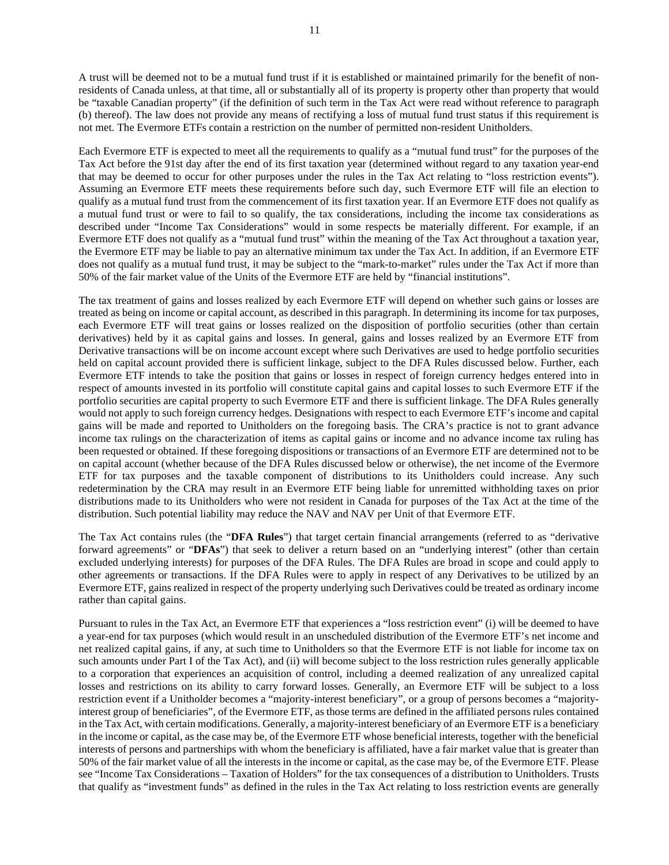A trust will be deemed not to be a mutual fund trust if it is established or maintained primarily for the benefit of nonresidents of Canada unless, at that time, all or substantially all of its property is property other than property that would be "taxable Canadian property" (if the definition of such term in the Tax Act were read without reference to paragraph (b) thereof). The law does not provide any means of rectifying a loss of mutual fund trust status if this requirement is not met. The Evermore ETFs contain a restriction on the number of permitted non-resident Unitholders.

Each Evermore ETF is expected to meet all the requirements to qualify as a "mutual fund trust" for the purposes of the Tax Act before the 91st day after the end of its first taxation year (determined without regard to any taxation year-end that may be deemed to occur for other purposes under the rules in the Tax Act relating to "loss restriction events"). Assuming an Evermore ETF meets these requirements before such day, such Evermore ETF will file an election to qualify as a mutual fund trust from the commencement of its first taxation year. If an Evermore ETF does not qualify as a mutual fund trust or were to fail to so qualify, the tax considerations, including the income tax considerations as described under "Income Tax Considerations" would in some respects be materially different. For example, if an Evermore ETF does not qualify as a "mutual fund trust" within the meaning of the Tax Act throughout a taxation year, the Evermore ETF may be liable to pay an alternative minimum tax under the Tax Act. In addition, if an Evermore ETF does not qualify as a mutual fund trust, it may be subject to the "mark-to-market" rules under the Tax Act if more than 50% of the fair market value of the Units of the Evermore ETF are held by "financial institutions".

The tax treatment of gains and losses realized by each Evermore ETF will depend on whether such gains or losses are treated as being on income or capital account, as described in this paragraph. In determining its income for tax purposes, each Evermore ETF will treat gains or losses realized on the disposition of portfolio securities (other than certain derivatives) held by it as capital gains and losses. In general, gains and losses realized by an Evermore ETF from Derivative transactions will be on income account except where such Derivatives are used to hedge portfolio securities held on capital account provided there is sufficient linkage, subject to the DFA Rules discussed below. Further, each Evermore ETF intends to take the position that gains or losses in respect of foreign currency hedges entered into in respect of amounts invested in its portfolio will constitute capital gains and capital losses to such Evermore ETF if the portfolio securities are capital property to such Evermore ETF and there is sufficient linkage. The DFA Rules generally would not apply to such foreign currency hedges. Designations with respect to each Evermore ETF's income and capital gains will be made and reported to Unitholders on the foregoing basis. The CRA's practice is not to grant advance income tax rulings on the characterization of items as capital gains or income and no advance income tax ruling has been requested or obtained. If these foregoing dispositions or transactions of an Evermore ETF are determined not to be on capital account (whether because of the DFA Rules discussed below or otherwise), the net income of the Evermore ETF for tax purposes and the taxable component of distributions to its Unitholders could increase. Any such redetermination by the CRA may result in an Evermore ETF being liable for unremitted withholding taxes on prior distributions made to its Unitholders who were not resident in Canada for purposes of the Tax Act at the time of the distribution. Such potential liability may reduce the NAV and NAV per Unit of that Evermore ETF.

The Tax Act contains rules (the "**DFA Rules**") that target certain financial arrangements (referred to as "derivative forward agreements" or "**DFAs**") that seek to deliver a return based on an "underlying interest" (other than certain excluded underlying interests) for purposes of the DFA Rules. The DFA Rules are broad in scope and could apply to other agreements or transactions. If the DFA Rules were to apply in respect of any Derivatives to be utilized by an Evermore ETF, gains realized in respect of the property underlying such Derivatives could be treated as ordinary income rather than capital gains.

Pursuant to rules in the Tax Act, an Evermore ETF that experiences a "loss restriction event" (i) will be deemed to have a year-end for tax purposes (which would result in an unscheduled distribution of the Evermore ETF's net income and net realized capital gains, if any, at such time to Unitholders so that the Evermore ETF is not liable for income tax on such amounts under Part I of the Tax Act), and (ii) will become subject to the loss restriction rules generally applicable to a corporation that experiences an acquisition of control, including a deemed realization of any unrealized capital losses and restrictions on its ability to carry forward losses. Generally, an Evermore ETF will be subject to a loss restriction event if a Unitholder becomes a "majority-interest beneficiary", or a group of persons becomes a "majorityinterest group of beneficiaries", of the Evermore ETF, as those terms are defined in the affiliated persons rules contained in the Tax Act, with certain modifications. Generally, a majority-interest beneficiary of an Evermore ETF is a beneficiary in the income or capital, as the case may be, of the Evermore ETF whose beneficial interests, together with the beneficial interests of persons and partnerships with whom the beneficiary is affiliated, have a fair market value that is greater than 50% of the fair market value of all the interests in the income or capital, as the case may be, of the Evermore ETF. Please see "Income Tax Considerations – Taxation of Holders" for the tax consequences of a distribution to Unitholders. Trusts that qualify as "investment funds" as defined in the rules in the Tax Act relating to loss restriction events are generally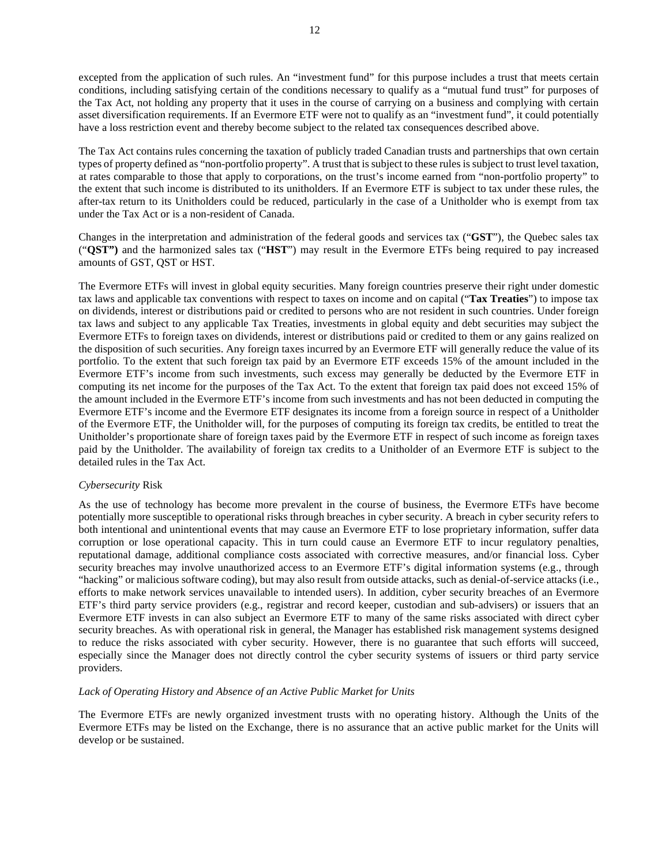excepted from the application of such rules. An "investment fund" for this purpose includes a trust that meets certain conditions, including satisfying certain of the conditions necessary to qualify as a "mutual fund trust" for purposes of the Tax Act, not holding any property that it uses in the course of carrying on a business and complying with certain asset diversification requirements. If an Evermore ETF were not to qualify as an "investment fund", it could potentially have a loss restriction event and thereby become subject to the related tax consequences described above.

The Tax Act contains rules concerning the taxation of publicly traded Canadian trusts and partnerships that own certain types of property defined as "non-portfolio property". A trust that is subject to these rules is subject to trust level taxation, at rates comparable to those that apply to corporations, on the trust's income earned from "non-portfolio property" to the extent that such income is distributed to its unitholders. If an Evermore ETF is subject to tax under these rules, the after-tax return to its Unitholders could be reduced, particularly in the case of a Unitholder who is exempt from tax under the Tax Act or is a non-resident of Canada.

Changes in the interpretation and administration of the federal goods and services tax ("**GST**"), the Quebec sales tax ("**QST")** and the harmonized sales tax ("**HST**") may result in the Evermore ETFs being required to pay increased amounts of GST, QST or HST.

The Evermore ETFs will invest in global equity securities. Many foreign countries preserve their right under domestic tax laws and applicable tax conventions with respect to taxes on income and on capital ("**Tax Treaties**") to impose tax on dividends, interest or distributions paid or credited to persons who are not resident in such countries. Under foreign tax laws and subject to any applicable Tax Treaties, investments in global equity and debt securities may subject the Evermore ETFs to foreign taxes on dividends, interest or distributions paid or credited to them or any gains realized on the disposition of such securities. Any foreign taxes incurred by an Evermore ETF will generally reduce the value of its portfolio. To the extent that such foreign tax paid by an Evermore ETF exceeds 15% of the amount included in the Evermore ETF's income from such investments, such excess may generally be deducted by the Evermore ETF in computing its net income for the purposes of the Tax Act. To the extent that foreign tax paid does not exceed 15% of the amount included in the Evermore ETF's income from such investments and has not been deducted in computing the Evermore ETF's income and the Evermore ETF designates its income from a foreign source in respect of a Unitholder of the Evermore ETF, the Unitholder will, for the purposes of computing its foreign tax credits, be entitled to treat the Unitholder's proportionate share of foreign taxes paid by the Evermore ETF in respect of such income as foreign taxes paid by the Unitholder. The availability of foreign tax credits to a Unitholder of an Evermore ETF is subject to the detailed rules in the Tax Act.

### *Cybersecurity* Risk

As the use of technology has become more prevalent in the course of business, the Evermore ETFs have become potentially more susceptible to operational risks through breaches in cyber security. A breach in cyber security refers to both intentional and unintentional events that may cause an Evermore ETF to lose proprietary information, suffer data corruption or lose operational capacity. This in turn could cause an Evermore ETF to incur regulatory penalties, reputational damage, additional compliance costs associated with corrective measures, and/or financial loss. Cyber security breaches may involve unauthorized access to an Evermore ETF's digital information systems (e.g., through "hacking" or malicious software coding), but may also result from outside attacks, such as denial-of-service attacks (i.e., efforts to make network services unavailable to intended users). In addition, cyber security breaches of an Evermore ETF's third party service providers (e.g., registrar and record keeper, custodian and sub-advisers) or issuers that an Evermore ETF invests in can also subject an Evermore ETF to many of the same risks associated with direct cyber security breaches. As with operational risk in general, the Manager has established risk management systems designed to reduce the risks associated with cyber security. However, there is no guarantee that such efforts will succeed, especially since the Manager does not directly control the cyber security systems of issuers or third party service providers.

#### *Lack of Operating History and Absence of an Active Public Market for Units*

The Evermore ETFs are newly organized investment trusts with no operating history. Although the Units of the Evermore ETFs may be listed on the Exchange, there is no assurance that an active public market for the Units will develop or be sustained.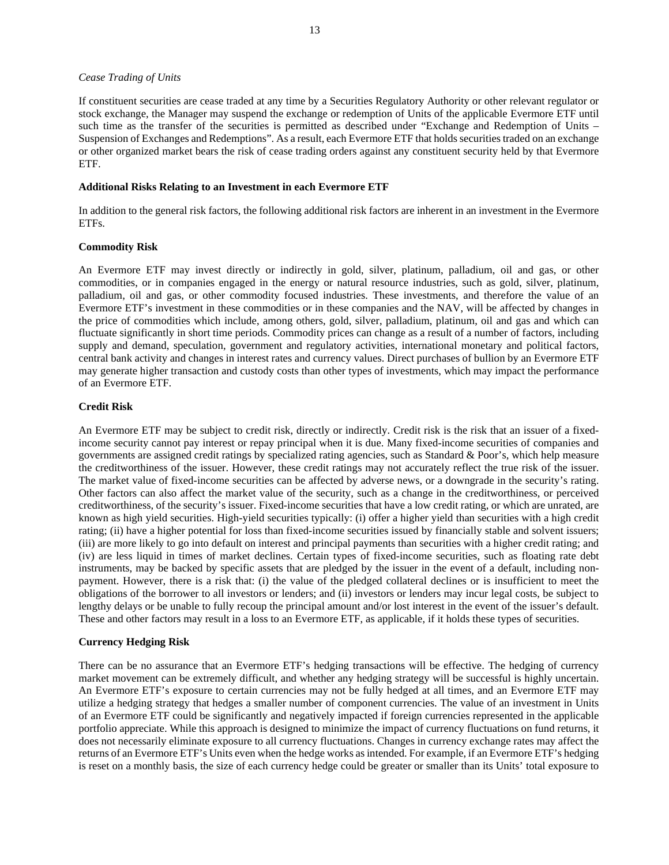#### *Cease Trading of Units*

If constituent securities are cease traded at any time by a Securities Regulatory Authority or other relevant regulator or stock exchange, the Manager may suspend the exchange or redemption of Units of the applicable Evermore ETF until such time as the transfer of the securities is permitted as described under "Exchange and Redemption of Units – Suspension of Exchanges and Redemptions". As a result, each Evermore ETF that holds securities traded on an exchange or other organized market bears the risk of cease trading orders against any constituent security held by that Evermore ETF.

#### **Additional Risks Relating to an Investment in each Evermore ETF**

In addition to the general risk factors, the following additional risk factors are inherent in an investment in the Evermore ETFs.

## **Commodity Risk**

An Evermore ETF may invest directly or indirectly in gold, silver, platinum, palladium, oil and gas, or other commodities, or in companies engaged in the energy or natural resource industries, such as gold, silver, platinum, palladium, oil and gas, or other commodity focused industries. These investments, and therefore the value of an Evermore ETF's investment in these commodities or in these companies and the NAV, will be affected by changes in the price of commodities which include, among others, gold, silver, palladium, platinum, oil and gas and which can fluctuate significantly in short time periods. Commodity prices can change as a result of a number of factors, including supply and demand, speculation, government and regulatory activities, international monetary and political factors, central bank activity and changes in interest rates and currency values. Direct purchases of bullion by an Evermore ETF may generate higher transaction and custody costs than other types of investments, which may impact the performance of an Evermore ETF.

#### **Credit Risk**

An Evermore ETF may be subject to credit risk, directly or indirectly. Credit risk is the risk that an issuer of a fixedincome security cannot pay interest or repay principal when it is due. Many fixed-income securities of companies and governments are assigned credit ratings by specialized rating agencies, such as Standard & Poor's, which help measure the creditworthiness of the issuer. However, these credit ratings may not accurately reflect the true risk of the issuer. The market value of fixed-income securities can be affected by adverse news, or a downgrade in the security's rating. Other factors can also affect the market value of the security, such as a change in the creditworthiness, or perceived creditworthiness, of the security's issuer. Fixed-income securities that have a low credit rating, or which are unrated, are known as high yield securities. High-yield securities typically: (i) offer a higher yield than securities with a high credit rating; (ii) have a higher potential for loss than fixed-income securities issued by financially stable and solvent issuers; (iii) are more likely to go into default on interest and principal payments than securities with a higher credit rating; and (iv) are less liquid in times of market declines. Certain types of fixed-income securities, such as floating rate debt instruments, may be backed by specific assets that are pledged by the issuer in the event of a default, including nonpayment. However, there is a risk that: (i) the value of the pledged collateral declines or is insufficient to meet the obligations of the borrower to all investors or lenders; and (ii) investors or lenders may incur legal costs, be subject to lengthy delays or be unable to fully recoup the principal amount and/or lost interest in the event of the issuer's default. These and other factors may result in a loss to an Evermore ETF, as applicable, if it holds these types of securities.

#### **Currency Hedging Risk**

There can be no assurance that an Evermore ETF's hedging transactions will be effective. The hedging of currency market movement can be extremely difficult, and whether any hedging strategy will be successful is highly uncertain. An Evermore ETF's exposure to certain currencies may not be fully hedged at all times, and an Evermore ETF may utilize a hedging strategy that hedges a smaller number of component currencies. The value of an investment in Units of an Evermore ETF could be significantly and negatively impacted if foreign currencies represented in the applicable portfolio appreciate. While this approach is designed to minimize the impact of currency fluctuations on fund returns, it does not necessarily eliminate exposure to all currency fluctuations. Changes in currency exchange rates may affect the returns of an Evermore ETF's Units even when the hedge works as intended. For example, if an Evermore ETF's hedging is reset on a monthly basis, the size of each currency hedge could be greater or smaller than its Units' total exposure to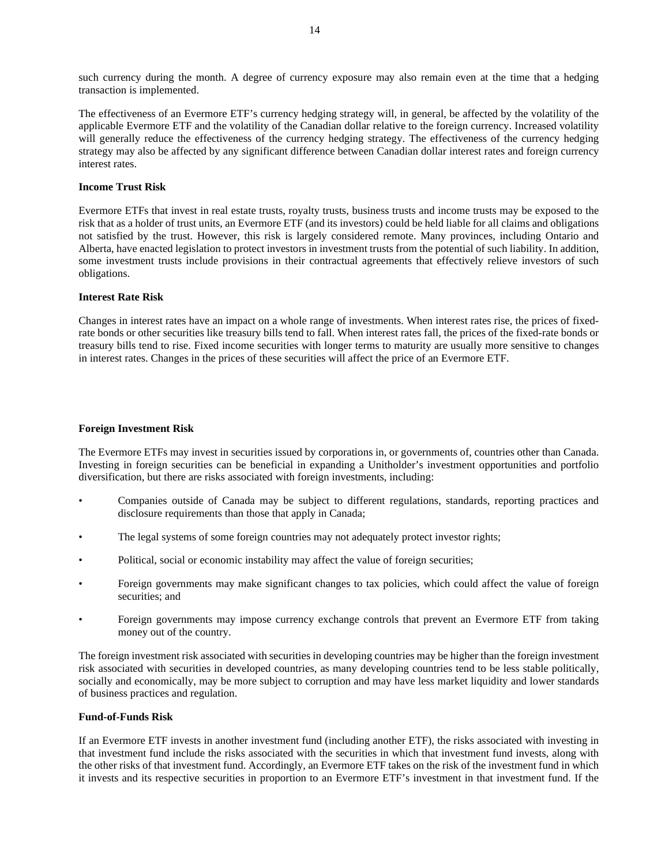such currency during the month. A degree of currency exposure may also remain even at the time that a hedging transaction is implemented.

The effectiveness of an Evermore ETF's currency hedging strategy will, in general, be affected by the volatility of the applicable Evermore ETF and the volatility of the Canadian dollar relative to the foreign currency. Increased volatility will generally reduce the effectiveness of the currency hedging strategy. The effectiveness of the currency hedging strategy may also be affected by any significant difference between Canadian dollar interest rates and foreign currency interest rates.

## **Income Trust Risk**

Evermore ETFs that invest in real estate trusts, royalty trusts, business trusts and income trusts may be exposed to the risk that as a holder of trust units, an Evermore ETF (and its investors) could be held liable for all claims and obligations not satisfied by the trust. However, this risk is largely considered remote. Many provinces, including Ontario and Alberta, have enacted legislation to protect investors in investment trusts from the potential of such liability. In addition, some investment trusts include provisions in their contractual agreements that effectively relieve investors of such obligations.

#### **Interest Rate Risk**

Changes in interest rates have an impact on a whole range of investments. When interest rates rise, the prices of fixedrate bonds or other securities like treasury bills tend to fall. When interest rates fall, the prices of the fixed-rate bonds or treasury bills tend to rise. Fixed income securities with longer terms to maturity are usually more sensitive to changes in interest rates. Changes in the prices of these securities will affect the price of an Evermore ETF.

#### **Foreign Investment Risk**

The Evermore ETFs may invest in securities issued by corporations in, or governments of, countries other than Canada. Investing in foreign securities can be beneficial in expanding a Unitholder's investment opportunities and portfolio diversification, but there are risks associated with foreign investments, including:

- Companies outside of Canada may be subject to different regulations, standards, reporting practices and disclosure requirements than those that apply in Canada;
- The legal systems of some foreign countries may not adequately protect investor rights;
- Political, social or economic instability may affect the value of foreign securities;
- Foreign governments may make significant changes to tax policies, which could affect the value of foreign securities; and
- Foreign governments may impose currency exchange controls that prevent an Evermore ETF from taking money out of the country.

The foreign investment risk associated with securities in developing countries may be higher than the foreign investment risk associated with securities in developed countries, as many developing countries tend to be less stable politically, socially and economically, may be more subject to corruption and may have less market liquidity and lower standards of business practices and regulation.

#### **Fund-of-Funds Risk**

If an Evermore ETF invests in another investment fund (including another ETF), the risks associated with investing in that investment fund include the risks associated with the securities in which that investment fund invests, along with the other risks of that investment fund. Accordingly, an Evermore ETF takes on the risk of the investment fund in which it invests and its respective securities in proportion to an Evermore ETF's investment in that investment fund. If the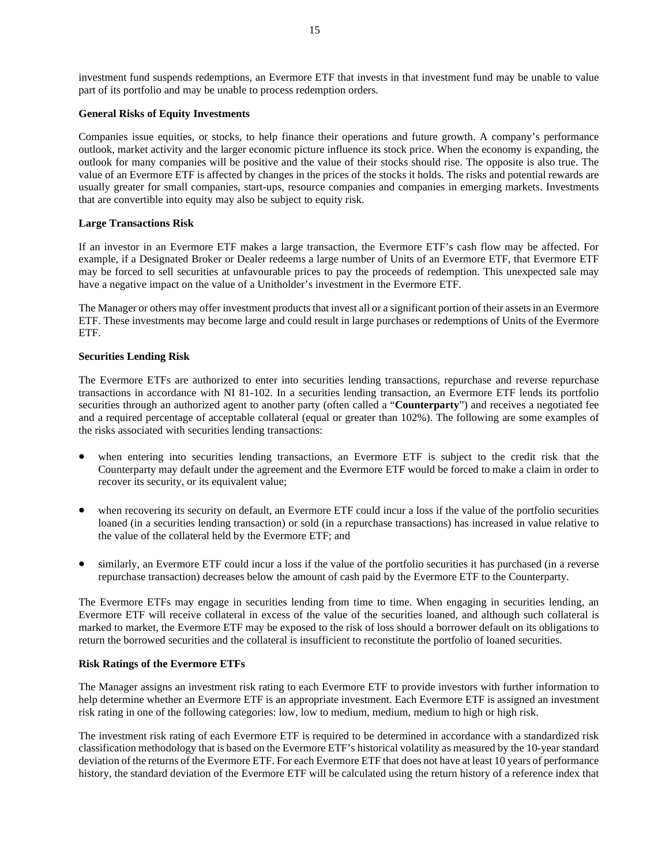investment fund suspends redemptions, an Evermore ETF that invests in that investment fund may be unable to value part of its portfolio and may be unable to process redemption orders.

### **General Risks of Equity Investments**

Companies issue equities, or stocks, to help finance their operations and future growth. A company's performance outlook, market activity and the larger economic picture influence its stock price. When the economy is expanding, the outlook for many companies will be positive and the value of their stocks should rise. The opposite is also true. The value of an Evermore ETF is affected by changes in the prices of the stocks it holds. The risks and potential rewards are usually greater for small companies, start-ups, resource companies and companies in emerging markets. Investments that are convertible into equity may also be subject to equity risk.

### **Large Transactions Risk**

If an investor in an Evermore ETF makes a large transaction, the Evermore ETF's cash flow may be affected. For example, if a Designated Broker or Dealer redeems a large number of Units of an Evermore ETF, that Evermore ETF may be forced to sell securities at unfavourable prices to pay the proceeds of redemption. This unexpected sale may have a negative impact on the value of a Unitholder's investment in the Evermore ETF.

The Manager or others may offer investment products that invest all or a significant portion of their assets in an Evermore ETF. These investments may become large and could result in large purchases or redemptions of Units of the Evermore ETF.

#### **Securities Lending Risk**

The Evermore ETFs are authorized to enter into securities lending transactions, repurchase and reverse repurchase transactions in accordance with NI 81-102. In a securities lending transaction, an Evermore ETF lends its portfolio securities through an authorized agent to another party (often called a "**Counterparty**") and receives a negotiated fee and a required percentage of acceptable collateral (equal or greater than 102%). The following are some examples of the risks associated with securities lending transactions:

- when entering into securities lending transactions, an Evermore ETF is subject to the credit risk that the Counterparty may default under the agreement and the Evermore ETF would be forced to make a claim in order to recover its security, or its equivalent value;
- when recovering its security on default, an Evermore ETF could incur a loss if the value of the portfolio securities loaned (in a securities lending transaction) or sold (in a repurchase transactions) has increased in value relative to the value of the collateral held by the Evermore ETF; and
- similarly, an Evermore ETF could incur a loss if the value of the portfolio securities it has purchased (in a reverse repurchase transaction) decreases below the amount of cash paid by the Evermore ETF to the Counterparty.

The Evermore ETFs may engage in securities lending from time to time. When engaging in securities lending, an Evermore ETF will receive collateral in excess of the value of the securities loaned, and although such collateral is marked to market, the Evermore ETF may be exposed to the risk of loss should a borrower default on its obligations to return the borrowed securities and the collateral is insufficient to reconstitute the portfolio of loaned securities.

#### **Risk Ratings of the Evermore ETFs**

The Manager assigns an investment risk rating to each Evermore ETF to provide investors with further information to help determine whether an Evermore ETF is an appropriate investment. Each Evermore ETF is assigned an investment risk rating in one of the following categories: low, low to medium, medium, medium to high or high risk.

The investment risk rating of each Evermore ETF is required to be determined in accordance with a standardized risk classification methodology that is based on the Evermore ETF's historical volatility as measured by the 10-year standard deviation of the returns of the Evermore ETF. For each Evermore ETF that does not have at least 10 years of performance history, the standard deviation of the Evermore ETF will be calculated using the return history of a reference index that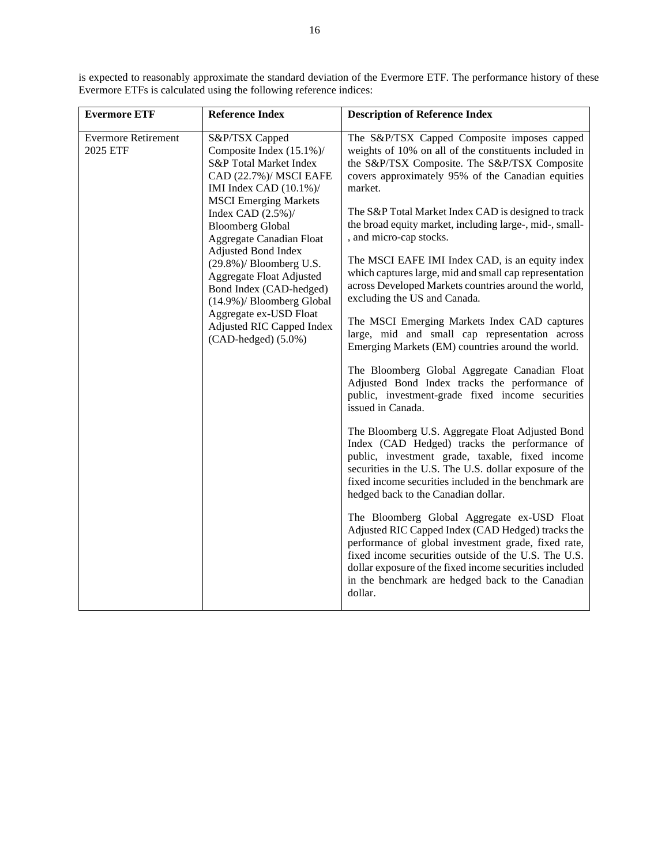| <b>Evermore ETF</b>                    | <b>Reference Index</b>                                                                                                                                                                                                                                                                                                                                                                                                                                                    | <b>Description of Reference Index</b>                                                                                                                                                                                                                                                                                                                                                                                                                                                                                                                                                                                                                                                                                                                                                                                                                                                                                                                                                                                                                                                                                                                                                                                                                                                                                                                                                                                                                                                                                                                                  |
|----------------------------------------|---------------------------------------------------------------------------------------------------------------------------------------------------------------------------------------------------------------------------------------------------------------------------------------------------------------------------------------------------------------------------------------------------------------------------------------------------------------------------|------------------------------------------------------------------------------------------------------------------------------------------------------------------------------------------------------------------------------------------------------------------------------------------------------------------------------------------------------------------------------------------------------------------------------------------------------------------------------------------------------------------------------------------------------------------------------------------------------------------------------------------------------------------------------------------------------------------------------------------------------------------------------------------------------------------------------------------------------------------------------------------------------------------------------------------------------------------------------------------------------------------------------------------------------------------------------------------------------------------------------------------------------------------------------------------------------------------------------------------------------------------------------------------------------------------------------------------------------------------------------------------------------------------------------------------------------------------------------------------------------------------------------------------------------------------------|
| <b>Evermore Retirement</b><br>2025 ETF | S&P/TSX Capped<br>Composite Index (15.1%)/<br>S&P Total Market Index<br>CAD (22.7%)/ MSCI EAFE<br>IMI Index CAD $(10.1\%)$<br><b>MSCI</b> Emerging Markets<br>Index CAD $(2.5\%)$<br><b>Bloomberg Global</b><br>Aggregate Canadian Float<br>Adjusted Bond Index<br>(29.8%)/ Bloomberg U.S.<br><b>Aggregate Float Adjusted</b><br>Bond Index (CAD-hedged)<br>(14.9%)/ Bloomberg Global<br>Aggregate ex-USD Float<br>Adjusted RIC Capped Index<br>$(CAD$ -hedged $)(5.0\%)$ | The S&P/TSX Capped Composite imposes capped<br>weights of 10% on all of the constituents included in<br>the S&P/TSX Composite. The S&P/TSX Composite<br>covers approximately 95% of the Canadian equities<br>market.<br>The S&P Total Market Index CAD is designed to track<br>the broad equity market, including large-, mid-, small-<br>, and micro-cap stocks.<br>The MSCI EAFE IMI Index CAD, is an equity index<br>which captures large, mid and small cap representation<br>across Developed Markets countries around the world,<br>excluding the US and Canada.<br>The MSCI Emerging Markets Index CAD captures<br>large, mid and small cap representation across<br>Emerging Markets (EM) countries around the world.<br>The Bloomberg Global Aggregate Canadian Float<br>Adjusted Bond Index tracks the performance of<br>public, investment-grade fixed income securities<br>issued in Canada.<br>The Bloomberg U.S. Aggregate Float Adjusted Bond<br>Index (CAD Hedged) tracks the performance of<br>public, investment grade, taxable, fixed income<br>securities in the U.S. The U.S. dollar exposure of the<br>fixed income securities included in the benchmark are<br>hedged back to the Canadian dollar.<br>The Bloomberg Global Aggregate ex-USD Float<br>Adjusted RIC Capped Index (CAD Hedged) tracks the<br>performance of global investment grade, fixed rate,<br>fixed income securities outside of the U.S. The U.S.<br>dollar exposure of the fixed income securities included<br>in the benchmark are hedged back to the Canadian<br>dollar. |

is expected to reasonably approximate the standard deviation of the Evermore ETF. The performance history of these Evermore ETFs is calculated using the following reference indices: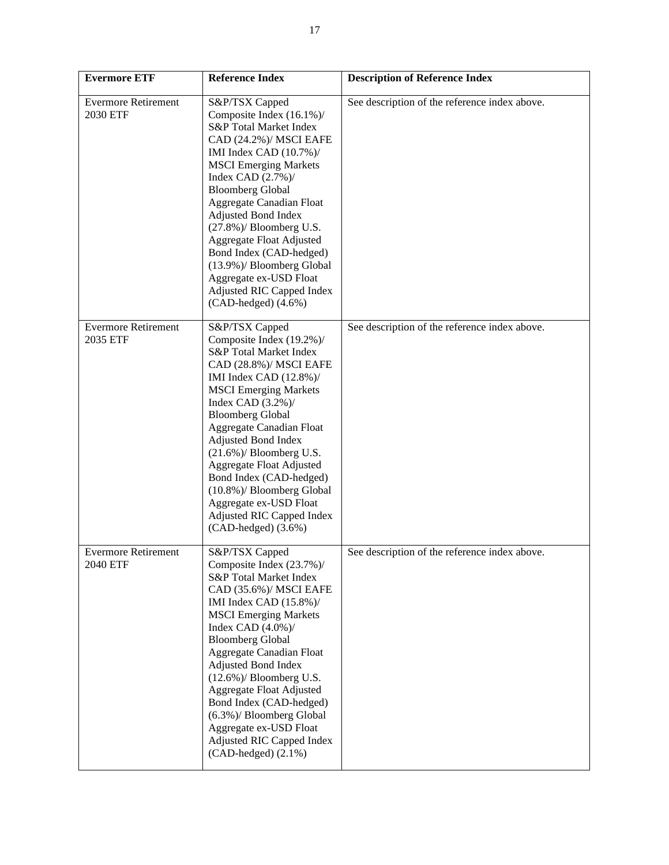| <b>Evermore ETF</b>                    | <b>Reference Index</b>                                                                                                                                                                                                                                                                                                                                                                                                                                                             | <b>Description of Reference Index</b>         |
|----------------------------------------|------------------------------------------------------------------------------------------------------------------------------------------------------------------------------------------------------------------------------------------------------------------------------------------------------------------------------------------------------------------------------------------------------------------------------------------------------------------------------------|-----------------------------------------------|
| <b>Evermore Retirement</b><br>2030 ETF | S&P/TSX Capped<br>Composite Index (16.1%)/<br>S&P Total Market Index<br>CAD (24.2%)/ MSCI EAFE<br>IMI Index CAD $(10.7\%)$<br><b>MSCI</b> Emerging Markets<br>Index CAD $(2.7\%)$<br><b>Bloomberg Global</b><br>Aggregate Canadian Float<br><b>Adjusted Bond Index</b><br>$(27.8\%)$ Bloomberg U.S.<br><b>Aggregate Float Adjusted</b><br>Bond Index (CAD-hedged)<br>(13.9%)/ Bloomberg Global<br>Aggregate ex-USD Float<br>Adjusted RIC Capped Index<br>$(CAD$ -hedged $)(4.6\%)$ | See description of the reference index above. |
| <b>Evermore Retirement</b><br>2035 ETF | S&P/TSX Capped<br>Composite Index (19.2%)/<br>S&P Total Market Index<br>CAD (28.8%)/ MSCI EAFE<br>IMI Index CAD (12.8%)/<br><b>MSCI Emerging Markets</b><br>Index CAD $(3.2\%)$<br><b>Bloomberg Global</b><br><b>Aggregate Canadian Float</b><br>Adjusted Bond Index<br>$(21.6\%)$ Bloomberg U.S.<br><b>Aggregate Float Adjusted</b><br>Bond Index (CAD-hedged)<br>(10.8%)/ Bloomberg Global<br>Aggregate ex-USD Float<br>Adjusted RIC Capped Index<br>$(CAD$ -hedged $)(3.6\%)$   | See description of the reference index above. |
| <b>Evermore Retirement</b><br>2040 ETF | S&P/TSX Capped<br>Composite Index (23.7%)/<br>S&P Total Market Index<br>CAD (35.6%)/ MSCI EAFE<br>IMI Index CAD (15.8%)/<br><b>MSCI</b> Emerging Markets<br>Index CAD $(4.0\%)$<br><b>Bloomberg Global</b><br>Aggregate Canadian Float<br><b>Adjusted Bond Index</b><br>$(12.6\%)$ Bloomberg U.S.<br><b>Aggregate Float Adjusted</b><br>Bond Index (CAD-hedged)<br>(6.3%)/ Bloomberg Global<br>Aggregate ex-USD Float<br>Adjusted RIC Capped Index<br>$(CAD-hedged)$ $(2.1\%)$     | See description of the reference index above. |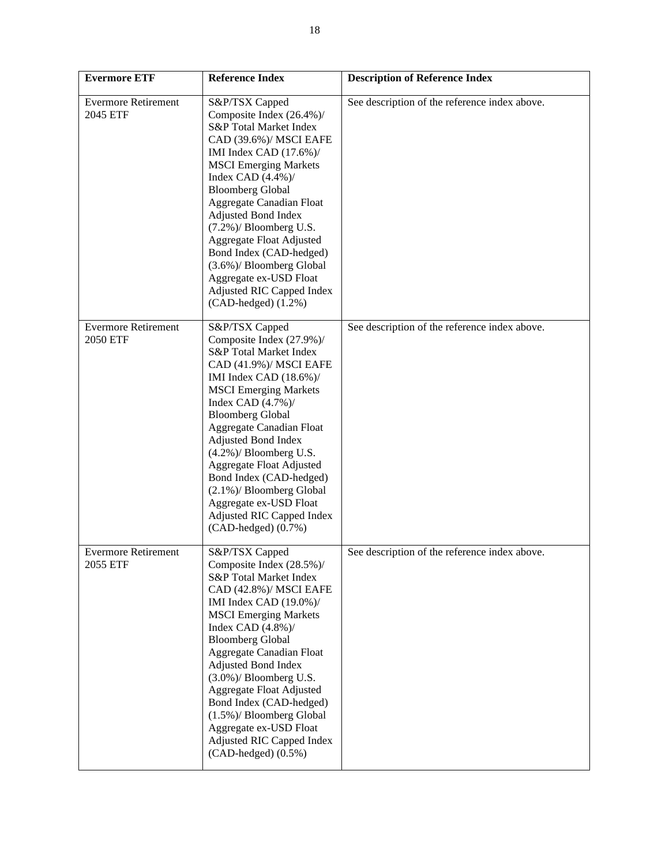| <b>Evermore ETF</b>                    | <b>Reference Index</b>                                                                                                                                                                                                                                                                                                                                                                                                                                                                             | <b>Description of Reference Index</b>         |
|----------------------------------------|----------------------------------------------------------------------------------------------------------------------------------------------------------------------------------------------------------------------------------------------------------------------------------------------------------------------------------------------------------------------------------------------------------------------------------------------------------------------------------------------------|-----------------------------------------------|
| <b>Evermore Retirement</b><br>2045 ETF | S&P/TSX Capped<br>Composite Index (26.4%)/<br><b>S&amp;P</b> Total Market Index<br>CAD (39.6%)/ MSCI EAFE<br>IMI Index CAD $(17.6\%)$<br><b>MSCI Emerging Markets</b><br>Index CAD $(4.4\%)$<br><b>Bloomberg Global</b><br><b>Aggregate Canadian Float</b><br><b>Adjusted Bond Index</b><br>$(7.2\%)$ Bloomberg U.S.<br><b>Aggregate Float Adjusted</b><br>Bond Index (CAD-hedged)<br>(3.6%)/ Bloomberg Global<br>Aggregate ex-USD Float<br>Adjusted RIC Capped Index<br>$(CAD$ -hedged $)(1.2\%)$ | See description of the reference index above. |
| <b>Evermore Retirement</b><br>2050 ETF | S&P/TSX Capped<br>Composite Index (27.9%)/<br><b>S&amp;P</b> Total Market Index<br>CAD (41.9%)/ MSCI EAFE<br>IMI Index CAD (18.6%)/<br><b>MSCI</b> Emerging Markets<br>Index CAD $(4.7\%)$<br><b>Bloomberg Global</b><br><b>Aggregate Canadian Float</b><br>Adjusted Bond Index<br>$(4.2\%)$ Bloomberg U.S.<br>Aggregate Float Adjusted<br>Bond Index (CAD-hedged)<br>(2.1%)/ Bloomberg Global<br>Aggregate ex-USD Float<br>Adjusted RIC Capped Index<br>$(CAD$ -hedged $)(0.7\%)$                 | See description of the reference index above. |
| <b>Evermore Retirement</b><br>2055 ETF | S&P/TSX Capped<br>Composite Index (28.5%)/<br>S&P Total Market Index<br>CAD (42.8%)/ MSCI EAFE<br>IMI Index CAD (19.0%)/<br><b>MSCI Emerging Markets</b><br>Index CAD $(4.8\%)$<br><b>Bloomberg Global</b><br><b>Aggregate Canadian Float</b><br><b>Adjusted Bond Index</b><br>$(3.0\%)$ Bloomberg U.S.<br><b>Aggregate Float Adjusted</b><br>Bond Index (CAD-hedged)<br>(1.5%)/ Bloomberg Global<br>Aggregate ex-USD Float<br>Adjusted RIC Capped Index<br>$(CAD$ -hedged $)(0.5\%)$              | See description of the reference index above. |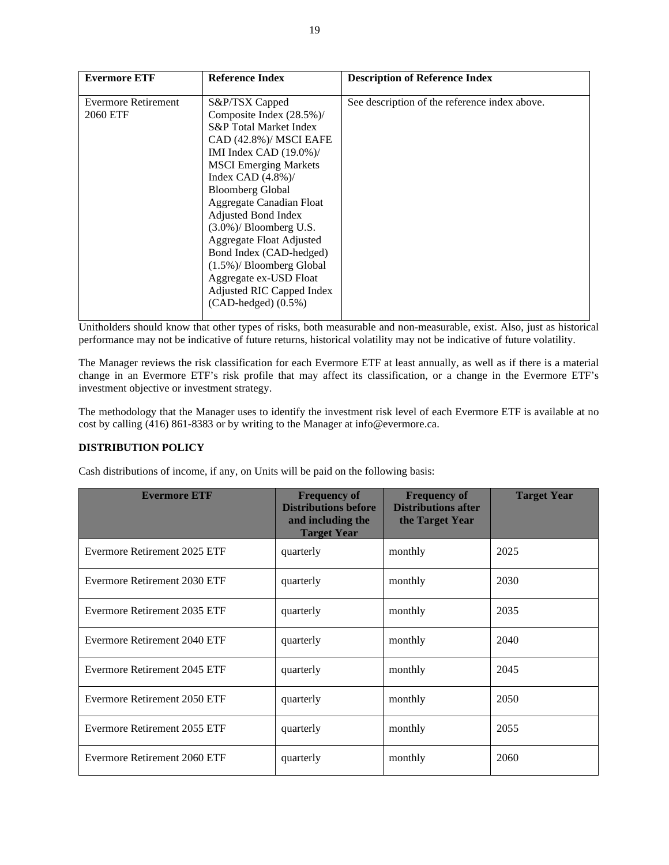| <b>Evermore ETF</b>             | <b>Reference Index</b>                                                                                                                                                                                                                                                                                                                                                                                                                                                          | <b>Description of Reference Index</b>         |
|---------------------------------|---------------------------------------------------------------------------------------------------------------------------------------------------------------------------------------------------------------------------------------------------------------------------------------------------------------------------------------------------------------------------------------------------------------------------------------------------------------------------------|-----------------------------------------------|
| Evermore Retirement<br>2060 ETF | S&P/TSX Capped<br>Composite Index (28.5%)/<br><b>S&amp;P</b> Total Market Index<br>CAD (42.8%)/ MSCI EAFE<br>IMI Index CAD $(19.0\%)$<br><b>MSCI Emerging Markets</b><br>Index CAD $(4.8\%)$<br><b>Bloomberg Global</b><br>Aggregate Canadian Float<br>Adjusted Bond Index<br>$(3.0\%)$ Bloomberg U.S.<br>Aggregate Float Adjusted<br>Bond Index (CAD-hedged)<br>$(1.5\%)$ Bloomberg Global<br>Aggregate ex-USD Float<br>Adjusted RIC Capped Index<br>$(CAD$ -hedged $)(0.5\%)$ | See description of the reference index above. |

Unitholders should know that other types of risks, both measurable and non-measurable, exist. Also, just as historical performance may not be indicative of future returns, historical volatility may not be indicative of future volatility.

The Manager reviews the risk classification for each Evermore ETF at least annually, as well as if there is a material change in an Evermore ETF's risk profile that may affect its classification, or a change in the Evermore ETF's investment objective or investment strategy.

The methodology that the Manager uses to identify the investment risk level of each Evermore ETF is available at no cost by calling (416) 861-8383 or by writing to the Manager at info@evermore.ca.

# **DISTRIBUTION POLICY**

Cash distributions of income, if any, on Units will be paid on the following basis:

| <b>Evermore ETF</b>          | <b>Frequency of</b><br><b>Distributions before</b><br>and including the<br><b>Target Year</b> | <b>Frequency of</b><br><b>Distributions after</b><br>the Target Year | <b>Target Year</b> |
|------------------------------|-----------------------------------------------------------------------------------------------|----------------------------------------------------------------------|--------------------|
| Evermore Retirement 2025 ETF | quarterly                                                                                     | monthly                                                              | 2025               |
| Evermore Retirement 2030 ETF | quarterly                                                                                     | monthly                                                              | 2030               |
| Evermore Retirement 2035 ETF | quarterly                                                                                     | monthly                                                              | 2035               |
| Evermore Retirement 2040 ETF | quarterly                                                                                     | monthly                                                              | 2040               |
| Evermore Retirement 2045 ETF | quarterly                                                                                     | monthly                                                              | 2045               |
| Evermore Retirement 2050 ETF | quarterly                                                                                     | monthly                                                              | 2050               |
| Evermore Retirement 2055 ETF | quarterly                                                                                     | monthly                                                              | 2055               |
| Evermore Retirement 2060 ETF | quarterly                                                                                     | monthly                                                              | 2060               |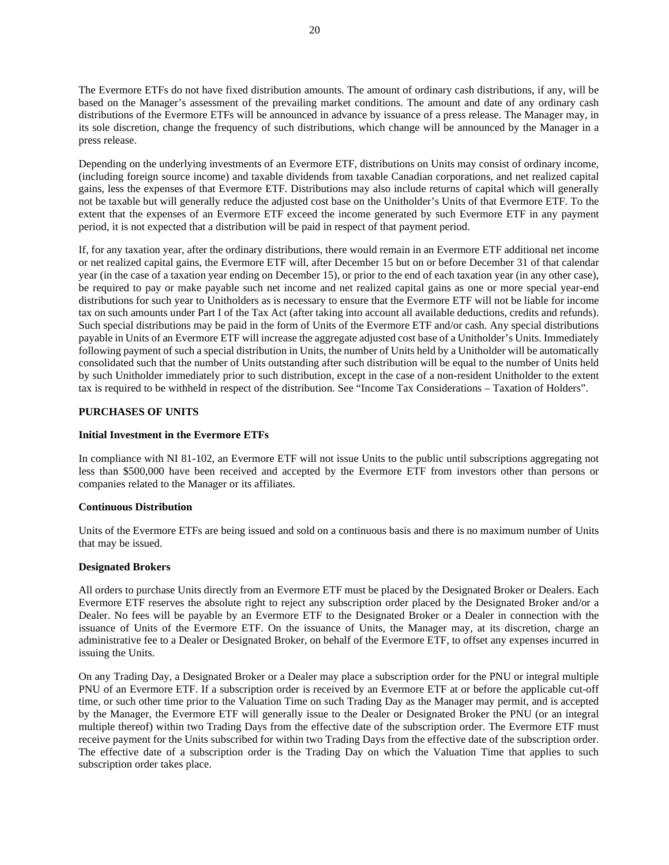The Evermore ETFs do not have fixed distribution amounts. The amount of ordinary cash distributions, if any, will be based on the Manager's assessment of the prevailing market conditions. The amount and date of any ordinary cash distributions of the Evermore ETFs will be announced in advance by issuance of a press release. The Manager may, in its sole discretion, change the frequency of such distributions, which change will be announced by the Manager in a press release.

Depending on the underlying investments of an Evermore ETF, distributions on Units may consist of ordinary income, (including foreign source income) and taxable dividends from taxable Canadian corporations, and net realized capital gains, less the expenses of that Evermore ETF. Distributions may also include returns of capital which will generally not be taxable but will generally reduce the adjusted cost base on the Unitholder's Units of that Evermore ETF. To the extent that the expenses of an Evermore ETF exceed the income generated by such Evermore ETF in any payment period, it is not expected that a distribution will be paid in respect of that payment period.

If, for any taxation year, after the ordinary distributions, there would remain in an Evermore ETF additional net income or net realized capital gains, the Evermore ETF will, after December 15 but on or before December 31 of that calendar year (in the case of a taxation year ending on December 15), or prior to the end of each taxation year (in any other case), be required to pay or make payable such net income and net realized capital gains as one or more special year-end distributions for such year to Unitholders as is necessary to ensure that the Evermore ETF will not be liable for income tax on such amounts under Part I of the Tax Act (after taking into account all available deductions, credits and refunds). Such special distributions may be paid in the form of Units of the Evermore ETF and/or cash. Any special distributions payable in Units of an Evermore ETF will increase the aggregate adjusted cost base of a Unitholder's Units. Immediately following payment of such a special distribution in Units, the number of Units held by a Unitholder will be automatically consolidated such that the number of Units outstanding after such distribution will be equal to the number of Units held by such Unitholder immediately prior to such distribution, except in the case of a non-resident Unitholder to the extent tax is required to be withheld in respect of the distribution. See "Income Tax Considerations – Taxation of Holders".

# **PURCHASES OF UNITS**

# **Initial Investment in the Evermore ETFs**

In compliance with NI 81-102, an Evermore ETF will not issue Units to the public until subscriptions aggregating not less than \$500,000 have been received and accepted by the Evermore ETF from investors other than persons or companies related to the Manager or its affiliates.

# **Continuous Distribution**

Units of the Evermore ETFs are being issued and sold on a continuous basis and there is no maximum number of Units that may be issued.

# **Designated Brokers**

All orders to purchase Units directly from an Evermore ETF must be placed by the Designated Broker or Dealers. Each Evermore ETF reserves the absolute right to reject any subscription order placed by the Designated Broker and/or a Dealer. No fees will be payable by an Evermore ETF to the Designated Broker or a Dealer in connection with the issuance of Units of the Evermore ETF. On the issuance of Units, the Manager may, at its discretion, charge an administrative fee to a Dealer or Designated Broker, on behalf of the Evermore ETF, to offset any expenses incurred in issuing the Units.

On any Trading Day, a Designated Broker or a Dealer may place a subscription order for the PNU or integral multiple PNU of an Evermore ETF. If a subscription order is received by an Evermore ETF at or before the applicable cut-off time, or such other time prior to the Valuation Time on such Trading Day as the Manager may permit, and is accepted by the Manager, the Evermore ETF will generally issue to the Dealer or Designated Broker the PNU (or an integral multiple thereof) within two Trading Days from the effective date of the subscription order. The Evermore ETF must receive payment for the Units subscribed for within two Trading Days from the effective date of the subscription order. The effective date of a subscription order is the Trading Day on which the Valuation Time that applies to such subscription order takes place.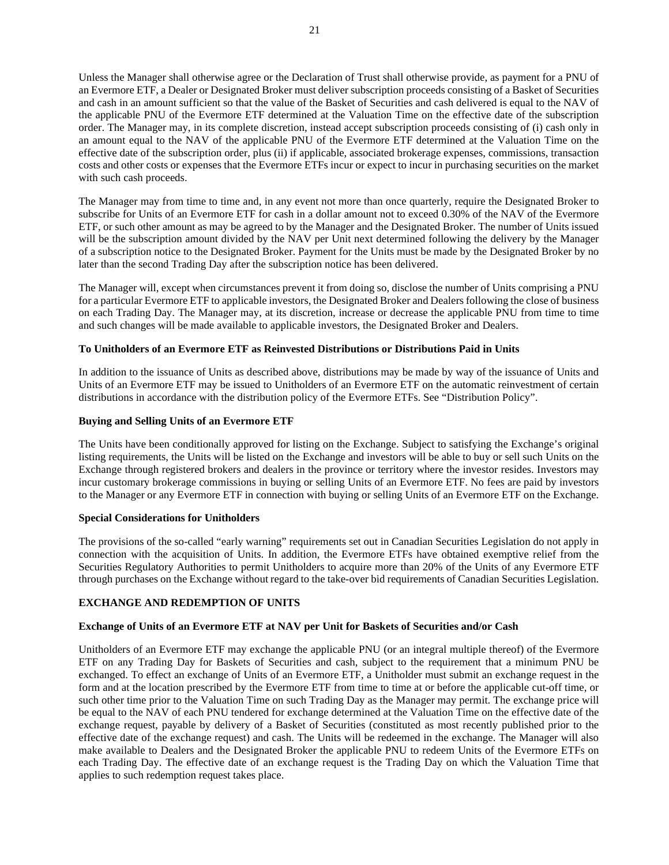Unless the Manager shall otherwise agree or the Declaration of Trust shall otherwise provide, as payment for a PNU of an Evermore ETF, a Dealer or Designated Broker must deliver subscription proceeds consisting of a Basket of Securities and cash in an amount sufficient so that the value of the Basket of Securities and cash delivered is equal to the NAV of the applicable PNU of the Evermore ETF determined at the Valuation Time on the effective date of the subscription order. The Manager may, in its complete discretion, instead accept subscription proceeds consisting of (i) cash only in an amount equal to the NAV of the applicable PNU of the Evermore ETF determined at the Valuation Time on the effective date of the subscription order, plus (ii) if applicable, associated brokerage expenses, commissions, transaction costs and other costs or expenses that the Evermore ETFs incur or expect to incur in purchasing securities on the market with such cash proceeds.

The Manager may from time to time and, in any event not more than once quarterly, require the Designated Broker to subscribe for Units of an Evermore ETF for cash in a dollar amount not to exceed 0.30% of the NAV of the Evermore ETF, or such other amount as may be agreed to by the Manager and the Designated Broker. The number of Units issued will be the subscription amount divided by the NAV per Unit next determined following the delivery by the Manager of a subscription notice to the Designated Broker. Payment for the Units must be made by the Designated Broker by no later than the second Trading Day after the subscription notice has been delivered.

The Manager will, except when circumstances prevent it from doing so, disclose the number of Units comprising a PNU for a particular Evermore ETF to applicable investors, the Designated Broker and Dealers following the close of business on each Trading Day. The Manager may, at its discretion, increase or decrease the applicable PNU from time to time and such changes will be made available to applicable investors, the Designated Broker and Dealers.

# **To Unitholders of an Evermore ETF as Reinvested Distributions or Distributions Paid in Units**

In addition to the issuance of Units as described above, distributions may be made by way of the issuance of Units and Units of an Evermore ETF may be issued to Unitholders of an Evermore ETF on the automatic reinvestment of certain distributions in accordance with the distribution policy of the Evermore ETFs. See "Distribution Policy".

# **Buying and Selling Units of an Evermore ETF**

The Units have been conditionally approved for listing on the Exchange. Subject to satisfying the Exchange's original listing requirements, the Units will be listed on the Exchange and investors will be able to buy or sell such Units on the Exchange through registered brokers and dealers in the province or territory where the investor resides. Investors may incur customary brokerage commissions in buying or selling Units of an Evermore ETF. No fees are paid by investors to the Manager or any Evermore ETF in connection with buying or selling Units of an Evermore ETF on the Exchange.

# **Special Considerations for Unitholders**

The provisions of the so-called "early warning" requirements set out in Canadian Securities Legislation do not apply in connection with the acquisition of Units. In addition, the Evermore ETFs have obtained exemptive relief from the Securities Regulatory Authorities to permit Unitholders to acquire more than 20% of the Units of any Evermore ETF through purchases on the Exchange without regard to the take-over bid requirements of Canadian Securities Legislation.

# **EXCHANGE AND REDEMPTION OF UNITS**

# **Exchange of Units of an Evermore ETF at NAV per Unit for Baskets of Securities and/or Cash**

Unitholders of an Evermore ETF may exchange the applicable PNU (or an integral multiple thereof) of the Evermore ETF on any Trading Day for Baskets of Securities and cash, subject to the requirement that a minimum PNU be exchanged. To effect an exchange of Units of an Evermore ETF, a Unitholder must submit an exchange request in the form and at the location prescribed by the Evermore ETF from time to time at or before the applicable cut-off time, or such other time prior to the Valuation Time on such Trading Day as the Manager may permit. The exchange price will be equal to the NAV of each PNU tendered for exchange determined at the Valuation Time on the effective date of the exchange request, payable by delivery of a Basket of Securities (constituted as most recently published prior to the effective date of the exchange request) and cash. The Units will be redeemed in the exchange. The Manager will also make available to Dealers and the Designated Broker the applicable PNU to redeem Units of the Evermore ETFs on each Trading Day. The effective date of an exchange request is the Trading Day on which the Valuation Time that applies to such redemption request takes place.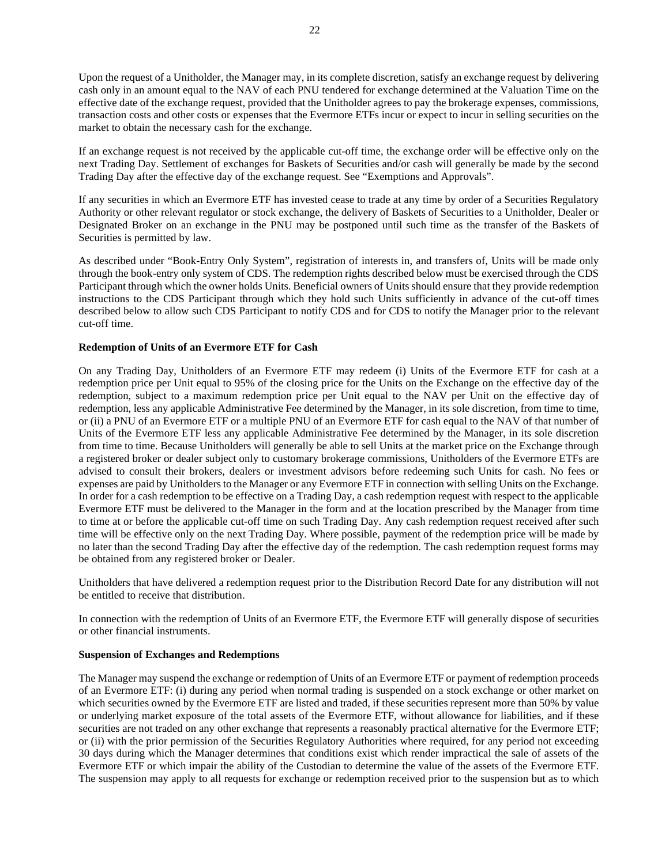Upon the request of a Unitholder, the Manager may, in its complete discretion, satisfy an exchange request by delivering cash only in an amount equal to the NAV of each PNU tendered for exchange determined at the Valuation Time on the effective date of the exchange request, provided that the Unitholder agrees to pay the brokerage expenses, commissions, transaction costs and other costs or expenses that the Evermore ETFs incur or expect to incur in selling securities on the market to obtain the necessary cash for the exchange.

If an exchange request is not received by the applicable cut-off time, the exchange order will be effective only on the next Trading Day. Settlement of exchanges for Baskets of Securities and/or cash will generally be made by the second Trading Day after the effective day of the exchange request. See "Exemptions and Approvals".

If any securities in which an Evermore ETF has invested cease to trade at any time by order of a Securities Regulatory Authority or other relevant regulator or stock exchange, the delivery of Baskets of Securities to a Unitholder, Dealer or Designated Broker on an exchange in the PNU may be postponed until such time as the transfer of the Baskets of Securities is permitted by law.

As described under "Book-Entry Only System", registration of interests in, and transfers of, Units will be made only through the book-entry only system of CDS. The redemption rights described below must be exercised through the CDS Participant through which the owner holds Units. Beneficial owners of Units should ensure that they provide redemption instructions to the CDS Participant through which they hold such Units sufficiently in advance of the cut-off times described below to allow such CDS Participant to notify CDS and for CDS to notify the Manager prior to the relevant cut-off time.

# **Redemption of Units of an Evermore ETF for Cash**

On any Trading Day, Unitholders of an Evermore ETF may redeem (i) Units of the Evermore ETF for cash at a redemption price per Unit equal to 95% of the closing price for the Units on the Exchange on the effective day of the redemption, subject to a maximum redemption price per Unit equal to the NAV per Unit on the effective day of redemption, less any applicable Administrative Fee determined by the Manager, in its sole discretion, from time to time, or (ii) a PNU of an Evermore ETF or a multiple PNU of an Evermore ETF for cash equal to the NAV of that number of Units of the Evermore ETF less any applicable Administrative Fee determined by the Manager, in its sole discretion from time to time. Because Unitholders will generally be able to sell Units at the market price on the Exchange through a registered broker or dealer subject only to customary brokerage commissions, Unitholders of the Evermore ETFs are advised to consult their brokers, dealers or investment advisors before redeeming such Units for cash. No fees or expenses are paid by Unitholders to the Manager or any Evermore ETF in connection with selling Units on the Exchange. In order for a cash redemption to be effective on a Trading Day, a cash redemption request with respect to the applicable Evermore ETF must be delivered to the Manager in the form and at the location prescribed by the Manager from time to time at or before the applicable cut-off time on such Trading Day. Any cash redemption request received after such time will be effective only on the next Trading Day. Where possible, payment of the redemption price will be made by no later than the second Trading Day after the effective day of the redemption. The cash redemption request forms may be obtained from any registered broker or Dealer.

Unitholders that have delivered a redemption request prior to the Distribution Record Date for any distribution will not be entitled to receive that distribution.

In connection with the redemption of Units of an Evermore ETF, the Evermore ETF will generally dispose of securities or other financial instruments.

# **Suspension of Exchanges and Redemptions**

The Manager may suspend the exchange or redemption of Units of an Evermore ETF or payment of redemption proceeds of an Evermore ETF: (i) during any period when normal trading is suspended on a stock exchange or other market on which securities owned by the Evermore ETF are listed and traded, if these securities represent more than 50% by value or underlying market exposure of the total assets of the Evermore ETF, without allowance for liabilities, and if these securities are not traded on any other exchange that represents a reasonably practical alternative for the Evermore ETF; or (ii) with the prior permission of the Securities Regulatory Authorities where required, for any period not exceeding 30 days during which the Manager determines that conditions exist which render impractical the sale of assets of the Evermore ETF or which impair the ability of the Custodian to determine the value of the assets of the Evermore ETF. The suspension may apply to all requests for exchange or redemption received prior to the suspension but as to which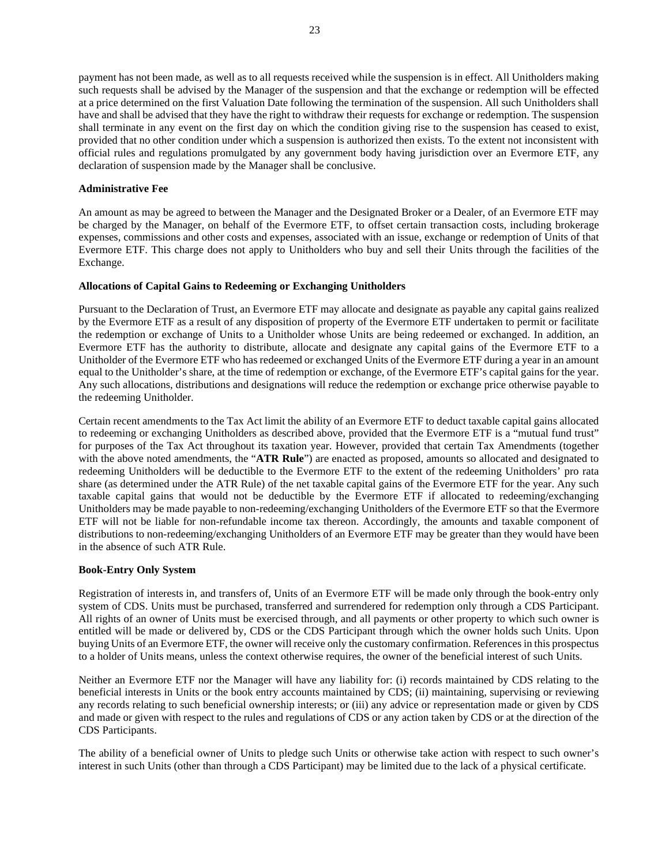payment has not been made, as well as to all requests received while the suspension is in effect. All Unitholders making such requests shall be advised by the Manager of the suspension and that the exchange or redemption will be effected at a price determined on the first Valuation Date following the termination of the suspension. All such Unitholders shall have and shall be advised that they have the right to withdraw their requests for exchange or redemption. The suspension shall terminate in any event on the first day on which the condition giving rise to the suspension has ceased to exist, provided that no other condition under which a suspension is authorized then exists. To the extent not inconsistent with official rules and regulations promulgated by any government body having jurisdiction over an Evermore ETF, any declaration of suspension made by the Manager shall be conclusive.

#### **Administrative Fee**

An amount as may be agreed to between the Manager and the Designated Broker or a Dealer, of an Evermore ETF may be charged by the Manager, on behalf of the Evermore ETF, to offset certain transaction costs, including brokerage expenses, commissions and other costs and expenses, associated with an issue, exchange or redemption of Units of that Evermore ETF. This charge does not apply to Unitholders who buy and sell their Units through the facilities of the Exchange.

#### **Allocations of Capital Gains to Redeeming or Exchanging Unitholders**

Pursuant to the Declaration of Trust, an Evermore ETF may allocate and designate as payable any capital gains realized by the Evermore ETF as a result of any disposition of property of the Evermore ETF undertaken to permit or facilitate the redemption or exchange of Units to a Unitholder whose Units are being redeemed or exchanged. In addition, an Evermore ETF has the authority to distribute, allocate and designate any capital gains of the Evermore ETF to a Unitholder of the Evermore ETF who has redeemed or exchanged Units of the Evermore ETF during a year in an amount equal to the Unitholder's share, at the time of redemption or exchange, of the Evermore ETF's capital gains for the year. Any such allocations, distributions and designations will reduce the redemption or exchange price otherwise payable to the redeeming Unitholder.

Certain recent amendments to the Tax Act limit the ability of an Evermore ETF to deduct taxable capital gains allocated to redeeming or exchanging Unitholders as described above, provided that the Evermore ETF is a "mutual fund trust" for purposes of the Tax Act throughout its taxation year. However, provided that certain Tax Amendments (together with the above noted amendments, the "**ATR Rule**") are enacted as proposed, amounts so allocated and designated to redeeming Unitholders will be deductible to the Evermore ETF to the extent of the redeeming Unitholders' pro rata share (as determined under the ATR Rule) of the net taxable capital gains of the Evermore ETF for the year. Any such taxable capital gains that would not be deductible by the Evermore ETF if allocated to redeeming/exchanging Unitholders may be made payable to non-redeeming/exchanging Unitholders of the Evermore ETF so that the Evermore ETF will not be liable for non-refundable income tax thereon. Accordingly, the amounts and taxable component of distributions to non-redeeming/exchanging Unitholders of an Evermore ETF may be greater than they would have been in the absence of such ATR Rule.

#### **Book-Entry Only System**

Registration of interests in, and transfers of, Units of an Evermore ETF will be made only through the book-entry only system of CDS. Units must be purchased, transferred and surrendered for redemption only through a CDS Participant. All rights of an owner of Units must be exercised through, and all payments or other property to which such owner is entitled will be made or delivered by, CDS or the CDS Participant through which the owner holds such Units. Upon buying Units of an Evermore ETF, the owner will receive only the customary confirmation. References in this prospectus to a holder of Units means, unless the context otherwise requires, the owner of the beneficial interest of such Units.

Neither an Evermore ETF nor the Manager will have any liability for: (i) records maintained by CDS relating to the beneficial interests in Units or the book entry accounts maintained by CDS; (ii) maintaining, supervising or reviewing any records relating to such beneficial ownership interests; or (iii) any advice or representation made or given by CDS and made or given with respect to the rules and regulations of CDS or any action taken by CDS or at the direction of the CDS Participants.

The ability of a beneficial owner of Units to pledge such Units or otherwise take action with respect to such owner's interest in such Units (other than through a CDS Participant) may be limited due to the lack of a physical certificate.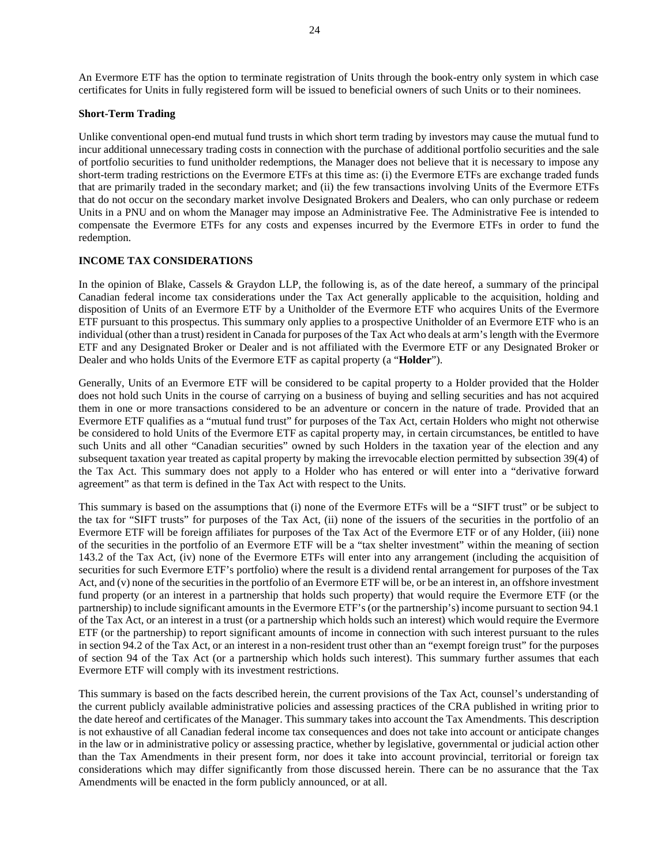An Evermore ETF has the option to terminate registration of Units through the book-entry only system in which case certificates for Units in fully registered form will be issued to beneficial owners of such Units or to their nominees.

# **Short-Term Trading**

Unlike conventional open-end mutual fund trusts in which short term trading by investors may cause the mutual fund to incur additional unnecessary trading costs in connection with the purchase of additional portfolio securities and the sale of portfolio securities to fund unitholder redemptions, the Manager does not believe that it is necessary to impose any short-term trading restrictions on the Evermore ETFs at this time as: (i) the Evermore ETFs are exchange traded funds that are primarily traded in the secondary market; and (ii) the few transactions involving Units of the Evermore ETFs that do not occur on the secondary market involve Designated Brokers and Dealers, who can only purchase or redeem Units in a PNU and on whom the Manager may impose an Administrative Fee. The Administrative Fee is intended to compensate the Evermore ETFs for any costs and expenses incurred by the Evermore ETFs in order to fund the redemption.

# **INCOME TAX CONSIDERATIONS**

In the opinion of Blake, Cassels & Graydon LLP, the following is, as of the date hereof, a summary of the principal Canadian federal income tax considerations under the Tax Act generally applicable to the acquisition, holding and disposition of Units of an Evermore ETF by a Unitholder of the Evermore ETF who acquires Units of the Evermore ETF pursuant to this prospectus. This summary only applies to a prospective Unitholder of an Evermore ETF who is an individual (other than a trust) resident in Canada for purposes of the Tax Act who deals at arm's length with the Evermore ETF and any Designated Broker or Dealer and is not affiliated with the Evermore ETF or any Designated Broker or Dealer and who holds Units of the Evermore ETF as capital property (a "**Holder**").

Generally, Units of an Evermore ETF will be considered to be capital property to a Holder provided that the Holder does not hold such Units in the course of carrying on a business of buying and selling securities and has not acquired them in one or more transactions considered to be an adventure or concern in the nature of trade. Provided that an Evermore ETF qualifies as a "mutual fund trust" for purposes of the Tax Act, certain Holders who might not otherwise be considered to hold Units of the Evermore ETF as capital property may, in certain circumstances, be entitled to have such Units and all other "Canadian securities" owned by such Holders in the taxation year of the election and any subsequent taxation year treated as capital property by making the irrevocable election permitted by subsection 39(4) of the Tax Act. This summary does not apply to a Holder who has entered or will enter into a "derivative forward agreement" as that term is defined in the Tax Act with respect to the Units.

This summary is based on the assumptions that (i) none of the Evermore ETFs will be a "SIFT trust" or be subject to the tax for "SIFT trusts" for purposes of the Tax Act, (ii) none of the issuers of the securities in the portfolio of an Evermore ETF will be foreign affiliates for purposes of the Tax Act of the Evermore ETF or of any Holder, (iii) none of the securities in the portfolio of an Evermore ETF will be a "tax shelter investment" within the meaning of section 143.2 of the Tax Act, (iv) none of the Evermore ETFs will enter into any arrangement (including the acquisition of securities for such Evermore ETF's portfolio) where the result is a dividend rental arrangement for purposes of the Tax Act, and (v) none of the securities in the portfolio of an Evermore ETF will be, or be an interest in, an offshore investment fund property (or an interest in a partnership that holds such property) that would require the Evermore ETF (or the partnership) to include significant amounts in the Evermore ETF's (or the partnership's) income pursuant to section 94.1 of the Tax Act, or an interest in a trust (or a partnership which holds such an interest) which would require the Evermore ETF (or the partnership) to report significant amounts of income in connection with such interest pursuant to the rules in section 94.2 of the Tax Act, or an interest in a non-resident trust other than an "exempt foreign trust" for the purposes of section 94 of the Tax Act (or a partnership which holds such interest). This summary further assumes that each Evermore ETF will comply with its investment restrictions.

This summary is based on the facts described herein, the current provisions of the Tax Act, counsel's understanding of the current publicly available administrative policies and assessing practices of the CRA published in writing prior to the date hereof and certificates of the Manager. This summary takes into account the Tax Amendments. This description is not exhaustive of all Canadian federal income tax consequences and does not take into account or anticipate changes in the law or in administrative policy or assessing practice, whether by legislative, governmental or judicial action other than the Tax Amendments in their present form, nor does it take into account provincial, territorial or foreign tax considerations which may differ significantly from those discussed herein. There can be no assurance that the Tax Amendments will be enacted in the form publicly announced, or at all.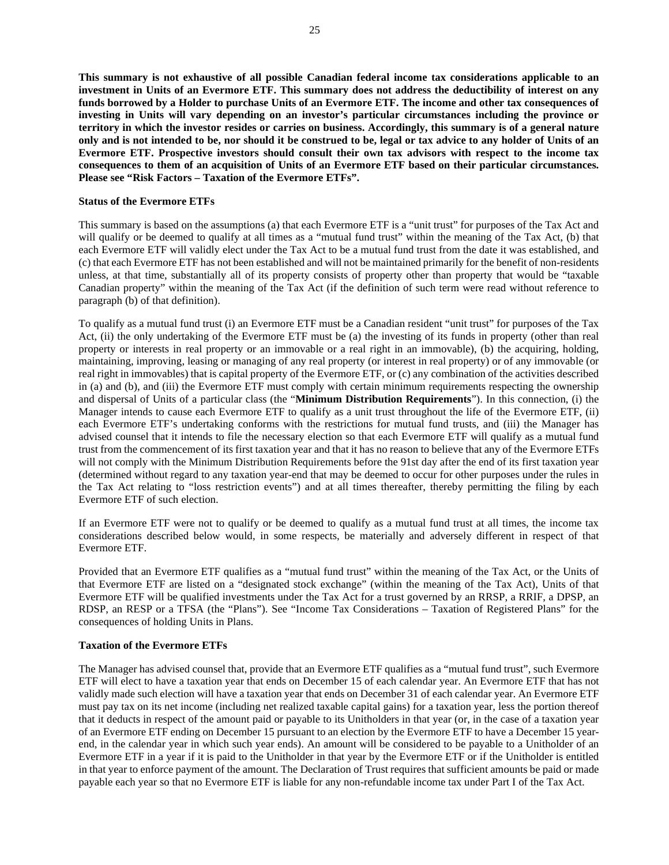**This summary is not exhaustive of all possible Canadian federal income tax considerations applicable to an investment in Units of an Evermore ETF. This summary does not address the deductibility of interest on any funds borrowed by a Holder to purchase Units of an Evermore ETF. The income and other tax consequences of investing in Units will vary depending on an investor's particular circumstances including the province or territory in which the investor resides or carries on business. Accordingly, this summary is of a general nature only and is not intended to be, nor should it be construed to be, legal or tax advice to any holder of Units of an Evermore ETF. Prospective investors should consult their own tax advisors with respect to the income tax consequences to them of an acquisition of Units of an Evermore ETF based on their particular circumstances. Please see "Risk Factors – Taxation of the Evermore ETFs".** 

#### **Status of the Evermore ETFs**

This summary is based on the assumptions (a) that each Evermore ETF is a "unit trust" for purposes of the Tax Act and will qualify or be deemed to qualify at all times as a "mutual fund trust" within the meaning of the Tax Act, (b) that each Evermore ETF will validly elect under the Tax Act to be a mutual fund trust from the date it was established, and (c) that each Evermore ETF has not been established and will not be maintained primarily for the benefit of non-residents unless, at that time, substantially all of its property consists of property other than property that would be "taxable Canadian property" within the meaning of the Tax Act (if the definition of such term were read without reference to paragraph (b) of that definition).

To qualify as a mutual fund trust (i) an Evermore ETF must be a Canadian resident "unit trust" for purposes of the Tax Act, (ii) the only undertaking of the Evermore ETF must be (a) the investing of its funds in property (other than real property or interests in real property or an immovable or a real right in an immovable), (b) the acquiring, holding, maintaining, improving, leasing or managing of any real property (or interest in real property) or of any immovable (or real right in immovables) that is capital property of the Evermore ETF, or (c) any combination of the activities described in (a) and (b), and (iii) the Evermore ETF must comply with certain minimum requirements respecting the ownership and dispersal of Units of a particular class (the "**Minimum Distribution Requirements**"). In this connection, (i) the Manager intends to cause each Evermore ETF to qualify as a unit trust throughout the life of the Evermore ETF, (ii) each Evermore ETF's undertaking conforms with the restrictions for mutual fund trusts, and (iii) the Manager has advised counsel that it intends to file the necessary election so that each Evermore ETF will qualify as a mutual fund trust from the commencement of its first taxation year and that it has no reason to believe that any of the Evermore ETFs will not comply with the Minimum Distribution Requirements before the 91st day after the end of its first taxation year (determined without regard to any taxation year-end that may be deemed to occur for other purposes under the rules in the Tax Act relating to "loss restriction events") and at all times thereafter, thereby permitting the filing by each Evermore ETF of such election.

If an Evermore ETF were not to qualify or be deemed to qualify as a mutual fund trust at all times, the income tax considerations described below would, in some respects, be materially and adversely different in respect of that Evermore ETF.

Provided that an Evermore ETF qualifies as a "mutual fund trust" within the meaning of the Tax Act, or the Units of that Evermore ETF are listed on a "designated stock exchange" (within the meaning of the Tax Act), Units of that Evermore ETF will be qualified investments under the Tax Act for a trust governed by an RRSP, a RRIF, a DPSP, an RDSP, an RESP or a TFSA (the "Plans"). See "Income Tax Considerations – Taxation of Registered Plans" for the consequences of holding Units in Plans.

# **Taxation of the Evermore ETFs**

The Manager has advised counsel that, provide that an Evermore ETF qualifies as a "mutual fund trust", such Evermore ETF will elect to have a taxation year that ends on December 15 of each calendar year. An Evermore ETF that has not validly made such election will have a taxation year that ends on December 31 of each calendar year. An Evermore ETF must pay tax on its net income (including net realized taxable capital gains) for a taxation year, less the portion thereof that it deducts in respect of the amount paid or payable to its Unitholders in that year (or, in the case of a taxation year of an Evermore ETF ending on December 15 pursuant to an election by the Evermore ETF to have a December 15 yearend, in the calendar year in which such year ends). An amount will be considered to be payable to a Unitholder of an Evermore ETF in a year if it is paid to the Unitholder in that year by the Evermore ETF or if the Unitholder is entitled in that year to enforce payment of the amount. The Declaration of Trust requires that sufficient amounts be paid or made payable each year so that no Evermore ETF is liable for any non-refundable income tax under Part I of the Tax Act.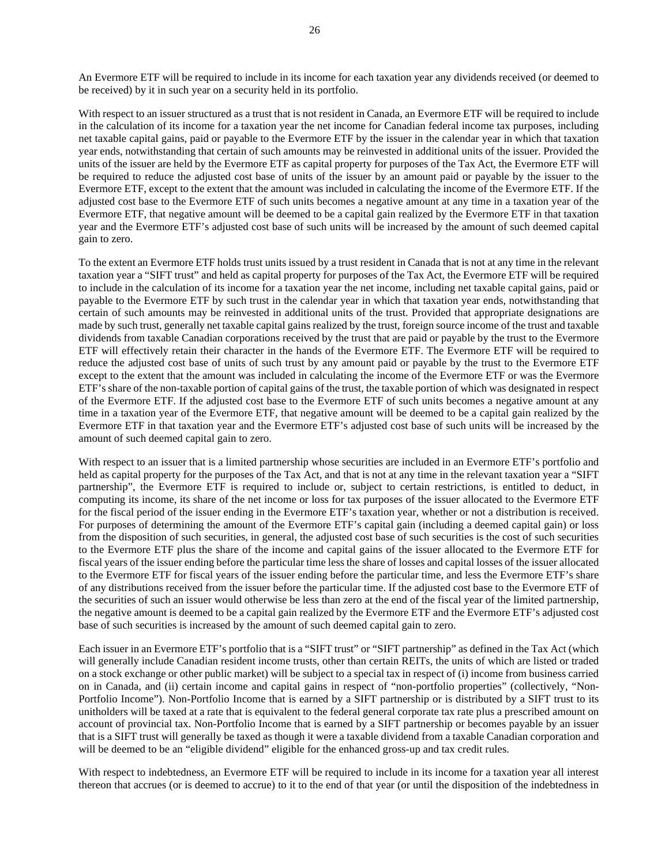An Evermore ETF will be required to include in its income for each taxation year any dividends received (or deemed to be received) by it in such year on a security held in its portfolio.

With respect to an issuer structured as a trust that is not resident in Canada, an Evermore ETF will be required to include in the calculation of its income for a taxation year the net income for Canadian federal income tax purposes, including net taxable capital gains, paid or payable to the Evermore ETF by the issuer in the calendar year in which that taxation year ends, notwithstanding that certain of such amounts may be reinvested in additional units of the issuer. Provided the units of the issuer are held by the Evermore ETF as capital property for purposes of the Tax Act, the Evermore ETF will be required to reduce the adjusted cost base of units of the issuer by an amount paid or payable by the issuer to the Evermore ETF, except to the extent that the amount was included in calculating the income of the Evermore ETF. If the adjusted cost base to the Evermore ETF of such units becomes a negative amount at any time in a taxation year of the Evermore ETF, that negative amount will be deemed to be a capital gain realized by the Evermore ETF in that taxation year and the Evermore ETF's adjusted cost base of such units will be increased by the amount of such deemed capital gain to zero.

To the extent an Evermore ETF holds trust units issued by a trust resident in Canada that is not at any time in the relevant taxation year a "SIFT trust" and held as capital property for purposes of the Tax Act, the Evermore ETF will be required to include in the calculation of its income for a taxation year the net income, including net taxable capital gains, paid or payable to the Evermore ETF by such trust in the calendar year in which that taxation year ends, notwithstanding that certain of such amounts may be reinvested in additional units of the trust. Provided that appropriate designations are made by such trust, generally net taxable capital gains realized by the trust, foreign source income of the trust and taxable dividends from taxable Canadian corporations received by the trust that are paid or payable by the trust to the Evermore ETF will effectively retain their character in the hands of the Evermore ETF. The Evermore ETF will be required to reduce the adjusted cost base of units of such trust by any amount paid or payable by the trust to the Evermore ETF except to the extent that the amount was included in calculating the income of the Evermore ETF or was the Evermore ETF's share of the non-taxable portion of capital gains of the trust, the taxable portion of which was designated in respect of the Evermore ETF. If the adjusted cost base to the Evermore ETF of such units becomes a negative amount at any time in a taxation year of the Evermore ETF, that negative amount will be deemed to be a capital gain realized by the Evermore ETF in that taxation year and the Evermore ETF's adjusted cost base of such units will be increased by the amount of such deemed capital gain to zero.

With respect to an issuer that is a limited partnership whose securities are included in an Evermore ETF's portfolio and held as capital property for the purposes of the Tax Act, and that is not at any time in the relevant taxation year a "SIFT partnership", the Evermore ETF is required to include or, subject to certain restrictions, is entitled to deduct, in computing its income, its share of the net income or loss for tax purposes of the issuer allocated to the Evermore ETF for the fiscal period of the issuer ending in the Evermore ETF's taxation year, whether or not a distribution is received. For purposes of determining the amount of the Evermore ETF's capital gain (including a deemed capital gain) or loss from the disposition of such securities, in general, the adjusted cost base of such securities is the cost of such securities to the Evermore ETF plus the share of the income and capital gains of the issuer allocated to the Evermore ETF for fiscal years of the issuer ending before the particular time less the share of losses and capital losses of the issuer allocated to the Evermore ETF for fiscal years of the issuer ending before the particular time, and less the Evermore ETF's share of any distributions received from the issuer before the particular time. If the adjusted cost base to the Evermore ETF of the securities of such an issuer would otherwise be less than zero at the end of the fiscal year of the limited partnership, the negative amount is deemed to be a capital gain realized by the Evermore ETF and the Evermore ETF's adjusted cost base of such securities is increased by the amount of such deemed capital gain to zero.

Each issuer in an Evermore ETF's portfolio that is a "SIFT trust" or "SIFT partnership" as defined in the Tax Act (which will generally include Canadian resident income trusts, other than certain REITs, the units of which are listed or traded on a stock exchange or other public market) will be subject to a special tax in respect of (i) income from business carried on in Canada, and (ii) certain income and capital gains in respect of "non-portfolio properties" (collectively, "Non-Portfolio Income"). Non-Portfolio Income that is earned by a SIFT partnership or is distributed by a SIFT trust to its unitholders will be taxed at a rate that is equivalent to the federal general corporate tax rate plus a prescribed amount on account of provincial tax. Non-Portfolio Income that is earned by a SIFT partnership or becomes payable by an issuer that is a SIFT trust will generally be taxed as though it were a taxable dividend from a taxable Canadian corporation and will be deemed to be an "eligible dividend" eligible for the enhanced gross-up and tax credit rules.

With respect to indebtedness, an Evermore ETF will be required to include in its income for a taxation year all interest thereon that accrues (or is deemed to accrue) to it to the end of that year (or until the disposition of the indebtedness in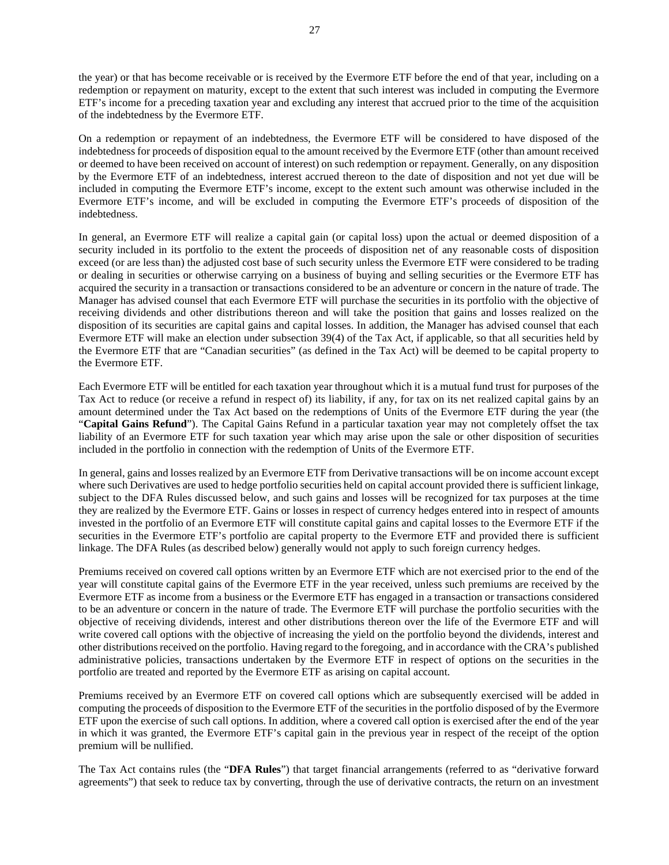the year) or that has become receivable or is received by the Evermore ETF before the end of that year, including on a redemption or repayment on maturity, except to the extent that such interest was included in computing the Evermore ETF's income for a preceding taxation year and excluding any interest that accrued prior to the time of the acquisition of the indebtedness by the Evermore ETF.

On a redemption or repayment of an indebtedness, the Evermore ETF will be considered to have disposed of the indebtedness for proceeds of disposition equal to the amount received by the Evermore ETF (other than amount received or deemed to have been received on account of interest) on such redemption or repayment. Generally, on any disposition by the Evermore ETF of an indebtedness, interest accrued thereon to the date of disposition and not yet due will be included in computing the Evermore ETF's income, except to the extent such amount was otherwise included in the Evermore ETF's income, and will be excluded in computing the Evermore ETF's proceeds of disposition of the indebtedness.

In general, an Evermore ETF will realize a capital gain (or capital loss) upon the actual or deemed disposition of a security included in its portfolio to the extent the proceeds of disposition net of any reasonable costs of disposition exceed (or are less than) the adjusted cost base of such security unless the Evermore ETF were considered to be trading or dealing in securities or otherwise carrying on a business of buying and selling securities or the Evermore ETF has acquired the security in a transaction or transactions considered to be an adventure or concern in the nature of trade. The Manager has advised counsel that each Evermore ETF will purchase the securities in its portfolio with the objective of receiving dividends and other distributions thereon and will take the position that gains and losses realized on the disposition of its securities are capital gains and capital losses. In addition, the Manager has advised counsel that each Evermore ETF will make an election under subsection 39(4) of the Tax Act, if applicable, so that all securities held by the Evermore ETF that are "Canadian securities" (as defined in the Tax Act) will be deemed to be capital property to the Evermore ETF.

Each Evermore ETF will be entitled for each taxation year throughout which it is a mutual fund trust for purposes of the Tax Act to reduce (or receive a refund in respect of) its liability, if any, for tax on its net realized capital gains by an amount determined under the Tax Act based on the redemptions of Units of the Evermore ETF during the year (the "**Capital Gains Refund**"). The Capital Gains Refund in a particular taxation year may not completely offset the tax liability of an Evermore ETF for such taxation year which may arise upon the sale or other disposition of securities included in the portfolio in connection with the redemption of Units of the Evermore ETF.

In general, gains and losses realized by an Evermore ETF from Derivative transactions will be on income account except where such Derivatives are used to hedge portfolio securities held on capital account provided there is sufficient linkage, subject to the DFA Rules discussed below, and such gains and losses will be recognized for tax purposes at the time they are realized by the Evermore ETF. Gains or losses in respect of currency hedges entered into in respect of amounts invested in the portfolio of an Evermore ETF will constitute capital gains and capital losses to the Evermore ETF if the securities in the Evermore ETF's portfolio are capital property to the Evermore ETF and provided there is sufficient linkage. The DFA Rules (as described below) generally would not apply to such foreign currency hedges.

Premiums received on covered call options written by an Evermore ETF which are not exercised prior to the end of the year will constitute capital gains of the Evermore ETF in the year received, unless such premiums are received by the Evermore ETF as income from a business or the Evermore ETF has engaged in a transaction or transactions considered to be an adventure or concern in the nature of trade. The Evermore ETF will purchase the portfolio securities with the objective of receiving dividends, interest and other distributions thereon over the life of the Evermore ETF and will write covered call options with the objective of increasing the yield on the portfolio beyond the dividends, interest and other distributions received on the portfolio. Having regard to the foregoing, and in accordance with the CRA's published administrative policies, transactions undertaken by the Evermore ETF in respect of options on the securities in the portfolio are treated and reported by the Evermore ETF as arising on capital account.

Premiums received by an Evermore ETF on covered call options which are subsequently exercised will be added in computing the proceeds of disposition to the Evermore ETF of the securities in the portfolio disposed of by the Evermore ETF upon the exercise of such call options. In addition, where a covered call option is exercised after the end of the year in which it was granted, the Evermore ETF's capital gain in the previous year in respect of the receipt of the option premium will be nullified.

The Tax Act contains rules (the "**DFA Rules**") that target financial arrangements (referred to as "derivative forward agreements") that seek to reduce tax by converting, through the use of derivative contracts, the return on an investment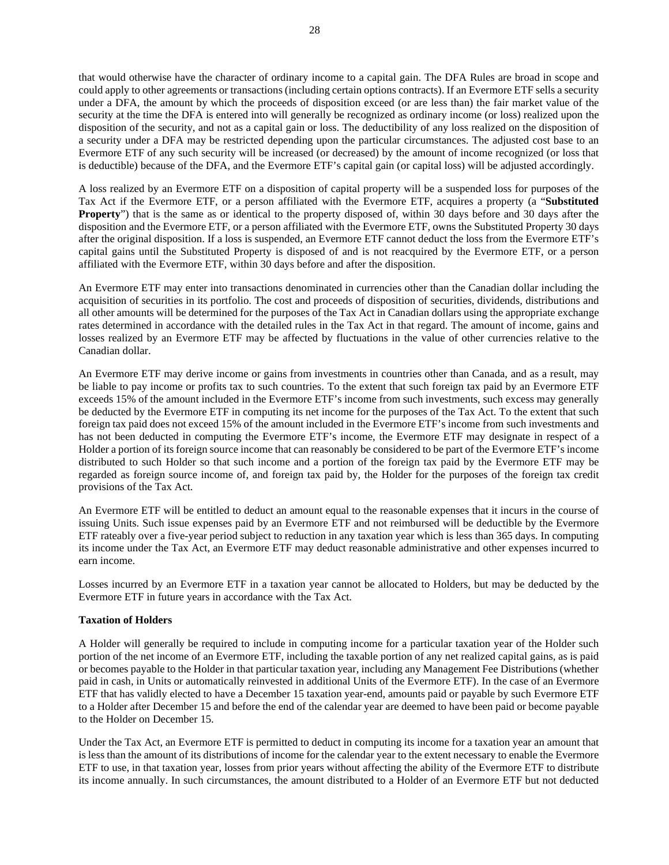that would otherwise have the character of ordinary income to a capital gain. The DFA Rules are broad in scope and could apply to other agreements or transactions (including certain options contracts). If an Evermore ETF sells a security under a DFA, the amount by which the proceeds of disposition exceed (or are less than) the fair market value of the security at the time the DFA is entered into will generally be recognized as ordinary income (or loss) realized upon the disposition of the security, and not as a capital gain or loss. The deductibility of any loss realized on the disposition of a security under a DFA may be restricted depending upon the particular circumstances. The adjusted cost base to an Evermore ETF of any such security will be increased (or decreased) by the amount of income recognized (or loss that is deductible) because of the DFA, and the Evermore ETF's capital gain (or capital loss) will be adjusted accordingly.

A loss realized by an Evermore ETF on a disposition of capital property will be a suspended loss for purposes of the Tax Act if the Evermore ETF, or a person affiliated with the Evermore ETF, acquires a property (a "**Substituted Property**") that is the same as or identical to the property disposed of, within 30 days before and 30 days after the disposition and the Evermore ETF, or a person affiliated with the Evermore ETF, owns the Substituted Property 30 days after the original disposition. If a loss is suspended, an Evermore ETF cannot deduct the loss from the Evermore ETF's capital gains until the Substituted Property is disposed of and is not reacquired by the Evermore ETF, or a person affiliated with the Evermore ETF, within 30 days before and after the disposition.

An Evermore ETF may enter into transactions denominated in currencies other than the Canadian dollar including the acquisition of securities in its portfolio. The cost and proceeds of disposition of securities, dividends, distributions and all other amounts will be determined for the purposes of the Tax Act in Canadian dollars using the appropriate exchange rates determined in accordance with the detailed rules in the Tax Act in that regard. The amount of income, gains and losses realized by an Evermore ETF may be affected by fluctuations in the value of other currencies relative to the Canadian dollar.

An Evermore ETF may derive income or gains from investments in countries other than Canada, and as a result, may be liable to pay income or profits tax to such countries. To the extent that such foreign tax paid by an Evermore ETF exceeds 15% of the amount included in the Evermore ETF's income from such investments, such excess may generally be deducted by the Evermore ETF in computing its net income for the purposes of the Tax Act. To the extent that such foreign tax paid does not exceed 15% of the amount included in the Evermore ETF's income from such investments and has not been deducted in computing the Evermore ETF's income, the Evermore ETF may designate in respect of a Holder a portion of its foreign source income that can reasonably be considered to be part of the Evermore ETF's income distributed to such Holder so that such income and a portion of the foreign tax paid by the Evermore ETF may be regarded as foreign source income of, and foreign tax paid by, the Holder for the purposes of the foreign tax credit provisions of the Tax Act.

An Evermore ETF will be entitled to deduct an amount equal to the reasonable expenses that it incurs in the course of issuing Units. Such issue expenses paid by an Evermore ETF and not reimbursed will be deductible by the Evermore ETF rateably over a five-year period subject to reduction in any taxation year which is less than 365 days. In computing its income under the Tax Act, an Evermore ETF may deduct reasonable administrative and other expenses incurred to earn income.

Losses incurred by an Evermore ETF in a taxation year cannot be allocated to Holders, but may be deducted by the Evermore ETF in future years in accordance with the Tax Act.

# **Taxation of Holders**

A Holder will generally be required to include in computing income for a particular taxation year of the Holder such portion of the net income of an Evermore ETF, including the taxable portion of any net realized capital gains, as is paid or becomes payable to the Holder in that particular taxation year, including any Management Fee Distributions (whether paid in cash, in Units or automatically reinvested in additional Units of the Evermore ETF). In the case of an Evermore ETF that has validly elected to have a December 15 taxation year-end, amounts paid or payable by such Evermore ETF to a Holder after December 15 and before the end of the calendar year are deemed to have been paid or become payable to the Holder on December 15.

Under the Tax Act, an Evermore ETF is permitted to deduct in computing its income for a taxation year an amount that is less than the amount of its distributions of income for the calendar year to the extent necessary to enable the Evermore ETF to use, in that taxation year, losses from prior years without affecting the ability of the Evermore ETF to distribute its income annually. In such circumstances, the amount distributed to a Holder of an Evermore ETF but not deducted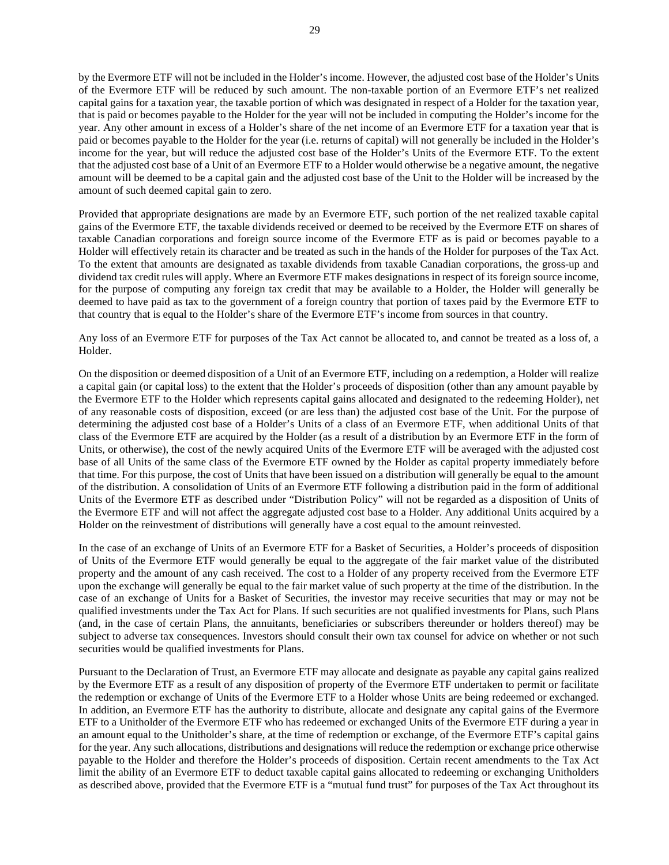by the Evermore ETF will not be included in the Holder's income. However, the adjusted cost base of the Holder's Units of the Evermore ETF will be reduced by such amount. The non-taxable portion of an Evermore ETF's net realized capital gains for a taxation year, the taxable portion of which was designated in respect of a Holder for the taxation year, that is paid or becomes payable to the Holder for the year will not be included in computing the Holder's income for the year. Any other amount in excess of a Holder's share of the net income of an Evermore ETF for a taxation year that is paid or becomes payable to the Holder for the year (i.e. returns of capital) will not generally be included in the Holder's income for the year, but will reduce the adjusted cost base of the Holder's Units of the Evermore ETF. To the extent that the adjusted cost base of a Unit of an Evermore ETF to a Holder would otherwise be a negative amount, the negative amount will be deemed to be a capital gain and the adjusted cost base of the Unit to the Holder will be increased by the amount of such deemed capital gain to zero.

Provided that appropriate designations are made by an Evermore ETF, such portion of the net realized taxable capital gains of the Evermore ETF, the taxable dividends received or deemed to be received by the Evermore ETF on shares of taxable Canadian corporations and foreign source income of the Evermore ETF as is paid or becomes payable to a Holder will effectively retain its character and be treated as such in the hands of the Holder for purposes of the Tax Act. To the extent that amounts are designated as taxable dividends from taxable Canadian corporations, the gross-up and dividend tax credit rules will apply. Where an Evermore ETF makes designations in respect of its foreign source income, for the purpose of computing any foreign tax credit that may be available to a Holder, the Holder will generally be deemed to have paid as tax to the government of a foreign country that portion of taxes paid by the Evermore ETF to that country that is equal to the Holder's share of the Evermore ETF's income from sources in that country.

Any loss of an Evermore ETF for purposes of the Tax Act cannot be allocated to, and cannot be treated as a loss of, a Holder.

On the disposition or deemed disposition of a Unit of an Evermore ETF, including on a redemption, a Holder will realize a capital gain (or capital loss) to the extent that the Holder's proceeds of disposition (other than any amount payable by the Evermore ETF to the Holder which represents capital gains allocated and designated to the redeeming Holder), net of any reasonable costs of disposition, exceed (or are less than) the adjusted cost base of the Unit. For the purpose of determining the adjusted cost base of a Holder's Units of a class of an Evermore ETF, when additional Units of that class of the Evermore ETF are acquired by the Holder (as a result of a distribution by an Evermore ETF in the form of Units, or otherwise), the cost of the newly acquired Units of the Evermore ETF will be averaged with the adjusted cost base of all Units of the same class of the Evermore ETF owned by the Holder as capital property immediately before that time. For this purpose, the cost of Units that have been issued on a distribution will generally be equal to the amount of the distribution. A consolidation of Units of an Evermore ETF following a distribution paid in the form of additional Units of the Evermore ETF as described under "Distribution Policy" will not be regarded as a disposition of Units of the Evermore ETF and will not affect the aggregate adjusted cost base to a Holder. Any additional Units acquired by a Holder on the reinvestment of distributions will generally have a cost equal to the amount reinvested.

In the case of an exchange of Units of an Evermore ETF for a Basket of Securities, a Holder's proceeds of disposition of Units of the Evermore ETF would generally be equal to the aggregate of the fair market value of the distributed property and the amount of any cash received. The cost to a Holder of any property received from the Evermore ETF upon the exchange will generally be equal to the fair market value of such property at the time of the distribution. In the case of an exchange of Units for a Basket of Securities, the investor may receive securities that may or may not be qualified investments under the Tax Act for Plans. If such securities are not qualified investments for Plans, such Plans (and, in the case of certain Plans, the annuitants, beneficiaries or subscribers thereunder or holders thereof) may be subject to adverse tax consequences. Investors should consult their own tax counsel for advice on whether or not such securities would be qualified investments for Plans.

Pursuant to the Declaration of Trust, an Evermore ETF may allocate and designate as payable any capital gains realized by the Evermore ETF as a result of any disposition of property of the Evermore ETF undertaken to permit or facilitate the redemption or exchange of Units of the Evermore ETF to a Holder whose Units are being redeemed or exchanged. In addition, an Evermore ETF has the authority to distribute, allocate and designate any capital gains of the Evermore ETF to a Unitholder of the Evermore ETF who has redeemed or exchanged Units of the Evermore ETF during a year in an amount equal to the Unitholder's share, at the time of redemption or exchange, of the Evermore ETF's capital gains for the year. Any such allocations, distributions and designations will reduce the redemption or exchange price otherwise payable to the Holder and therefore the Holder's proceeds of disposition. Certain recent amendments to the Tax Act limit the ability of an Evermore ETF to deduct taxable capital gains allocated to redeeming or exchanging Unitholders as described above, provided that the Evermore ETF is a "mutual fund trust" for purposes of the Tax Act throughout its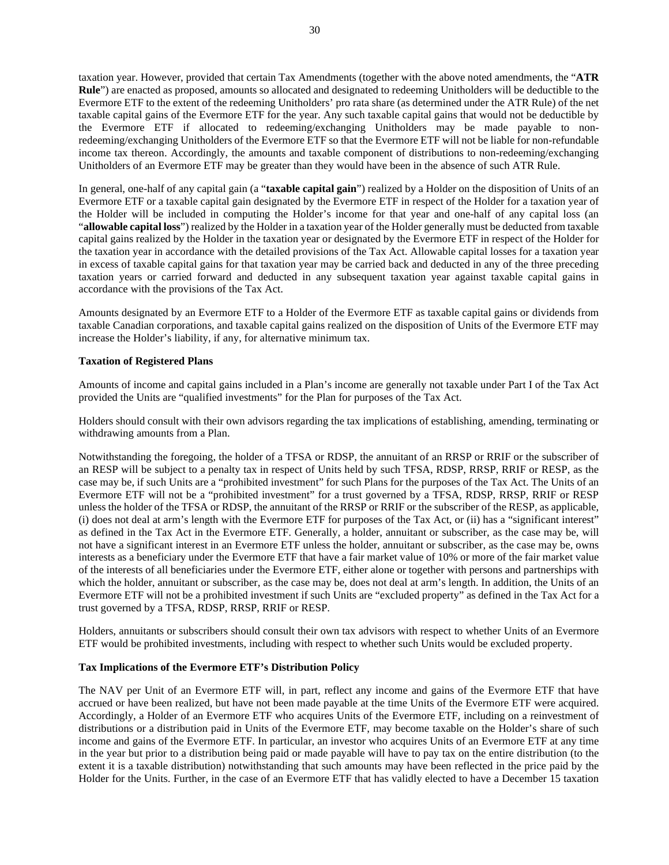taxation year. However, provided that certain Tax Amendments (together with the above noted amendments, the "**ATR Rule**") are enacted as proposed, amounts so allocated and designated to redeeming Unitholders will be deductible to the Evermore ETF to the extent of the redeeming Unitholders' pro rata share (as determined under the ATR Rule) of the net taxable capital gains of the Evermore ETF for the year. Any such taxable capital gains that would not be deductible by the Evermore ETF if allocated to redeeming/exchanging Unitholders may be made payable to nonredeeming/exchanging Unitholders of the Evermore ETF so that the Evermore ETF will not be liable for non-refundable income tax thereon. Accordingly, the amounts and taxable component of distributions to non-redeeming/exchanging Unitholders of an Evermore ETF may be greater than they would have been in the absence of such ATR Rule.

In general, one-half of any capital gain (a "**taxable capital gain**") realized by a Holder on the disposition of Units of an Evermore ETF or a taxable capital gain designated by the Evermore ETF in respect of the Holder for a taxation year of the Holder will be included in computing the Holder's income for that year and one-half of any capital loss (an "**allowable capital loss**") realized by the Holder in a taxation year of the Holder generally must be deducted from taxable capital gains realized by the Holder in the taxation year or designated by the Evermore ETF in respect of the Holder for the taxation year in accordance with the detailed provisions of the Tax Act. Allowable capital losses for a taxation year in excess of taxable capital gains for that taxation year may be carried back and deducted in any of the three preceding taxation years or carried forward and deducted in any subsequent taxation year against taxable capital gains in accordance with the provisions of the Tax Act.

Amounts designated by an Evermore ETF to a Holder of the Evermore ETF as taxable capital gains or dividends from taxable Canadian corporations, and taxable capital gains realized on the disposition of Units of the Evermore ETF may increase the Holder's liability, if any, for alternative minimum tax.

# **Taxation of Registered Plans**

Amounts of income and capital gains included in a Plan's income are generally not taxable under Part I of the Tax Act provided the Units are "qualified investments" for the Plan for purposes of the Tax Act.

Holders should consult with their own advisors regarding the tax implications of establishing, amending, terminating or withdrawing amounts from a Plan.

Notwithstanding the foregoing, the holder of a TFSA or RDSP, the annuitant of an RRSP or RRIF or the subscriber of an RESP will be subject to a penalty tax in respect of Units held by such TFSA, RDSP, RRSP, RRIF or RESP, as the case may be, if such Units are a "prohibited investment" for such Plans for the purposes of the Tax Act. The Units of an Evermore ETF will not be a "prohibited investment" for a trust governed by a TFSA, RDSP, RRSP, RRIF or RESP unless the holder of the TFSA or RDSP, the annuitant of the RRSP or RRIF or the subscriber of the RESP, as applicable, (i) does not deal at arm's length with the Evermore ETF for purposes of the Tax Act, or (ii) has a "significant interest" as defined in the Tax Act in the Evermore ETF. Generally, a holder, annuitant or subscriber, as the case may be, will not have a significant interest in an Evermore ETF unless the holder, annuitant or subscriber, as the case may be, owns interests as a beneficiary under the Evermore ETF that have a fair market value of 10% or more of the fair market value of the interests of all beneficiaries under the Evermore ETF, either alone or together with persons and partnerships with which the holder, annuitant or subscriber, as the case may be, does not deal at arm's length. In addition, the Units of an Evermore ETF will not be a prohibited investment if such Units are "excluded property" as defined in the Tax Act for a trust governed by a TFSA, RDSP, RRSP, RRIF or RESP.

Holders, annuitants or subscribers should consult their own tax advisors with respect to whether Units of an Evermore ETF would be prohibited investments, including with respect to whether such Units would be excluded property.

# **Tax Implications of the Evermore ETF's Distribution Policy**

The NAV per Unit of an Evermore ETF will, in part, reflect any income and gains of the Evermore ETF that have accrued or have been realized, but have not been made payable at the time Units of the Evermore ETF were acquired. Accordingly, a Holder of an Evermore ETF who acquires Units of the Evermore ETF, including on a reinvestment of distributions or a distribution paid in Units of the Evermore ETF, may become taxable on the Holder's share of such income and gains of the Evermore ETF. In particular, an investor who acquires Units of an Evermore ETF at any time in the year but prior to a distribution being paid or made payable will have to pay tax on the entire distribution (to the extent it is a taxable distribution) notwithstanding that such amounts may have been reflected in the price paid by the Holder for the Units. Further, in the case of an Evermore ETF that has validly elected to have a December 15 taxation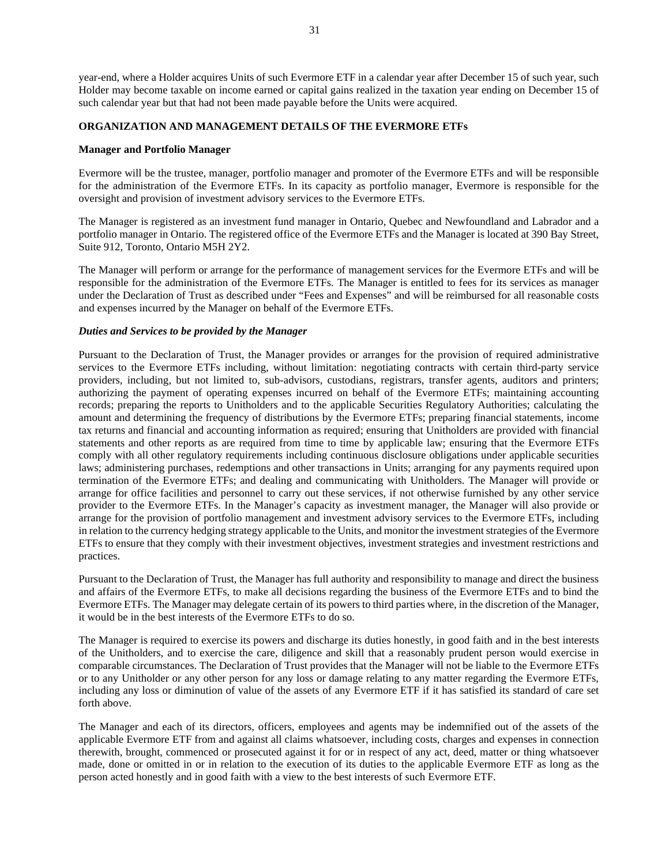year-end, where a Holder acquires Units of such Evermore ETF in a calendar year after December 15 of such year, such Holder may become taxable on income earned or capital gains realized in the taxation year ending on December 15 of such calendar year but that had not been made payable before the Units were acquired.

# **ORGANIZATION AND MANAGEMENT DETAILS OF THE EVERMORE ETFs**

# **Manager and Portfolio Manager**

Evermore will be the trustee, manager, portfolio manager and promoter of the Evermore ETFs and will be responsible for the administration of the Evermore ETFs. In its capacity as portfolio manager, Evermore is responsible for the oversight and provision of investment advisory services to the Evermore ETFs.

The Manager is registered as an investment fund manager in Ontario, Quebec and Newfoundland and Labrador and a portfolio manager in Ontario. The registered office of the Evermore ETFs and the Manager is located at 390 Bay Street, Suite 912, Toronto, Ontario M5H 2Y2.

The Manager will perform or arrange for the performance of management services for the Evermore ETFs and will be responsible for the administration of the Evermore ETFs. The Manager is entitled to fees for its services as manager under the Declaration of Trust as described under "Fees and Expenses" and will be reimbursed for all reasonable costs and expenses incurred by the Manager on behalf of the Evermore ETFs.

# *Duties and Services to be provided by the Manager*

Pursuant to the Declaration of Trust, the Manager provides or arranges for the provision of required administrative services to the Evermore ETFs including, without limitation: negotiating contracts with certain third-party service providers, including, but not limited to, sub-advisors, custodians, registrars, transfer agents, auditors and printers; authorizing the payment of operating expenses incurred on behalf of the Evermore ETFs; maintaining accounting records; preparing the reports to Unitholders and to the applicable Securities Regulatory Authorities; calculating the amount and determining the frequency of distributions by the Evermore ETFs; preparing financial statements, income tax returns and financial and accounting information as required; ensuring that Unitholders are provided with financial statements and other reports as are required from time to time by applicable law; ensuring that the Evermore ETFs comply with all other regulatory requirements including continuous disclosure obligations under applicable securities laws; administering purchases, redemptions and other transactions in Units; arranging for any payments required upon termination of the Evermore ETFs; and dealing and communicating with Unitholders. The Manager will provide or arrange for office facilities and personnel to carry out these services, if not otherwise furnished by any other service provider to the Evermore ETFs. In the Manager's capacity as investment manager, the Manager will also provide or arrange for the provision of portfolio management and investment advisory services to the Evermore ETFs, including in relation to the currency hedging strategy applicable to the Units, and monitor the investment strategies of the Evermore ETFs to ensure that they comply with their investment objectives, investment strategies and investment restrictions and practices.

Pursuant to the Declaration of Trust, the Manager has full authority and responsibility to manage and direct the business and affairs of the Evermore ETFs, to make all decisions regarding the business of the Evermore ETFs and to bind the Evermore ETFs. The Manager may delegate certain of its powers to third parties where, in the discretion of the Manager, it would be in the best interests of the Evermore ETFs to do so.

The Manager is required to exercise its powers and discharge its duties honestly, in good faith and in the best interests of the Unitholders, and to exercise the care, diligence and skill that a reasonably prudent person would exercise in comparable circumstances. The Declaration of Trust provides that the Manager will not be liable to the Evermore ETFs or to any Unitholder or any other person for any loss or damage relating to any matter regarding the Evermore ETFs, including any loss or diminution of value of the assets of any Evermore ETF if it has satisfied its standard of care set forth above.

The Manager and each of its directors, officers, employees and agents may be indemnified out of the assets of the applicable Evermore ETF from and against all claims whatsoever, including costs, charges and expenses in connection therewith, brought, commenced or prosecuted against it for or in respect of any act, deed, matter or thing whatsoever made, done or omitted in or in relation to the execution of its duties to the applicable Evermore ETF as long as the person acted honestly and in good faith with a view to the best interests of such Evermore ETF.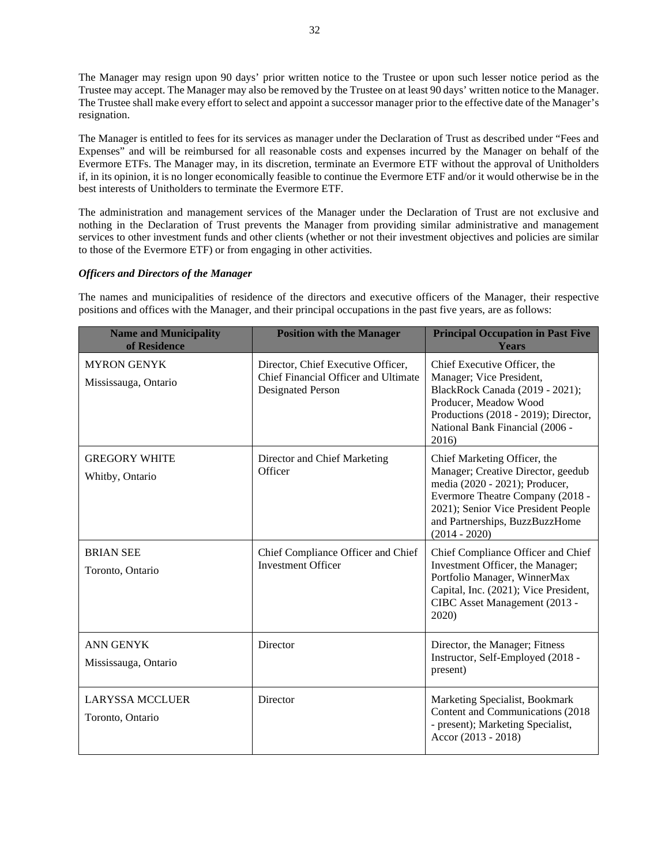The Manager may resign upon 90 days' prior written notice to the Trustee or upon such lesser notice period as the Trustee may accept. The Manager may also be removed by the Trustee on at least 90 days' written notice to the Manager. The Trustee shall make every effort to select and appoint a successor manager prior to the effective date of the Manager's resignation.

The Manager is entitled to fees for its services as manager under the Declaration of Trust as described under "Fees and Expenses" and will be reimbursed for all reasonable costs and expenses incurred by the Manager on behalf of the Evermore ETFs. The Manager may, in its discretion, terminate an Evermore ETF without the approval of Unitholders if, in its opinion, it is no longer economically feasible to continue the Evermore ETF and/or it would otherwise be in the best interests of Unitholders to terminate the Evermore ETF.

The administration and management services of the Manager under the Declaration of Trust are not exclusive and nothing in the Declaration of Trust prevents the Manager from providing similar administrative and management services to other investment funds and other clients (whether or not their investment objectives and policies are similar to those of the Evermore ETF) or from engaging in other activities.

# *Officers and Directors of the Manager*

The names and municipalities of residence of the directors and executive officers of the Manager, their respective positions and offices with the Manager, and their principal occupations in the past five years, are as follows:

| <b>Name and Municipality</b><br>of Residence | <b>Position with the Manager</b>                                                                       | <b>Principal Occupation in Past Five</b><br><b>Years</b>                                                                                                                                                                             |
|----------------------------------------------|--------------------------------------------------------------------------------------------------------|--------------------------------------------------------------------------------------------------------------------------------------------------------------------------------------------------------------------------------------|
| <b>MYRON GENYK</b><br>Mississauga, Ontario   | Director, Chief Executive Officer,<br>Chief Financial Officer and Ultimate<br><b>Designated Person</b> | Chief Executive Officer, the<br>Manager; Vice President,<br>BlackRock Canada (2019 - 2021);<br>Producer, Meadow Wood<br>Productions (2018 - 2019); Director,<br>National Bank Financial (2006 -<br>2016)                             |
| <b>GREGORY WHITE</b><br>Whitby, Ontario      | Director and Chief Marketing<br>Officer                                                                | Chief Marketing Officer, the<br>Manager; Creative Director, geedub<br>media (2020 - 2021); Producer,<br>Evermore Theatre Company (2018 -<br>2021); Senior Vice President People<br>and Partnerships, BuzzBuzzHome<br>$(2014 - 2020)$ |
| <b>BRIAN SEE</b><br>Toronto, Ontario         | Chief Compliance Officer and Chief<br><b>Investment Officer</b>                                        | Chief Compliance Officer and Chief<br>Investment Officer, the Manager;<br>Portfolio Manager, WinnerMax<br>Capital, Inc. (2021); Vice President,<br>CIBC Asset Management (2013 -<br>2020)                                            |
| <b>ANN GENYK</b><br>Mississauga, Ontario     | Director                                                                                               | Director, the Manager; Fitness<br>Instructor, Self-Employed (2018 -<br>present)                                                                                                                                                      |
| <b>LARYSSA MCCLUER</b><br>Toronto, Ontario   | Director                                                                                               | Marketing Specialist, Bookmark<br>Content and Communications (2018)<br>- present); Marketing Specialist,<br>Accor (2013 - 2018)                                                                                                      |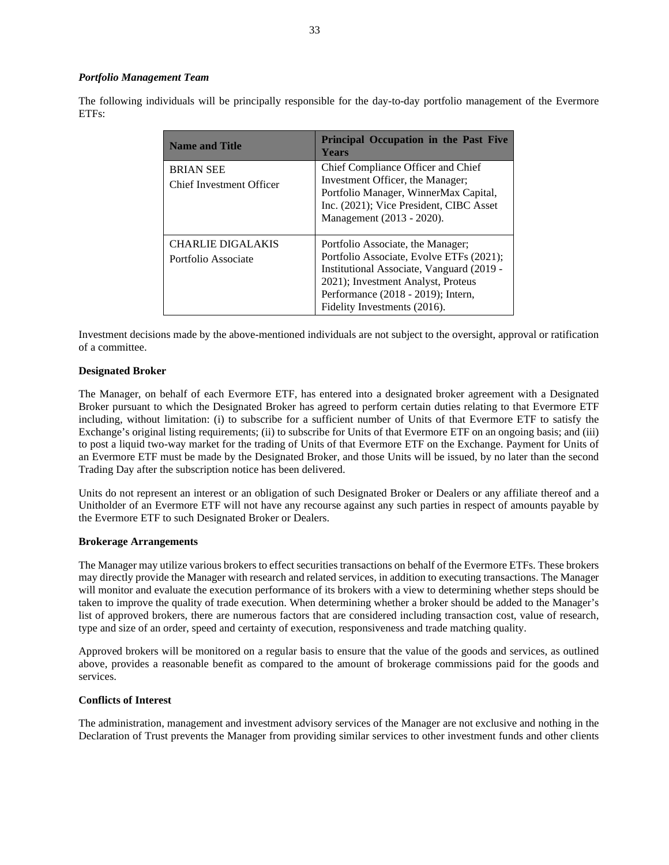# *Portfolio Management Team*

The following individuals will be principally responsible for the day-to-day portfolio management of the Evermore ETFs:

| <b>Name and Title</b>                               | <b>Principal Occupation in the Past Five</b><br><b>Years</b>                                                                                                                                                                           |
|-----------------------------------------------------|----------------------------------------------------------------------------------------------------------------------------------------------------------------------------------------------------------------------------------------|
| <b>BRIAN SEE</b><br><b>Chief Investment Officer</b> | Chief Compliance Officer and Chief<br>Investment Officer, the Manager;<br>Portfolio Manager, WinnerMax Capital,<br>Inc. (2021); Vice President, CIBC Asset<br>Management (2013 - 2020).                                                |
| <b>CHARLIE DIGALAKIS</b><br>Portfolio Associate     | Portfolio Associate, the Manager;<br>Portfolio Associate, Evolve ETFs (2021);<br>Institutional Associate, Vanguard (2019 -<br>2021); Investment Analyst, Proteus<br>Performance (2018 - 2019); Intern,<br>Fidelity Investments (2016). |

Investment decisions made by the above-mentioned individuals are not subject to the oversight, approval or ratification of a committee.

# **Designated Broker**

The Manager, on behalf of each Evermore ETF, has entered into a designated broker agreement with a Designated Broker pursuant to which the Designated Broker has agreed to perform certain duties relating to that Evermore ETF including, without limitation: (i) to subscribe for a sufficient number of Units of that Evermore ETF to satisfy the Exchange's original listing requirements; (ii) to subscribe for Units of that Evermore ETF on an ongoing basis; and (iii) to post a liquid two-way market for the trading of Units of that Evermore ETF on the Exchange. Payment for Units of an Evermore ETF must be made by the Designated Broker, and those Units will be issued, by no later than the second Trading Day after the subscription notice has been delivered.

Units do not represent an interest or an obligation of such Designated Broker or Dealers or any affiliate thereof and a Unitholder of an Evermore ETF will not have any recourse against any such parties in respect of amounts payable by the Evermore ETF to such Designated Broker or Dealers.

# **Brokerage Arrangements**

The Manager may utilize various brokers to effect securities transactions on behalf of the Evermore ETFs. These brokers may directly provide the Manager with research and related services, in addition to executing transactions. The Manager will monitor and evaluate the execution performance of its brokers with a view to determining whether steps should be taken to improve the quality of trade execution. When determining whether a broker should be added to the Manager's list of approved brokers, there are numerous factors that are considered including transaction cost, value of research, type and size of an order, speed and certainty of execution, responsiveness and trade matching quality.

Approved brokers will be monitored on a regular basis to ensure that the value of the goods and services, as outlined above, provides a reasonable benefit as compared to the amount of brokerage commissions paid for the goods and services.

# **Conflicts of Interest**

The administration, management and investment advisory services of the Manager are not exclusive and nothing in the Declaration of Trust prevents the Manager from providing similar services to other investment funds and other clients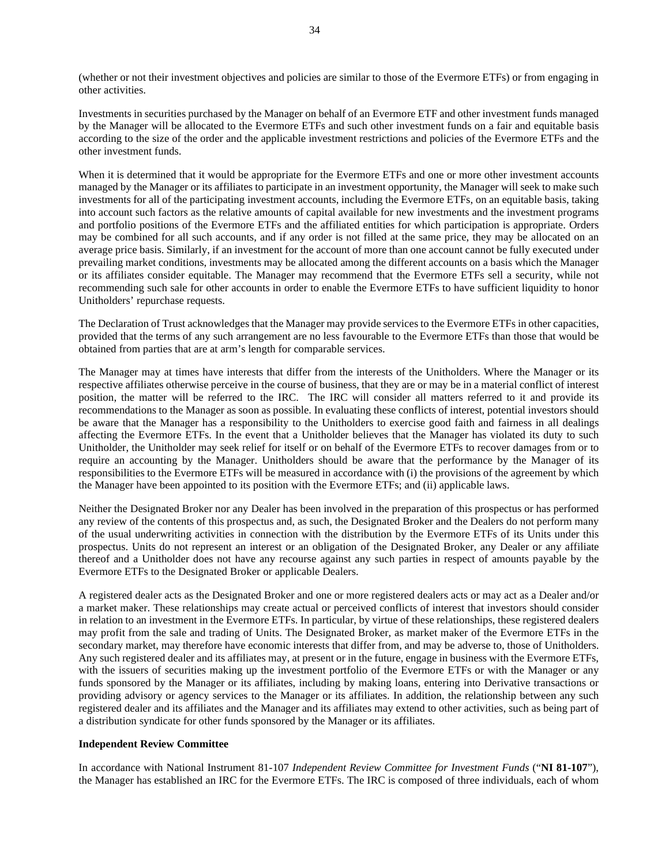(whether or not their investment objectives and policies are similar to those of the Evermore ETFs) or from engaging in other activities.

Investments in securities purchased by the Manager on behalf of an Evermore ETF and other investment funds managed by the Manager will be allocated to the Evermore ETFs and such other investment funds on a fair and equitable basis according to the size of the order and the applicable investment restrictions and policies of the Evermore ETFs and the other investment funds.

When it is determined that it would be appropriate for the Evermore ETFs and one or more other investment accounts managed by the Manager or its affiliates to participate in an investment opportunity, the Manager will seek to make such investments for all of the participating investment accounts, including the Evermore ETFs, on an equitable basis, taking into account such factors as the relative amounts of capital available for new investments and the investment programs and portfolio positions of the Evermore ETFs and the affiliated entities for which participation is appropriate. Orders may be combined for all such accounts, and if any order is not filled at the same price, they may be allocated on an average price basis. Similarly, if an investment for the account of more than one account cannot be fully executed under prevailing market conditions, investments may be allocated among the different accounts on a basis which the Manager or its affiliates consider equitable. The Manager may recommend that the Evermore ETFs sell a security, while not recommending such sale for other accounts in order to enable the Evermore ETFs to have sufficient liquidity to honor Unitholders' repurchase requests.

The Declaration of Trust acknowledges that the Manager may provide services to the Evermore ETFs in other capacities, provided that the terms of any such arrangement are no less favourable to the Evermore ETFs than those that would be obtained from parties that are at arm's length for comparable services.

The Manager may at times have interests that differ from the interests of the Unitholders. Where the Manager or its respective affiliates otherwise perceive in the course of business, that they are or may be in a material conflict of interest position, the matter will be referred to the IRC. The IRC will consider all matters referred to it and provide its recommendations to the Manager as soon as possible. In evaluating these conflicts of interest, potential investors should be aware that the Manager has a responsibility to the Unitholders to exercise good faith and fairness in all dealings affecting the Evermore ETFs. In the event that a Unitholder believes that the Manager has violated its duty to such Unitholder, the Unitholder may seek relief for itself or on behalf of the Evermore ETFs to recover damages from or to require an accounting by the Manager. Unitholders should be aware that the performance by the Manager of its responsibilities to the Evermore ETFs will be measured in accordance with (i) the provisions of the agreement by which the Manager have been appointed to its position with the Evermore ETFs; and (ii) applicable laws.

Neither the Designated Broker nor any Dealer has been involved in the preparation of this prospectus or has performed any review of the contents of this prospectus and, as such, the Designated Broker and the Dealers do not perform many of the usual underwriting activities in connection with the distribution by the Evermore ETFs of its Units under this prospectus. Units do not represent an interest or an obligation of the Designated Broker, any Dealer or any affiliate thereof and a Unitholder does not have any recourse against any such parties in respect of amounts payable by the Evermore ETFs to the Designated Broker or applicable Dealers.

A registered dealer acts as the Designated Broker and one or more registered dealers acts or may act as a Dealer and/or a market maker. These relationships may create actual or perceived conflicts of interest that investors should consider in relation to an investment in the Evermore ETFs. In particular, by virtue of these relationships, these registered dealers may profit from the sale and trading of Units. The Designated Broker, as market maker of the Evermore ETFs in the secondary market, may therefore have economic interests that differ from, and may be adverse to, those of Unitholders. Any such registered dealer and its affiliates may, at present or in the future, engage in business with the Evermore ETFs, with the issuers of securities making up the investment portfolio of the Evermore ETFs or with the Manager or any funds sponsored by the Manager or its affiliates, including by making loans, entering into Derivative transactions or providing advisory or agency services to the Manager or its affiliates. In addition, the relationship between any such registered dealer and its affiliates and the Manager and its affiliates may extend to other activities, such as being part of a distribution syndicate for other funds sponsored by the Manager or its affiliates.

# **Independent Review Committee**

In accordance with National Instrument 81-107 *Independent Review Committee for Investment Funds* ("**NI 81-107**"), the Manager has established an IRC for the Evermore ETFs. The IRC is composed of three individuals, each of whom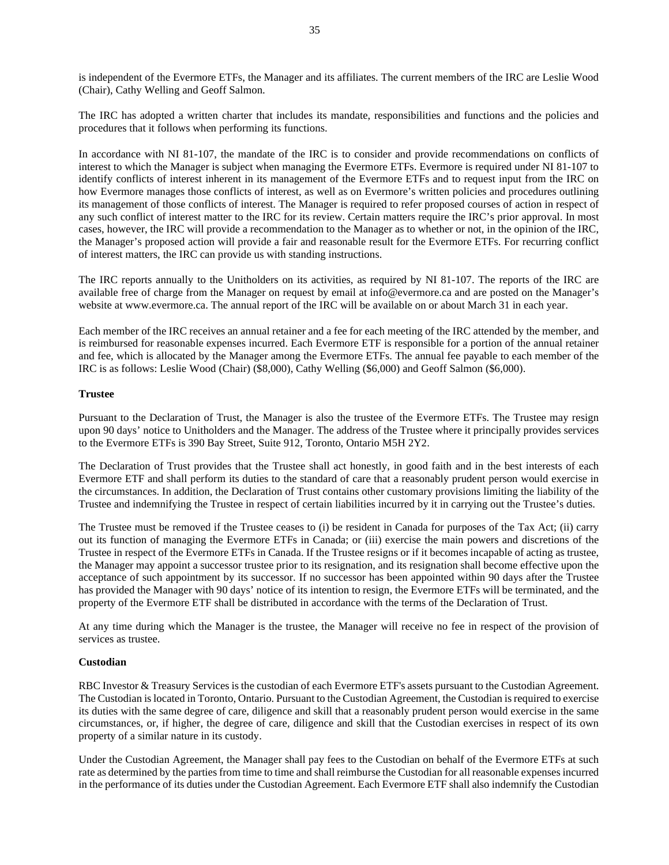is independent of the Evermore ETFs, the Manager and its affiliates. The current members of the IRC are Leslie Wood (Chair), Cathy Welling and Geoff Salmon.

The IRC has adopted a written charter that includes its mandate, responsibilities and functions and the policies and procedures that it follows when performing its functions.

In accordance with NI 81-107, the mandate of the IRC is to consider and provide recommendations on conflicts of interest to which the Manager is subject when managing the Evermore ETFs. Evermore is required under NI 81-107 to identify conflicts of interest inherent in its management of the Evermore ETFs and to request input from the IRC on how Evermore manages those conflicts of interest, as well as on Evermore's written policies and procedures outlining its management of those conflicts of interest. The Manager is required to refer proposed courses of action in respect of any such conflict of interest matter to the IRC for its review. Certain matters require the IRC's prior approval. In most cases, however, the IRC will provide a recommendation to the Manager as to whether or not, in the opinion of the IRC, the Manager's proposed action will provide a fair and reasonable result for the Evermore ETFs. For recurring conflict of interest matters, the IRC can provide us with standing instructions.

The IRC reports annually to the Unitholders on its activities, as required by NI 81-107. The reports of the IRC are available free of charge from the Manager on request by email at info@evermore.ca and are posted on the Manager's website at www.evermore.ca. The annual report of the IRC will be available on or about March 31 in each year.

Each member of the IRC receives an annual retainer and a fee for each meeting of the IRC attended by the member, and is reimbursed for reasonable expenses incurred. Each Evermore ETF is responsible for a portion of the annual retainer and fee, which is allocated by the Manager among the Evermore ETFs. The annual fee payable to each member of the IRC is as follows: Leslie Wood (Chair) (\$8,000), Cathy Welling (\$6,000) and Geoff Salmon (\$6,000).

#### **Trustee**

Pursuant to the Declaration of Trust, the Manager is also the trustee of the Evermore ETFs. The Trustee may resign upon 90 days' notice to Unitholders and the Manager. The address of the Trustee where it principally provides services to the Evermore ETFs is 390 Bay Street, Suite 912, Toronto, Ontario M5H 2Y2.

The Declaration of Trust provides that the Trustee shall act honestly, in good faith and in the best interests of each Evermore ETF and shall perform its duties to the standard of care that a reasonably prudent person would exercise in the circumstances. In addition, the Declaration of Trust contains other customary provisions limiting the liability of the Trustee and indemnifying the Trustee in respect of certain liabilities incurred by it in carrying out the Trustee's duties.

The Trustee must be removed if the Trustee ceases to (i) be resident in Canada for purposes of the Tax Act; (ii) carry out its function of managing the Evermore ETFs in Canada; or (iii) exercise the main powers and discretions of the Trustee in respect of the Evermore ETFs in Canada. If the Trustee resigns or if it becomes incapable of acting as trustee, the Manager may appoint a successor trustee prior to its resignation, and its resignation shall become effective upon the acceptance of such appointment by its successor. If no successor has been appointed within 90 days after the Trustee has provided the Manager with 90 days' notice of its intention to resign, the Evermore ETFs will be terminated, and the property of the Evermore ETF shall be distributed in accordance with the terms of the Declaration of Trust.

At any time during which the Manager is the trustee, the Manager will receive no fee in respect of the provision of services as trustee.

#### **Custodian**

RBC Investor & Treasury Services is the custodian of each Evermore ETF's assets pursuant to the Custodian Agreement. The Custodian is located in Toronto, Ontario. Pursuant to the Custodian Agreement, the Custodian is required to exercise its duties with the same degree of care, diligence and skill that a reasonably prudent person would exercise in the same circumstances, or, if higher, the degree of care, diligence and skill that the Custodian exercises in respect of its own property of a similar nature in its custody.

Under the Custodian Agreement, the Manager shall pay fees to the Custodian on behalf of the Evermore ETFs at such rate as determined by the parties from time to time and shall reimburse the Custodian for all reasonable expenses incurred in the performance of its duties under the Custodian Agreement. Each Evermore ETF shall also indemnify the Custodian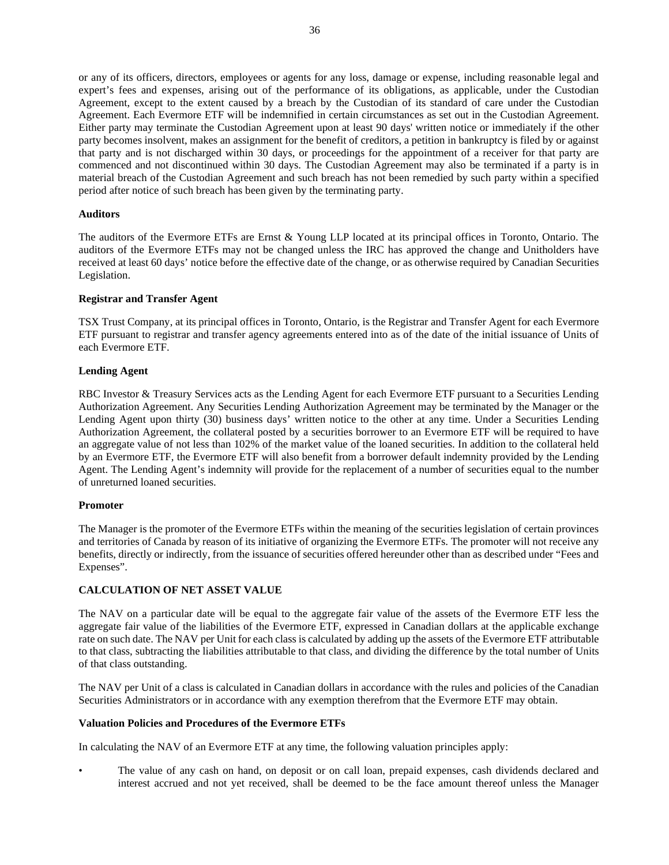or any of its officers, directors, employees or agents for any loss, damage or expense, including reasonable legal and expert's fees and expenses, arising out of the performance of its obligations, as applicable, under the Custodian Agreement, except to the extent caused by a breach by the Custodian of its standard of care under the Custodian Agreement. Each Evermore ETF will be indemnified in certain circumstances as set out in the Custodian Agreement. Either party may terminate the Custodian Agreement upon at least 90 days' written notice or immediately if the other party becomes insolvent, makes an assignment for the benefit of creditors, a petition in bankruptcy is filed by or against that party and is not discharged within 30 days, or proceedings for the appointment of a receiver for that party are commenced and not discontinued within 30 days. The Custodian Agreement may also be terminated if a party is in material breach of the Custodian Agreement and such breach has not been remedied by such party within a specified period after notice of such breach has been given by the terminating party.

# **Auditors**

The auditors of the Evermore ETFs are Ernst & Young LLP located at its principal offices in Toronto, Ontario. The auditors of the Evermore ETFs may not be changed unless the IRC has approved the change and Unitholders have received at least 60 days' notice before the effective date of the change, or as otherwise required by Canadian Securities Legislation.

# **Registrar and Transfer Agent**

TSX Trust Company, at its principal offices in Toronto, Ontario, is the Registrar and Transfer Agent for each Evermore ETF pursuant to registrar and transfer agency agreements entered into as of the date of the initial issuance of Units of each Evermore ETF.

# **Lending Agent**

RBC Investor & Treasury Services acts as the Lending Agent for each Evermore ETF pursuant to a Securities Lending Authorization Agreement. Any Securities Lending Authorization Agreement may be terminated by the Manager or the Lending Agent upon thirty (30) business days' written notice to the other at any time. Under a Securities Lending Authorization Agreement, the collateral posted by a securities borrower to an Evermore ETF will be required to have an aggregate value of not less than 102% of the market value of the loaned securities. In addition to the collateral held by an Evermore ETF, the Evermore ETF will also benefit from a borrower default indemnity provided by the Lending Agent. The Lending Agent's indemnity will provide for the replacement of a number of securities equal to the number of unreturned loaned securities.

# **Promoter**

The Manager is the promoter of the Evermore ETFs within the meaning of the securities legislation of certain provinces and territories of Canada by reason of its initiative of organizing the Evermore ETFs. The promoter will not receive any benefits, directly or indirectly, from the issuance of securities offered hereunder other than as described under "Fees and Expenses".

# **CALCULATION OF NET ASSET VALUE**

The NAV on a particular date will be equal to the aggregate fair value of the assets of the Evermore ETF less the aggregate fair value of the liabilities of the Evermore ETF, expressed in Canadian dollars at the applicable exchange rate on such date. The NAV per Unit for each class is calculated by adding up the assets of the Evermore ETF attributable to that class, subtracting the liabilities attributable to that class, and dividing the difference by the total number of Units of that class outstanding.

The NAV per Unit of a class is calculated in Canadian dollars in accordance with the rules and policies of the Canadian Securities Administrators or in accordance with any exemption therefrom that the Evermore ETF may obtain.

# **Valuation Policies and Procedures of the Evermore ETFs**

In calculating the NAV of an Evermore ETF at any time, the following valuation principles apply:

• The value of any cash on hand, on deposit or on call loan, prepaid expenses, cash dividends declared and interest accrued and not yet received, shall be deemed to be the face amount thereof unless the Manager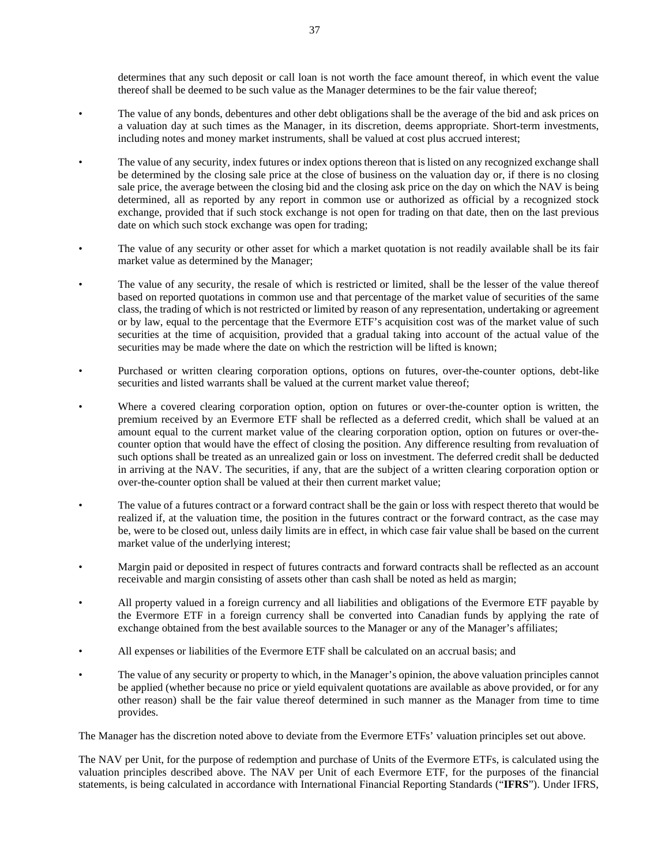determines that any such deposit or call loan is not worth the face amount thereof, in which event the value thereof shall be deemed to be such value as the Manager determines to be the fair value thereof;

- The value of any bonds, debentures and other debt obligations shall be the average of the bid and ask prices on a valuation day at such times as the Manager, in its discretion, deems appropriate. Short-term investments, including notes and money market instruments, shall be valued at cost plus accrued interest;
- The value of any security, index futures or index options thereon that is listed on any recognized exchange shall be determined by the closing sale price at the close of business on the valuation day or, if there is no closing sale price, the average between the closing bid and the closing ask price on the day on which the NAV is being determined, all as reported by any report in common use or authorized as official by a recognized stock exchange, provided that if such stock exchange is not open for trading on that date, then on the last previous date on which such stock exchange was open for trading;
- The value of any security or other asset for which a market quotation is not readily available shall be its fair market value as determined by the Manager;
- The value of any security, the resale of which is restricted or limited, shall be the lesser of the value thereof based on reported quotations in common use and that percentage of the market value of securities of the same class, the trading of which is not restricted or limited by reason of any representation, undertaking or agreement or by law, equal to the percentage that the Evermore ETF's acquisition cost was of the market value of such securities at the time of acquisition, provided that a gradual taking into account of the actual value of the securities may be made where the date on which the restriction will be lifted is known;
- Purchased or written clearing corporation options, options on futures, over-the-counter options, debt-like securities and listed warrants shall be valued at the current market value thereof;
- Where a covered clearing corporation option, option on futures or over-the-counter option is written, the premium received by an Evermore ETF shall be reflected as a deferred credit, which shall be valued at an amount equal to the current market value of the clearing corporation option, option on futures or over-thecounter option that would have the effect of closing the position. Any difference resulting from revaluation of such options shall be treated as an unrealized gain or loss on investment. The deferred credit shall be deducted in arriving at the NAV. The securities, if any, that are the subject of a written clearing corporation option or over-the-counter option shall be valued at their then current market value;
- The value of a futures contract or a forward contract shall be the gain or loss with respect thereto that would be realized if, at the valuation time, the position in the futures contract or the forward contract, as the case may be, were to be closed out, unless daily limits are in effect, in which case fair value shall be based on the current market value of the underlying interest;
- Margin paid or deposited in respect of futures contracts and forward contracts shall be reflected as an account receivable and margin consisting of assets other than cash shall be noted as held as margin;
- All property valued in a foreign currency and all liabilities and obligations of the Evermore ETF payable by the Evermore ETF in a foreign currency shall be converted into Canadian funds by applying the rate of exchange obtained from the best available sources to the Manager or any of the Manager's affiliates;
- All expenses or liabilities of the Evermore ETF shall be calculated on an accrual basis; and
- The value of any security or property to which, in the Manager's opinion, the above valuation principles cannot be applied (whether because no price or yield equivalent quotations are available as above provided, or for any other reason) shall be the fair value thereof determined in such manner as the Manager from time to time provides.

The Manager has the discretion noted above to deviate from the Evermore ETFs' valuation principles set out above.

The NAV per Unit, for the purpose of redemption and purchase of Units of the Evermore ETFs, is calculated using the valuation principles described above. The NAV per Unit of each Evermore ETF, for the purposes of the financial statements, is being calculated in accordance with International Financial Reporting Standards ("**IFRS**"). Under IFRS,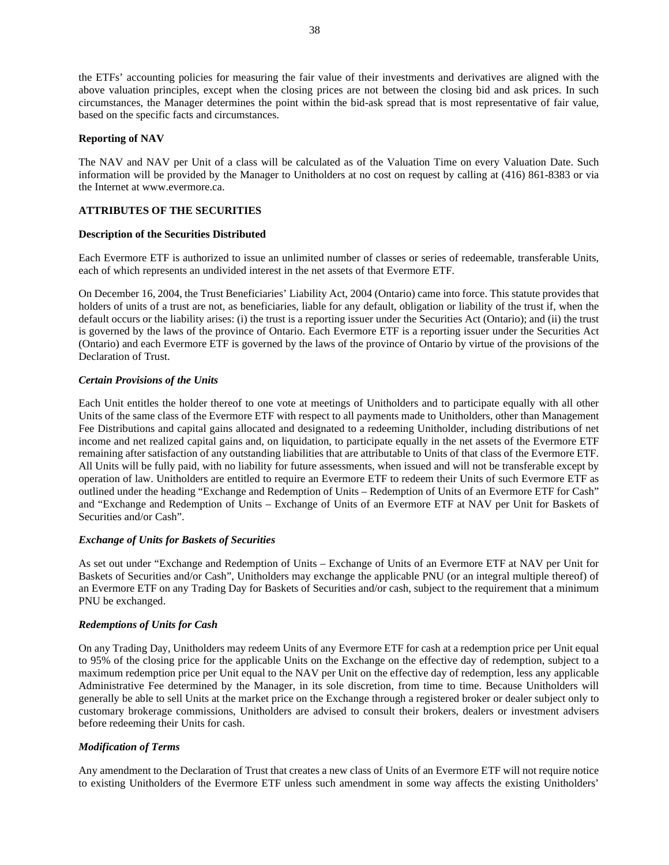the ETFs' accounting policies for measuring the fair value of their investments and derivatives are aligned with the above valuation principles, except when the closing prices are not between the closing bid and ask prices. In such circumstances, the Manager determines the point within the bid-ask spread that is most representative of fair value, based on the specific facts and circumstances.

# **Reporting of NAV**

The NAV and NAV per Unit of a class will be calculated as of the Valuation Time on every Valuation Date. Such information will be provided by the Manager to Unitholders at no cost on request by calling at (416) 861-8383 or via the Internet at www.evermore.ca.

# **ATTRIBUTES OF THE SECURITIES**

# **Description of the Securities Distributed**

Each Evermore ETF is authorized to issue an unlimited number of classes or series of redeemable, transferable Units, each of which represents an undivided interest in the net assets of that Evermore ETF.

On December 16, 2004, the Trust Beneficiaries' Liability Act, 2004 (Ontario) came into force. This statute provides that holders of units of a trust are not, as beneficiaries, liable for any default, obligation or liability of the trust if, when the default occurs or the liability arises: (i) the trust is a reporting issuer under the Securities Act (Ontario); and (ii) the trust is governed by the laws of the province of Ontario. Each Evermore ETF is a reporting issuer under the Securities Act (Ontario) and each Evermore ETF is governed by the laws of the province of Ontario by virtue of the provisions of the Declaration of Trust.

#### *Certain Provisions of the Units*

Each Unit entitles the holder thereof to one vote at meetings of Unitholders and to participate equally with all other Units of the same class of the Evermore ETF with respect to all payments made to Unitholders, other than Management Fee Distributions and capital gains allocated and designated to a redeeming Unitholder, including distributions of net income and net realized capital gains and, on liquidation, to participate equally in the net assets of the Evermore ETF remaining after satisfaction of any outstanding liabilities that are attributable to Units of that class of the Evermore ETF. All Units will be fully paid, with no liability for future assessments, when issued and will not be transferable except by operation of law. Unitholders are entitled to require an Evermore ETF to redeem their Units of such Evermore ETF as outlined under the heading "Exchange and Redemption of Units – Redemption of Units of an Evermore ETF for Cash" and "Exchange and Redemption of Units – Exchange of Units of an Evermore ETF at NAV per Unit for Baskets of Securities and/or Cash".

# *Exchange of Units for Baskets of Securities*

As set out under "Exchange and Redemption of Units – Exchange of Units of an Evermore ETF at NAV per Unit for Baskets of Securities and/or Cash", Unitholders may exchange the applicable PNU (or an integral multiple thereof) of an Evermore ETF on any Trading Day for Baskets of Securities and/or cash, subject to the requirement that a minimum PNU be exchanged.

# *Redemptions of Units for Cash*

On any Trading Day, Unitholders may redeem Units of any Evermore ETF for cash at a redemption price per Unit equal to 95% of the closing price for the applicable Units on the Exchange on the effective day of redemption, subject to a maximum redemption price per Unit equal to the NAV per Unit on the effective day of redemption, less any applicable Administrative Fee determined by the Manager, in its sole discretion, from time to time. Because Unitholders will generally be able to sell Units at the market price on the Exchange through a registered broker or dealer subject only to customary brokerage commissions, Unitholders are advised to consult their brokers, dealers or investment advisers before redeeming their Units for cash.

# *Modification of Terms*

Any amendment to the Declaration of Trust that creates a new class of Units of an Evermore ETF will not require notice to existing Unitholders of the Evermore ETF unless such amendment in some way affects the existing Unitholders'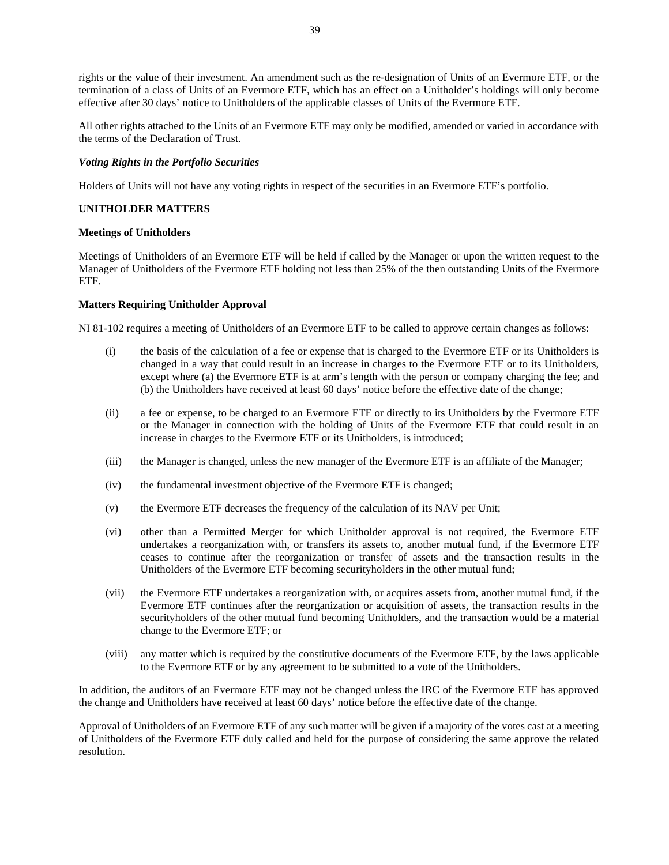rights or the value of their investment. An amendment such as the re-designation of Units of an Evermore ETF, or the termination of a class of Units of an Evermore ETF, which has an effect on a Unitholder's holdings will only become effective after 30 days' notice to Unitholders of the applicable classes of Units of the Evermore ETF.

All other rights attached to the Units of an Evermore ETF may only be modified, amended or varied in accordance with the terms of the Declaration of Trust.

# *Voting Rights in the Portfolio Securities*

Holders of Units will not have any voting rights in respect of the securities in an Evermore ETF's portfolio.

# **UNITHOLDER MATTERS**

# **Meetings of Unitholders**

Meetings of Unitholders of an Evermore ETF will be held if called by the Manager or upon the written request to the Manager of Unitholders of the Evermore ETF holding not less than 25% of the then outstanding Units of the Evermore ETF.

# **Matters Requiring Unitholder Approval**

NI 81-102 requires a meeting of Unitholders of an Evermore ETF to be called to approve certain changes as follows:

- (i) the basis of the calculation of a fee or expense that is charged to the Evermore ETF or its Unitholders is changed in a way that could result in an increase in charges to the Evermore ETF or to its Unitholders, except where (a) the Evermore ETF is at arm's length with the person or company charging the fee; and (b) the Unitholders have received at least 60 days' notice before the effective date of the change;
- (ii) a fee or expense, to be charged to an Evermore ETF or directly to its Unitholders by the Evermore ETF or the Manager in connection with the holding of Units of the Evermore ETF that could result in an increase in charges to the Evermore ETF or its Unitholders, is introduced;
- (iii) the Manager is changed, unless the new manager of the Evermore ETF is an affiliate of the Manager;
- (iv) the fundamental investment objective of the Evermore ETF is changed;
- (v) the Evermore ETF decreases the frequency of the calculation of its NAV per Unit;
- (vi) other than a Permitted Merger for which Unitholder approval is not required, the Evermore ETF undertakes a reorganization with, or transfers its assets to, another mutual fund, if the Evermore ETF ceases to continue after the reorganization or transfer of assets and the transaction results in the Unitholders of the Evermore ETF becoming securityholders in the other mutual fund;
- (vii) the Evermore ETF undertakes a reorganization with, or acquires assets from, another mutual fund, if the Evermore ETF continues after the reorganization or acquisition of assets, the transaction results in the securityholders of the other mutual fund becoming Unitholders, and the transaction would be a material change to the Evermore ETF; or
- (viii) any matter which is required by the constitutive documents of the Evermore ETF, by the laws applicable to the Evermore ETF or by any agreement to be submitted to a vote of the Unitholders.

In addition, the auditors of an Evermore ETF may not be changed unless the IRC of the Evermore ETF has approved the change and Unitholders have received at least 60 days' notice before the effective date of the change.

Approval of Unitholders of an Evermore ETF of any such matter will be given if a majority of the votes cast at a meeting of Unitholders of the Evermore ETF duly called and held for the purpose of considering the same approve the related resolution.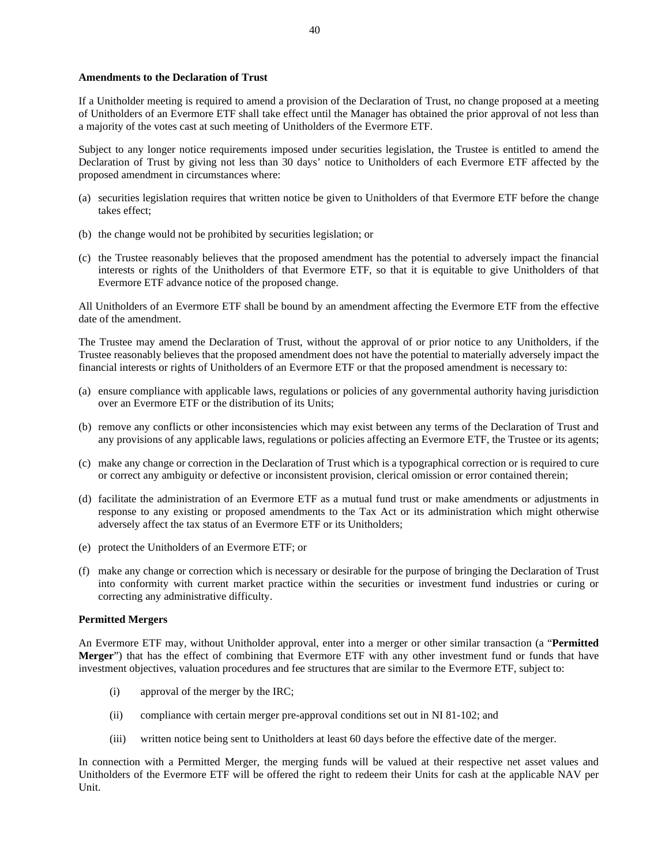#### **Amendments to the Declaration of Trust**

If a Unitholder meeting is required to amend a provision of the Declaration of Trust, no change proposed at a meeting of Unitholders of an Evermore ETF shall take effect until the Manager has obtained the prior approval of not less than a majority of the votes cast at such meeting of Unitholders of the Evermore ETF.

Subject to any longer notice requirements imposed under securities legislation, the Trustee is entitled to amend the Declaration of Trust by giving not less than 30 days' notice to Unitholders of each Evermore ETF affected by the proposed amendment in circumstances where:

- (a) securities legislation requires that written notice be given to Unitholders of that Evermore ETF before the change takes effect;
- (b) the change would not be prohibited by securities legislation; or
- (c) the Trustee reasonably believes that the proposed amendment has the potential to adversely impact the financial interests or rights of the Unitholders of that Evermore ETF, so that it is equitable to give Unitholders of that Evermore ETF advance notice of the proposed change.

All Unitholders of an Evermore ETF shall be bound by an amendment affecting the Evermore ETF from the effective date of the amendment.

The Trustee may amend the Declaration of Trust, without the approval of or prior notice to any Unitholders, if the Trustee reasonably believes that the proposed amendment does not have the potential to materially adversely impact the financial interests or rights of Unitholders of an Evermore ETF or that the proposed amendment is necessary to:

- (a) ensure compliance with applicable laws, regulations or policies of any governmental authority having jurisdiction over an Evermore ETF or the distribution of its Units;
- (b) remove any conflicts or other inconsistencies which may exist between any terms of the Declaration of Trust and any provisions of any applicable laws, regulations or policies affecting an Evermore ETF, the Trustee or its agents;
- (c) make any change or correction in the Declaration of Trust which is a typographical correction or is required to cure or correct any ambiguity or defective or inconsistent provision, clerical omission or error contained therein;
- (d) facilitate the administration of an Evermore ETF as a mutual fund trust or make amendments or adjustments in response to any existing or proposed amendments to the Tax Act or its administration which might otherwise adversely affect the tax status of an Evermore ETF or its Unitholders;
- (e) protect the Unitholders of an Evermore ETF; or
- (f) make any change or correction which is necessary or desirable for the purpose of bringing the Declaration of Trust into conformity with current market practice within the securities or investment fund industries or curing or correcting any administrative difficulty.

#### **Permitted Mergers**

An Evermore ETF may, without Unitholder approval, enter into a merger or other similar transaction (a "**Permitted Merger**") that has the effect of combining that Evermore ETF with any other investment fund or funds that have investment objectives, valuation procedures and fee structures that are similar to the Evermore ETF, subject to:

- (i) approval of the merger by the IRC;
- (ii) compliance with certain merger pre-approval conditions set out in NI 81-102; and
- (iii) written notice being sent to Unitholders at least 60 days before the effective date of the merger.

In connection with a Permitted Merger, the merging funds will be valued at their respective net asset values and Unitholders of the Evermore ETF will be offered the right to redeem their Units for cash at the applicable NAV per Unit.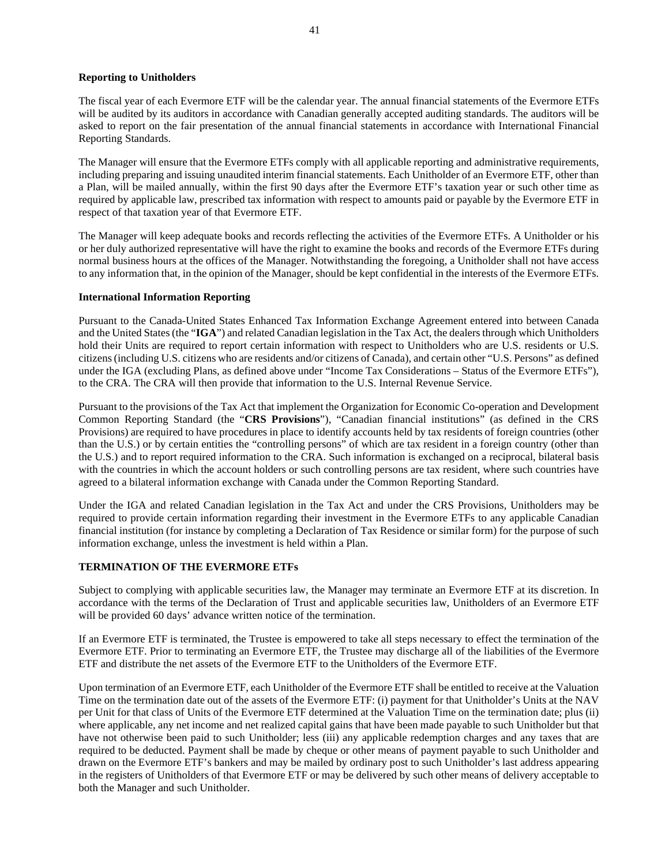#### **Reporting to Unitholders**

The fiscal year of each Evermore ETF will be the calendar year. The annual financial statements of the Evermore ETFs will be audited by its auditors in accordance with Canadian generally accepted auditing standards. The auditors will be asked to report on the fair presentation of the annual financial statements in accordance with International Financial Reporting Standards.

The Manager will ensure that the Evermore ETFs comply with all applicable reporting and administrative requirements, including preparing and issuing unaudited interim financial statements. Each Unitholder of an Evermore ETF, other than a Plan, will be mailed annually, within the first 90 days after the Evermore ETF's taxation year or such other time as required by applicable law, prescribed tax information with respect to amounts paid or payable by the Evermore ETF in respect of that taxation year of that Evermore ETF.

The Manager will keep adequate books and records reflecting the activities of the Evermore ETFs. A Unitholder or his or her duly authorized representative will have the right to examine the books and records of the Evermore ETFs during normal business hours at the offices of the Manager. Notwithstanding the foregoing, a Unitholder shall not have access to any information that, in the opinion of the Manager, should be kept confidential in the interests of the Evermore ETFs.

#### **International Information Reporting**

Pursuant to the Canada-United States Enhanced Tax Information Exchange Agreement entered into between Canada and the United States (the "**IGA**") and related Canadian legislation in the Tax Act, the dealers through which Unitholders hold their Units are required to report certain information with respect to Unitholders who are U.S. residents or U.S. citizens (including U.S. citizens who are residents and/or citizens of Canada), and certain other "U.S. Persons" as defined under the IGA (excluding Plans, as defined above under "Income Tax Considerations – Status of the Evermore ETFs"), to the CRA. The CRA will then provide that information to the U.S. Internal Revenue Service.

Pursuant to the provisions of the Tax Act that implement the Organization for Economic Co-operation and Development Common Reporting Standard (the "**CRS Provisions**"), "Canadian financial institutions" (as defined in the CRS Provisions) are required to have procedures in place to identify accounts held by tax residents of foreign countries (other than the U.S.) or by certain entities the "controlling persons" of which are tax resident in a foreign country (other than the U.S.) and to report required information to the CRA. Such information is exchanged on a reciprocal, bilateral basis with the countries in which the account holders or such controlling persons are tax resident, where such countries have agreed to a bilateral information exchange with Canada under the Common Reporting Standard.

Under the IGA and related Canadian legislation in the Tax Act and under the CRS Provisions, Unitholders may be required to provide certain information regarding their investment in the Evermore ETFs to any applicable Canadian financial institution (for instance by completing a Declaration of Tax Residence or similar form) for the purpose of such information exchange, unless the investment is held within a Plan.

# **TERMINATION OF THE EVERMORE ETFs**

Subject to complying with applicable securities law, the Manager may terminate an Evermore ETF at its discretion. In accordance with the terms of the Declaration of Trust and applicable securities law, Unitholders of an Evermore ETF will be provided 60 days' advance written notice of the termination.

If an Evermore ETF is terminated, the Trustee is empowered to take all steps necessary to effect the termination of the Evermore ETF. Prior to terminating an Evermore ETF, the Trustee may discharge all of the liabilities of the Evermore ETF and distribute the net assets of the Evermore ETF to the Unitholders of the Evermore ETF.

Upon termination of an Evermore ETF, each Unitholder of the Evermore ETF shall be entitled to receive at the Valuation Time on the termination date out of the assets of the Evermore ETF: (i) payment for that Unitholder's Units at the NAV per Unit for that class of Units of the Evermore ETF determined at the Valuation Time on the termination date; plus (ii) where applicable, any net income and net realized capital gains that have been made payable to such Unitholder but that have not otherwise been paid to such Unitholder; less (iii) any applicable redemption charges and any taxes that are required to be deducted. Payment shall be made by cheque or other means of payment payable to such Unitholder and drawn on the Evermore ETF's bankers and may be mailed by ordinary post to such Unitholder's last address appearing in the registers of Unitholders of that Evermore ETF or may be delivered by such other means of delivery acceptable to both the Manager and such Unitholder.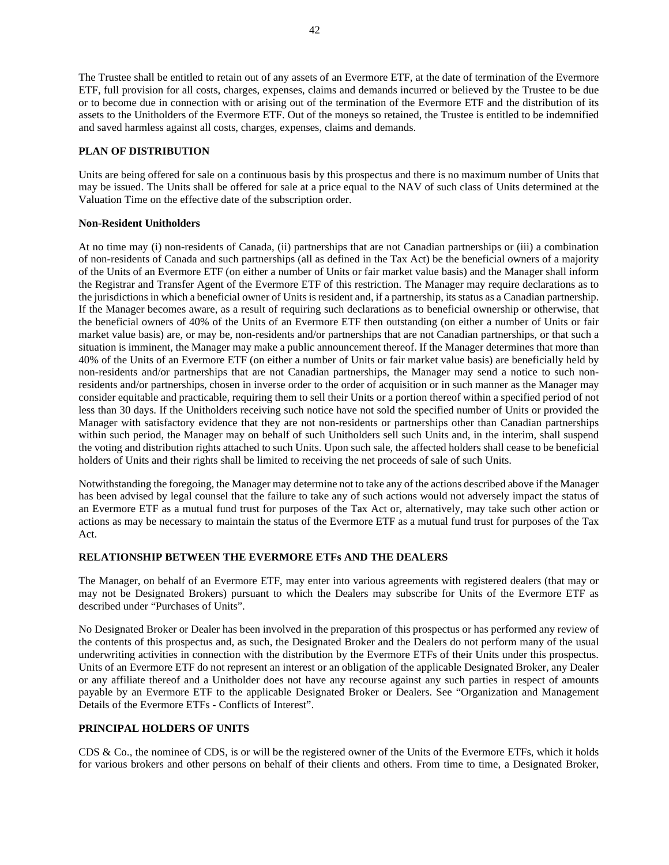The Trustee shall be entitled to retain out of any assets of an Evermore ETF, at the date of termination of the Evermore ETF, full provision for all costs, charges, expenses, claims and demands incurred or believed by the Trustee to be due or to become due in connection with or arising out of the termination of the Evermore ETF and the distribution of its assets to the Unitholders of the Evermore ETF. Out of the moneys so retained, the Trustee is entitled to be indemnified and saved harmless against all costs, charges, expenses, claims and demands.

# **PLAN OF DISTRIBUTION**

Units are being offered for sale on a continuous basis by this prospectus and there is no maximum number of Units that may be issued. The Units shall be offered for sale at a price equal to the NAV of such class of Units determined at the Valuation Time on the effective date of the subscription order.

#### **Non-Resident Unitholders**

At no time may (i) non-residents of Canada, (ii) partnerships that are not Canadian partnerships or (iii) a combination of non-residents of Canada and such partnerships (all as defined in the Tax Act) be the beneficial owners of a majority of the Units of an Evermore ETF (on either a number of Units or fair market value basis) and the Manager shall inform the Registrar and Transfer Agent of the Evermore ETF of this restriction. The Manager may require declarations as to the jurisdictions in which a beneficial owner of Units is resident and, if a partnership, its status as a Canadian partnership. If the Manager becomes aware, as a result of requiring such declarations as to beneficial ownership or otherwise, that the beneficial owners of 40% of the Units of an Evermore ETF then outstanding (on either a number of Units or fair market value basis) are, or may be, non-residents and/or partnerships that are not Canadian partnerships, or that such a situation is imminent, the Manager may make a public announcement thereof. If the Manager determines that more than 40% of the Units of an Evermore ETF (on either a number of Units or fair market value basis) are beneficially held by non-residents and/or partnerships that are not Canadian partnerships, the Manager may send a notice to such nonresidents and/or partnerships, chosen in inverse order to the order of acquisition or in such manner as the Manager may consider equitable and practicable, requiring them to sell their Units or a portion thereof within a specified period of not less than 30 days. If the Unitholders receiving such notice have not sold the specified number of Units or provided the Manager with satisfactory evidence that they are not non-residents or partnerships other than Canadian partnerships within such period, the Manager may on behalf of such Unitholders sell such Units and, in the interim, shall suspend the voting and distribution rights attached to such Units. Upon such sale, the affected holders shall cease to be beneficial holders of Units and their rights shall be limited to receiving the net proceeds of sale of such Units.

Notwithstanding the foregoing, the Manager may determine not to take any of the actions described above if the Manager has been advised by legal counsel that the failure to take any of such actions would not adversely impact the status of an Evermore ETF as a mutual fund trust for purposes of the Tax Act or, alternatively, may take such other action or actions as may be necessary to maintain the status of the Evermore ETF as a mutual fund trust for purposes of the Tax Act.

# **RELATIONSHIP BETWEEN THE EVERMORE ETFs AND THE DEALERS**

The Manager, on behalf of an Evermore ETF, may enter into various agreements with registered dealers (that may or may not be Designated Brokers) pursuant to which the Dealers may subscribe for Units of the Evermore ETF as described under "Purchases of Units".

No Designated Broker or Dealer has been involved in the preparation of this prospectus or has performed any review of the contents of this prospectus and, as such, the Designated Broker and the Dealers do not perform many of the usual underwriting activities in connection with the distribution by the Evermore ETFs of their Units under this prospectus. Units of an Evermore ETF do not represent an interest or an obligation of the applicable Designated Broker, any Dealer or any affiliate thereof and a Unitholder does not have any recourse against any such parties in respect of amounts payable by an Evermore ETF to the applicable Designated Broker or Dealers. See "Organization and Management Details of the Evermore ETFs - Conflicts of Interest".

#### **PRINCIPAL HOLDERS OF UNITS**

CDS & Co., the nominee of CDS, is or will be the registered owner of the Units of the Evermore ETFs, which it holds for various brokers and other persons on behalf of their clients and others. From time to time, a Designated Broker,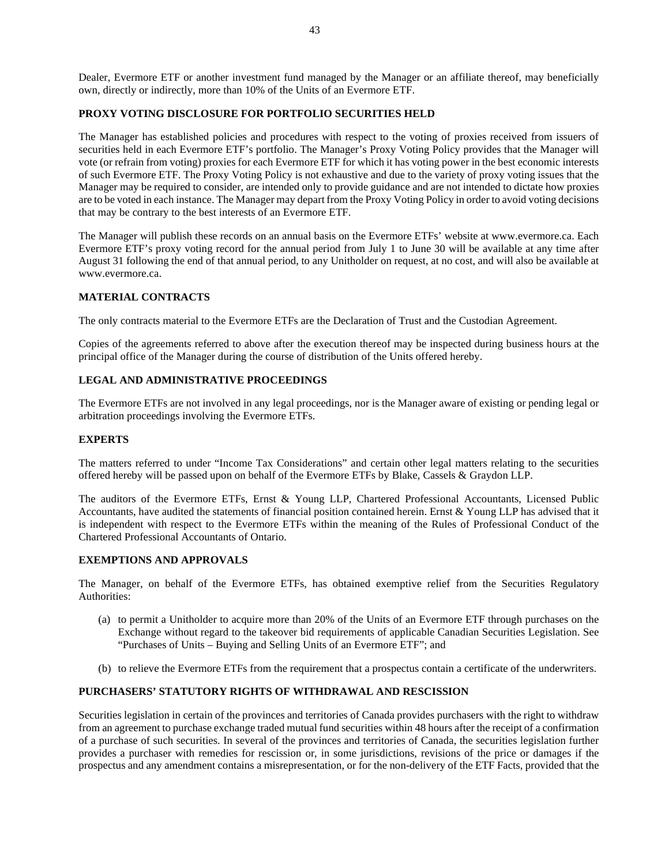Dealer, Evermore ETF or another investment fund managed by the Manager or an affiliate thereof, may beneficially own, directly or indirectly, more than 10% of the Units of an Evermore ETF.

# **PROXY VOTING DISCLOSURE FOR PORTFOLIO SECURITIES HELD**

The Manager has established policies and procedures with respect to the voting of proxies received from issuers of securities held in each Evermore ETF's portfolio. The Manager's Proxy Voting Policy provides that the Manager will vote (or refrain from voting) proxies for each Evermore ETF for which it has voting power in the best economic interests of such Evermore ETF. The Proxy Voting Policy is not exhaustive and due to the variety of proxy voting issues that the Manager may be required to consider, are intended only to provide guidance and are not intended to dictate how proxies are to be voted in each instance. The Manager may depart from the Proxy Voting Policy in order to avoid voting decisions that may be contrary to the best interests of an Evermore ETF.

The Manager will publish these records on an annual basis on the Evermore ETFs' website at www.evermore.ca. Each Evermore ETF's proxy voting record for the annual period from July 1 to June 30 will be available at any time after August 31 following the end of that annual period, to any Unitholder on request, at no cost, and will also be available at www.evermore.ca.

# **MATERIAL CONTRACTS**

The only contracts material to the Evermore ETFs are the Declaration of Trust and the Custodian Agreement.

Copies of the agreements referred to above after the execution thereof may be inspected during business hours at the principal office of the Manager during the course of distribution of the Units offered hereby.

# **LEGAL AND ADMINISTRATIVE PROCEEDINGS**

The Evermore ETFs are not involved in any legal proceedings, nor is the Manager aware of existing or pending legal or arbitration proceedings involving the Evermore ETFs.

# **EXPERTS**

The matters referred to under "Income Tax Considerations" and certain other legal matters relating to the securities offered hereby will be passed upon on behalf of the Evermore ETFs by Blake, Cassels & Graydon LLP.

The auditors of the Evermore ETFs, Ernst & Young LLP, Chartered Professional Accountants, Licensed Public Accountants, have audited the statements of financial position contained herein. Ernst & Young LLP has advised that it is independent with respect to the Evermore ETFs within the meaning of the Rules of Professional Conduct of the Chartered Professional Accountants of Ontario.

# **EXEMPTIONS AND APPROVALS**

The Manager, on behalf of the Evermore ETFs, has obtained exemptive relief from the Securities Regulatory Authorities:

- (a) to permit a Unitholder to acquire more than 20% of the Units of an Evermore ETF through purchases on the Exchange without regard to the takeover bid requirements of applicable Canadian Securities Legislation. See "Purchases of Units – Buying and Selling Units of an Evermore ETF"; and
- (b) to relieve the Evermore ETFs from the requirement that a prospectus contain a certificate of the underwriters.

# **PURCHASERS' STATUTORY RIGHTS OF WITHDRAWAL AND RESCISSION**

Securities legislation in certain of the provinces and territories of Canada provides purchasers with the right to withdraw from an agreement to purchase exchange traded mutual fund securities within 48 hours after the receipt of a confirmation of a purchase of such securities. In several of the provinces and territories of Canada, the securities legislation further provides a purchaser with remedies for rescission or, in some jurisdictions, revisions of the price or damages if the prospectus and any amendment contains a misrepresentation, or for the non-delivery of the ETF Facts, provided that the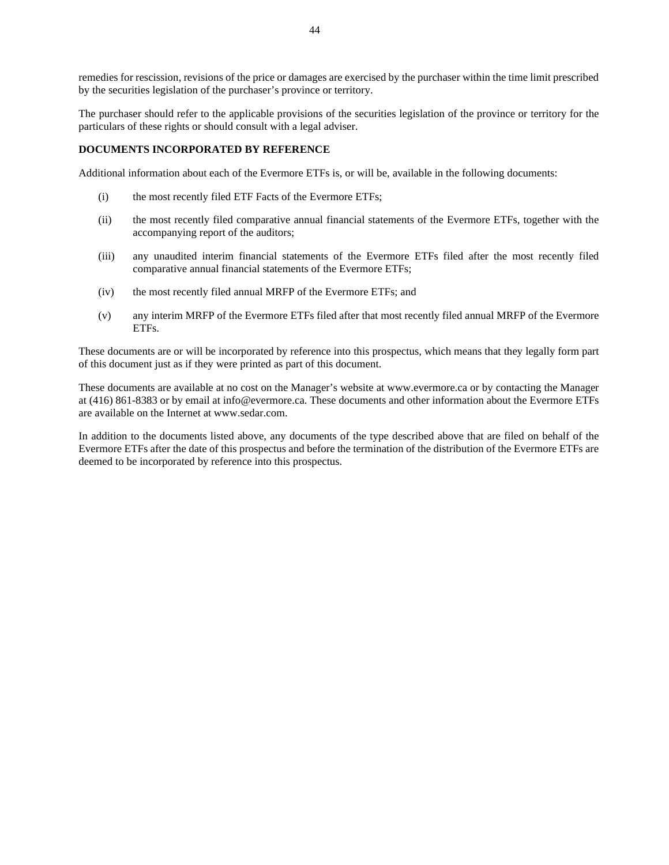remedies for rescission, revisions of the price or damages are exercised by the purchaser within the time limit prescribed by the securities legislation of the purchaser's province or territory.

The purchaser should refer to the applicable provisions of the securities legislation of the province or territory for the particulars of these rights or should consult with a legal adviser.

#### **DOCUMENTS INCORPORATED BY REFERENCE**

Additional information about each of the Evermore ETFs is, or will be, available in the following documents:

- (i) the most recently filed ETF Facts of the Evermore ETFs;
- (ii) the most recently filed comparative annual financial statements of the Evermore ETFs, together with the accompanying report of the auditors;
- (iii) any unaudited interim financial statements of the Evermore ETFs filed after the most recently filed comparative annual financial statements of the Evermore ETFs;
- (iv) the most recently filed annual MRFP of the Evermore ETFs; and
- (v) any interim MRFP of the Evermore ETFs filed after that most recently filed annual MRFP of the Evermore ETFs.

These documents are or will be incorporated by reference into this prospectus, which means that they legally form part of this document just as if they were printed as part of this document.

These documents are available at no cost on the Manager's website at www.evermore.ca or by contacting the Manager at (416) 861-8383 or by email at info@evermore.ca. These documents and other information about the Evermore ETFs are available on the Internet at www.sedar.com.

In addition to the documents listed above, any documents of the type described above that are filed on behalf of the Evermore ETFs after the date of this prospectus and before the termination of the distribution of the Evermore ETFs are deemed to be incorporated by reference into this prospectus.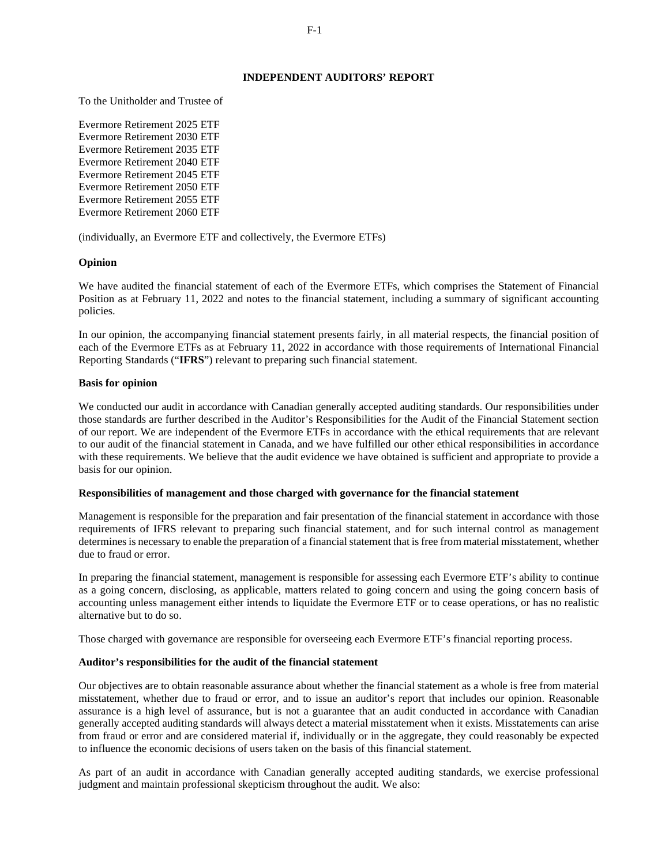#### **INDEPENDENT AUDITORS' REPORT**

To the Unitholder and Trustee of

Evermore Retirement 2025 ETF Evermore Retirement 2030 ETF Evermore Retirement 2035 ETF Evermore Retirement 2040 ETF Evermore Retirement 2045 ETF Evermore Retirement 2050 ETF Evermore Retirement 2055 ETF Evermore Retirement 2060 ETF

(individually, an Evermore ETF and collectively, the Evermore ETFs)

#### **Opinion**

We have audited the financial statement of each of the Evermore ETFs, which comprises the Statement of Financial Position as at February 11, 2022 and notes to the financial statement, including a summary of significant accounting policies.

In our opinion, the accompanying financial statement presents fairly, in all material respects, the financial position of each of the Evermore ETFs as at February 11, 2022 in accordance with those requirements of International Financial Reporting Standards ("**IFRS**") relevant to preparing such financial statement.

#### **Basis for opinion**

We conducted our audit in accordance with Canadian generally accepted auditing standards. Our responsibilities under those standards are further described in the Auditor's Responsibilities for the Audit of the Financial Statement section of our report. We are independent of the Evermore ETFs in accordance with the ethical requirements that are relevant to our audit of the financial statement in Canada, and we have fulfilled our other ethical responsibilities in accordance with these requirements. We believe that the audit evidence we have obtained is sufficient and appropriate to provide a basis for our opinion.

#### **Responsibilities of management and those charged with governance for the financial statement**

Management is responsible for the preparation and fair presentation of the financial statement in accordance with those requirements of IFRS relevant to preparing such financial statement, and for such internal control as management determines is necessary to enable the preparation of a financial statement that is free from material misstatement, whether due to fraud or error.

In preparing the financial statement, management is responsible for assessing each Evermore ETF's ability to continue as a going concern, disclosing, as applicable, matters related to going concern and using the going concern basis of accounting unless management either intends to liquidate the Evermore ETF or to cease operations, or has no realistic alternative but to do so.

Those charged with governance are responsible for overseeing each Evermore ETF's financial reporting process.

#### **Auditor's responsibilities for the audit of the financial statement**

Our objectives are to obtain reasonable assurance about whether the financial statement as a whole is free from material misstatement, whether due to fraud or error, and to issue an auditor's report that includes our opinion. Reasonable assurance is a high level of assurance, but is not a guarantee that an audit conducted in accordance with Canadian generally accepted auditing standards will always detect a material misstatement when it exists. Misstatements can arise from fraud or error and are considered material if, individually or in the aggregate, they could reasonably be expected to influence the economic decisions of users taken on the basis of this financial statement.

As part of an audit in accordance with Canadian generally accepted auditing standards, we exercise professional judgment and maintain professional skepticism throughout the audit. We also: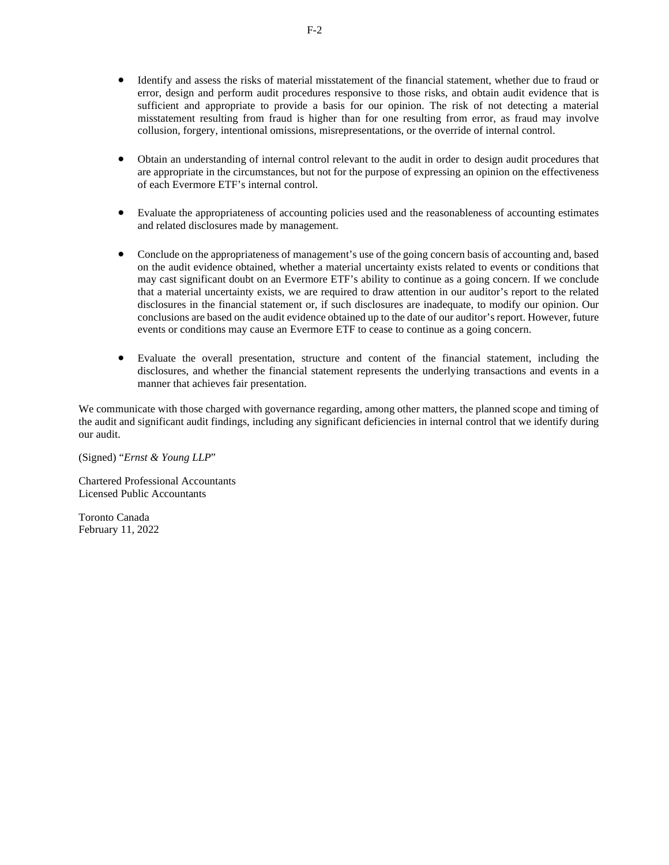- Identify and assess the risks of material misstatement of the financial statement, whether due to fraud or error, design and perform audit procedures responsive to those risks, and obtain audit evidence that is sufficient and appropriate to provide a basis for our opinion. The risk of not detecting a material misstatement resulting from fraud is higher than for one resulting from error, as fraud may involve collusion, forgery, intentional omissions, misrepresentations, or the override of internal control.
- Obtain an understanding of internal control relevant to the audit in order to design audit procedures that are appropriate in the circumstances, but not for the purpose of expressing an opinion on the effectiveness of each Evermore ETF's internal control.
- Evaluate the appropriateness of accounting policies used and the reasonableness of accounting estimates and related disclosures made by management.
- Conclude on the appropriateness of management's use of the going concern basis of accounting and, based on the audit evidence obtained, whether a material uncertainty exists related to events or conditions that may cast significant doubt on an Evermore ETF's ability to continue as a going concern. If we conclude that a material uncertainty exists, we are required to draw attention in our auditor's report to the related disclosures in the financial statement or, if such disclosures are inadequate, to modify our opinion. Our conclusions are based on the audit evidence obtained up to the date of our auditor's report. However, future events or conditions may cause an Evermore ETF to cease to continue as a going concern.
- Evaluate the overall presentation, structure and content of the financial statement, including the disclosures, and whether the financial statement represents the underlying transactions and events in a manner that achieves fair presentation.

We communicate with those charged with governance regarding, among other matters, the planned scope and timing of the audit and significant audit findings, including any significant deficiencies in internal control that we identify during our audit.

(Signed) "*Ernst & Young LLP*"

Chartered Professional Accountants Licensed Public Accountants

Toronto Canada February 11, 2022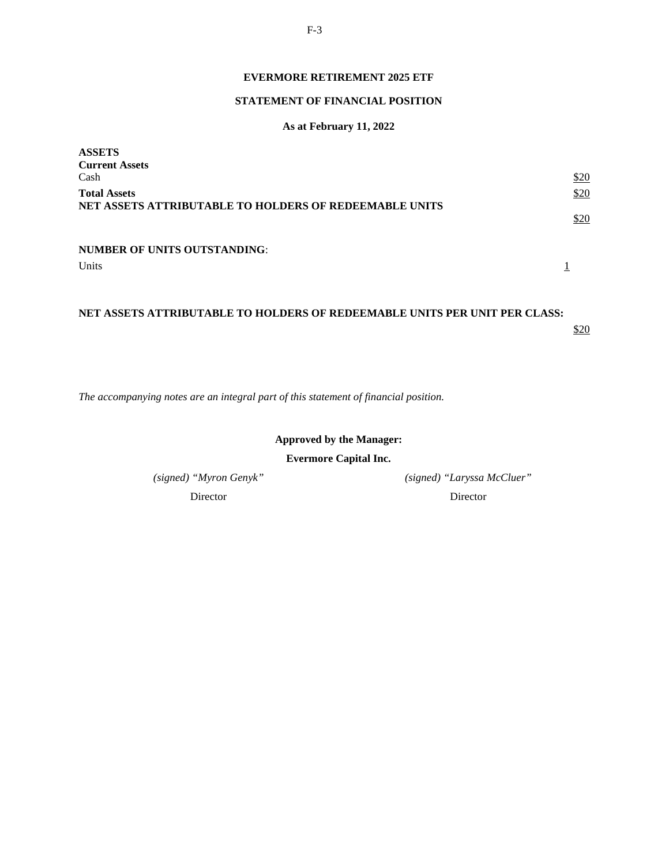# **EVERMORE RETIREMENT 2025 ETF**

# **STATEMENT OF FINANCIAL POSITION**

# **As at February 11, 2022**

| <b>ASSETS</b><br><b>Current Assets</b><br>Cash         | \$20 |
|--------------------------------------------------------|------|
| <b>Total Assets</b>                                    | \$20 |
| NET ASSETS ATTRIBUTABLE TO HOLDERS OF REDEEMABLE UNITS | \$20 |
| <b>NUMBER OF UNITS OUTSTANDING:</b>                    |      |
| Units                                                  |      |

# **NET ASSETS ATTRIBUTABLE TO HOLDERS OF REDEEMABLE UNITS PER UNIT PER CLASS:**

\$20

*The accompanying notes are an integral part of this statement of financial position.* 

# **Approved by the Manager:**

# **Evermore Capital Inc.**

Director Director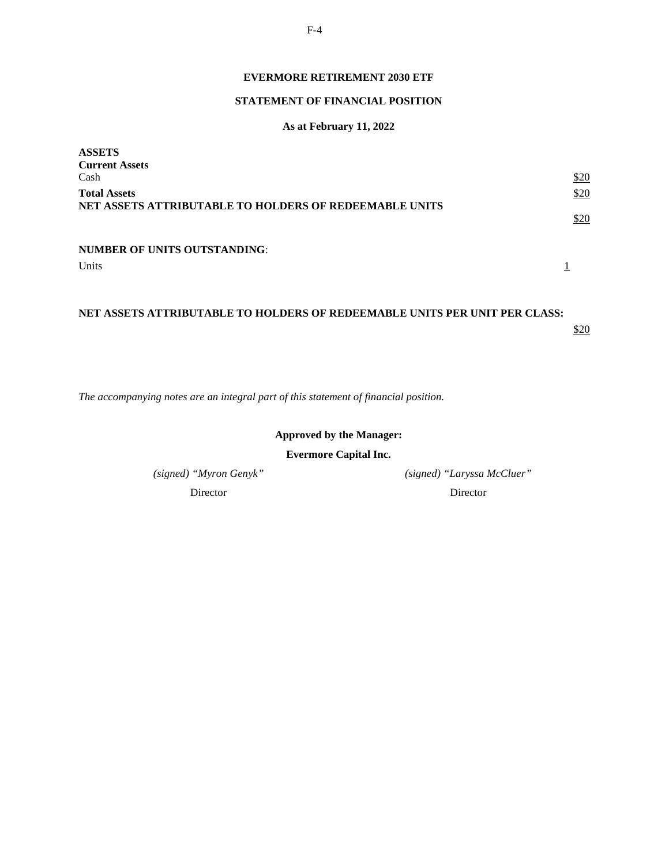# **EVERMORE RETIREMENT 2030 ETF**

# **STATEMENT OF FINANCIAL POSITION**

# **As at February 11, 2022**

| <b>ASSETS</b><br><b>Current Assets</b><br>Cash                | \$20 |
|---------------------------------------------------------------|------|
| <b>Total Assets</b>                                           | \$20 |
| <b>NET ASSETS ATTRIBUTABLE TO HOLDERS OF REDEEMABLE UNITS</b> | \$20 |
| <b>NUMBER OF UNITS OUTSTANDING:</b>                           |      |
| Units                                                         |      |

# **NET ASSETS ATTRIBUTABLE TO HOLDERS OF REDEEMABLE UNITS PER UNIT PER CLASS:**

\$20

*The accompanying notes are an integral part of this statement of financial position.* 

# **Approved by the Manager:**

# **Evermore Capital Inc.**

Director Director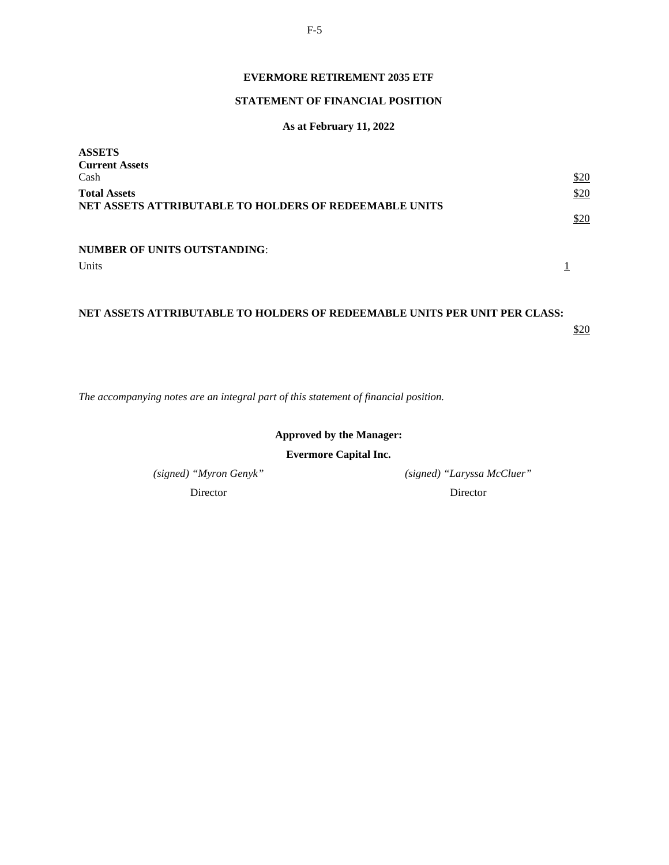# **EVERMORE RETIREMENT 2035 ETF**

# **STATEMENT OF FINANCIAL POSITION**

# **As at February 11, 2022**

| <b>ASSETS</b><br><b>Current Assets</b><br>Cash                | \$20 |
|---------------------------------------------------------------|------|
| <b>Total Assets</b>                                           | \$20 |
| <b>NET ASSETS ATTRIBUTABLE TO HOLDERS OF REDEEMABLE UNITS</b> | \$20 |
| <b>NUMBER OF UNITS OUTSTANDING:</b>                           |      |
| Units                                                         |      |

# **NET ASSETS ATTRIBUTABLE TO HOLDERS OF REDEEMABLE UNITS PER UNIT PER CLASS:**

\$20

*The accompanying notes are an integral part of this statement of financial position.* 

# **Approved by the Manager:**

# **Evermore Capital Inc.**

Director Director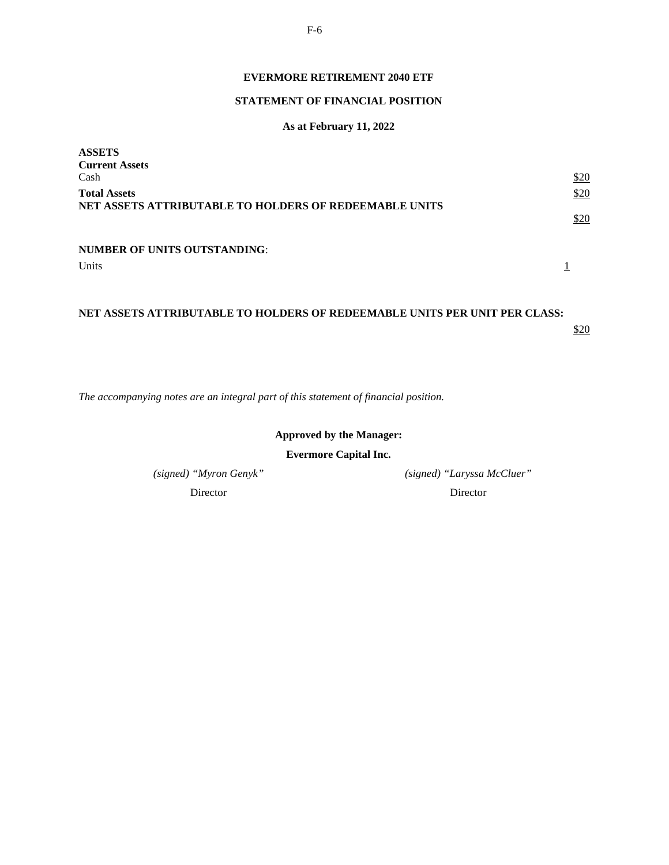# **EVERMORE RETIREMENT 2040 ETF**

# **STATEMENT OF FINANCIAL POSITION**

# **As at February 11, 2022**

| <b>ASSETS</b><br><b>Current Assets</b>                                        |      |
|-------------------------------------------------------------------------------|------|
| Cash                                                                          | \$20 |
| <b>Total Assets</b><br>NET ASSETS ATTRIBUTABLE TO HOLDERS OF REDEEMABLE UNITS | \$20 |
|                                                                               | \$20 |
| <b>NUMBER OF UNITS OUTSTANDING:</b>                                           |      |
| Units                                                                         |      |

# **NET ASSETS ATTRIBUTABLE TO HOLDERS OF REDEEMABLE UNITS PER UNIT PER CLASS:**

\$20

*The accompanying notes are an integral part of this statement of financial position.* 

# **Approved by the Manager:**

# **Evermore Capital Inc.**

Director Director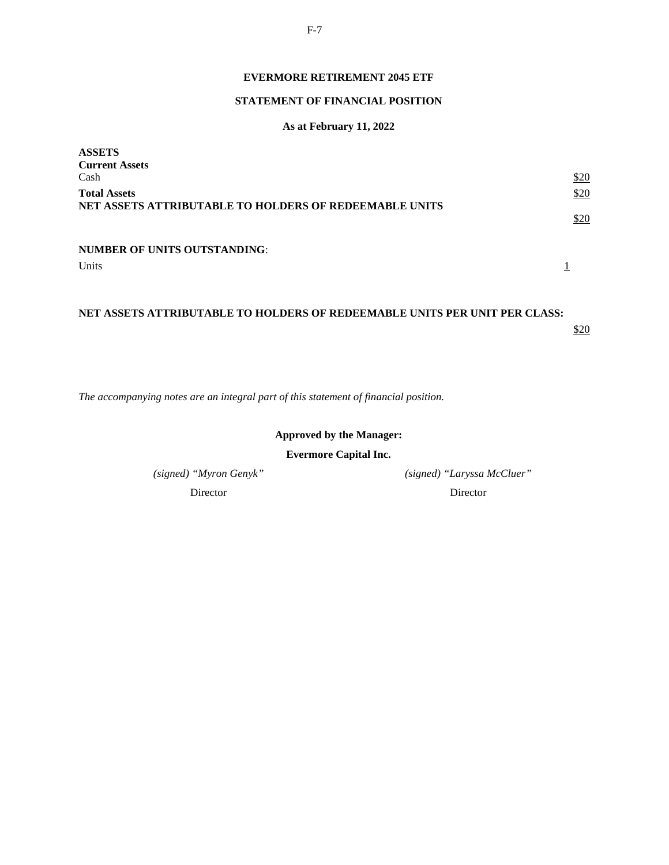# **EVERMORE RETIREMENT 2045 ETF**

# **STATEMENT OF FINANCIAL POSITION**

# **As at February 11, 2022**

| <b>ASSETS</b><br><b>Current Assets</b>                                        |      |
|-------------------------------------------------------------------------------|------|
| Cash                                                                          | \$20 |
| <b>Total Assets</b><br>NET ASSETS ATTRIBUTABLE TO HOLDERS OF REDEEMABLE UNITS | \$20 |
|                                                                               | \$20 |
| <b>NUMBER OF UNITS OUTSTANDING:</b>                                           |      |
| Units                                                                         |      |

# **NET ASSETS ATTRIBUTABLE TO HOLDERS OF REDEEMABLE UNITS PER UNIT PER CLASS:**

\$20

*The accompanying notes are an integral part of this statement of financial position.* 

# **Approved by the Manager:**

# **Evermore Capital Inc.**

Director Director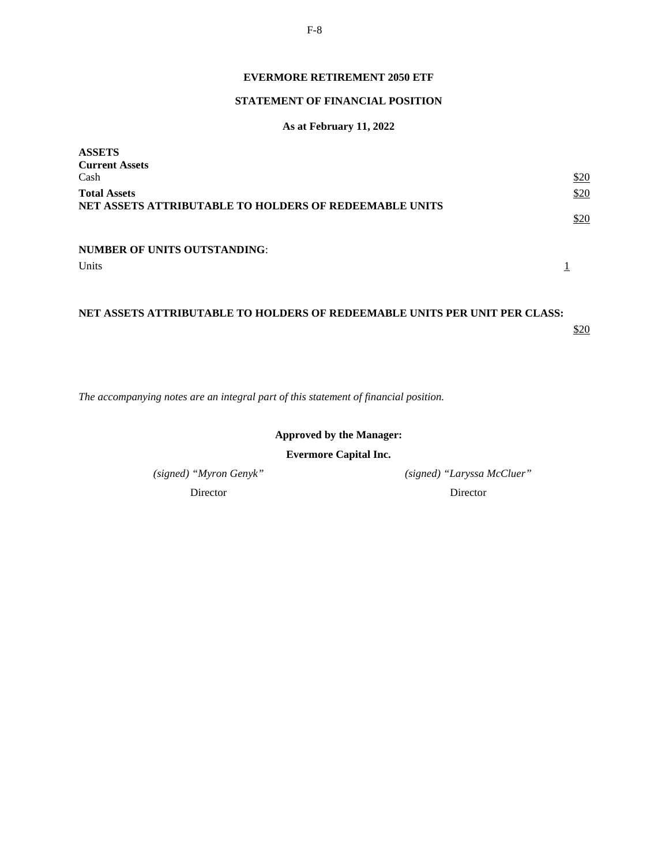# **EVERMORE RETIREMENT 2050 ETF**

# **STATEMENT OF FINANCIAL POSITION**

# **As at February 11, 2022**

| <b>ASSETS</b><br><b>Current Assets</b><br>Cash                | \$20 |
|---------------------------------------------------------------|------|
| <b>Total Assets</b>                                           | \$20 |
| <b>NET ASSETS ATTRIBUTABLE TO HOLDERS OF REDEEMABLE UNITS</b> | \$20 |
| <b>NUMBER OF UNITS OUTSTANDING:</b>                           |      |
| Units                                                         |      |

# **NET ASSETS ATTRIBUTABLE TO HOLDERS OF REDEEMABLE UNITS PER UNIT PER CLASS:**

\$20

*The accompanying notes are an integral part of this statement of financial position.* 

# **Approved by the Manager:**

# **Evermore Capital Inc.**

Director Director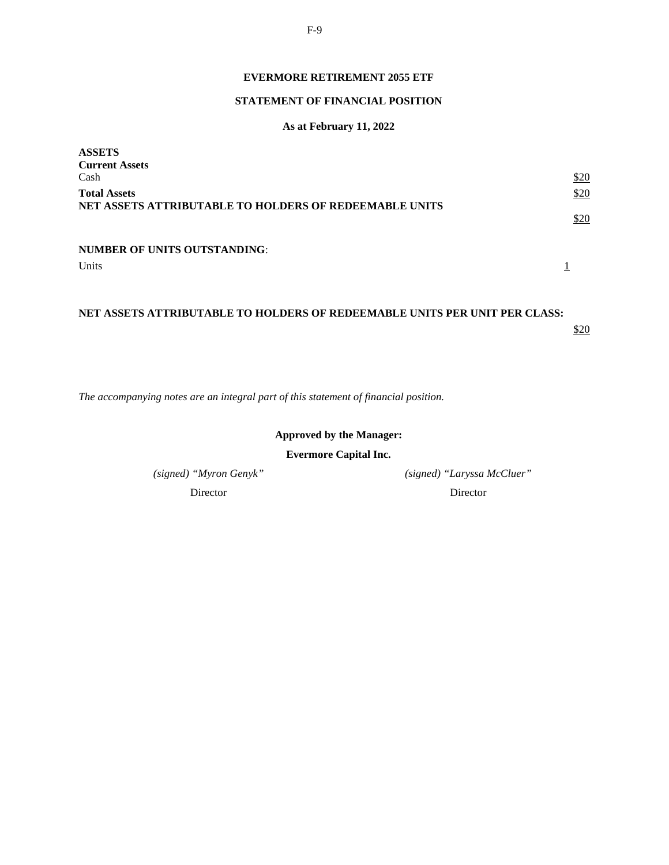# **EVERMORE RETIREMENT 2055 ETF**

# **STATEMENT OF FINANCIAL POSITION**

# **As at February 11, 2022**

| <b>ASSETS</b><br><b>Current Assets</b><br>Cash                | \$20 |
|---------------------------------------------------------------|------|
| <b>Total Assets</b>                                           | \$20 |
| <b>NET ASSETS ATTRIBUTABLE TO HOLDERS OF REDEEMABLE UNITS</b> | \$20 |
| <b>NUMBER OF UNITS OUTSTANDING:</b>                           |      |
| Units                                                         |      |

# **NET ASSETS ATTRIBUTABLE TO HOLDERS OF REDEEMABLE UNITS PER UNIT PER CLASS:**

\$20

*The accompanying notes are an integral part of this statement of financial position.* 

# **Approved by the Manager:**

# **Evermore Capital Inc.**

Director Director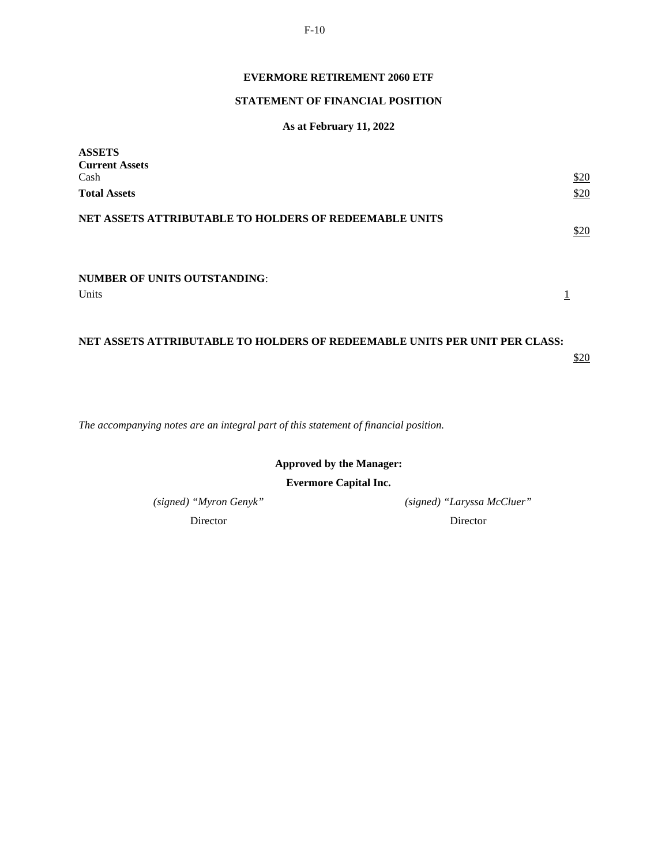# **EVERMORE RETIREMENT 2060 ETF**

# **STATEMENT OF FINANCIAL POSITION**

# **As at February 11, 2022**

| <b>ASSETS</b>                                          |      |
|--------------------------------------------------------|------|
| <b>Current Assets</b>                                  |      |
| Cash                                                   | \$20 |
| <b>Total Assets</b>                                    | \$20 |
| NET ASSETS ATTRIBUTABLE TO HOLDERS OF REDEEMABLE UNITS |      |
|                                                        | \$20 |
|                                                        |      |

# **NUMBER OF UNITS OUTSTANDING**:

Units  $\frac{1}{1}$ 

# **NET ASSETS ATTRIBUTABLE TO HOLDERS OF REDEEMABLE UNITS PER UNIT PER CLASS:**

\$20

*The accompanying notes are an integral part of this statement of financial position.* 

**Approved by the Manager:** 

**Evermore Capital Inc.** 

*(signed) "Myron Genyk" (signed) "Laryssa McCluer"* 

Director Director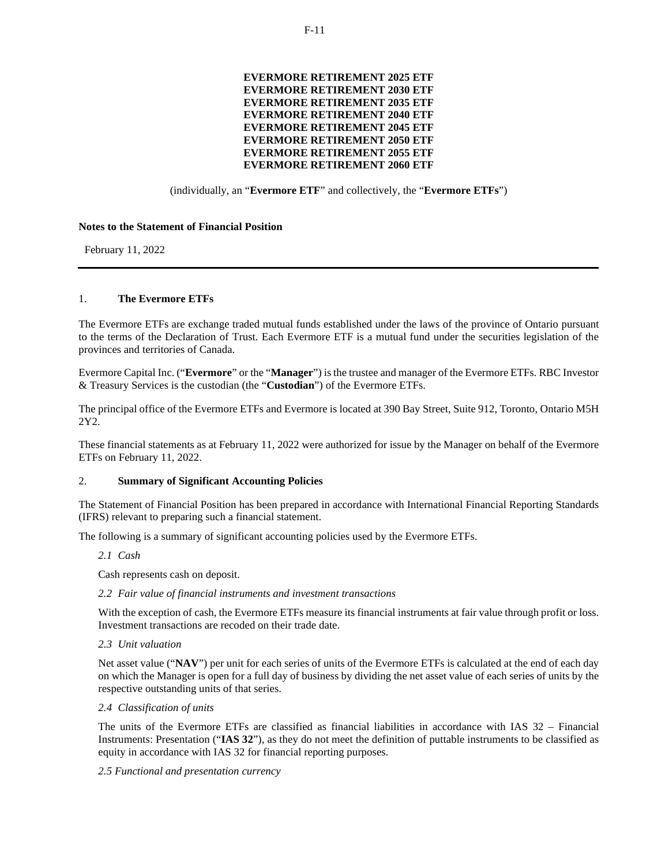

(individually, an "**Evermore ETF**" and collectively, the "**Evermore ETFs**")

#### **Notes to the Statement of Financial Position**

February 11, 2022

# 1. **The Evermore ETFs**

The Evermore ETFs are exchange traded mutual funds established under the laws of the province of Ontario pursuant to the terms of the Declaration of Trust. Each Evermore ETF is a mutual fund under the securities legislation of the provinces and territories of Canada.

Evermore Capital Inc. ("**Evermore**" or the "**Manager**") is the trustee and manager of the Evermore ETFs. RBC Investor & Treasury Services is the custodian (the "**Custodian**") of the Evermore ETFs.

The principal office of the Evermore ETFs and Evermore is located at 390 Bay Street, Suite 912, Toronto, Ontario M5H 2Y2.

These financial statements as at February 11, 2022 were authorized for issue by the Manager on behalf of the Evermore ETFs on February 11, 2022.

# 2. **Summary of Significant Accounting Policies**

The Statement of Financial Position has been prepared in accordance with International Financial Reporting Standards (IFRS) relevant to preparing such a financial statement.

The following is a summary of significant accounting policies used by the Evermore ETFs.

*2.1 Cash* 

Cash represents cash on deposit.

*2.2 Fair value of financial instruments and investment transactions* 

With the exception of cash, the Evermore ETFs measure its financial instruments at fair value through profit or loss. Investment transactions are recoded on their trade date.

#### *2.3 Unit valuation*

Net asset value ("**NAV**") per unit for each series of units of the Evermore ETFs is calculated at the end of each day on which the Manager is open for a full day of business by dividing the net asset value of each series of units by the respective outstanding units of that series.

# *2.4 Classification of units*

The units of the Evermore ETFs are classified as financial liabilities in accordance with IAS 32 – Financial Instruments: Presentation ("**IAS 32**"), as they do not meet the definition of puttable instruments to be classified as equity in accordance with IAS 32 for financial reporting purposes.

# *2.5 Functional and presentation currency*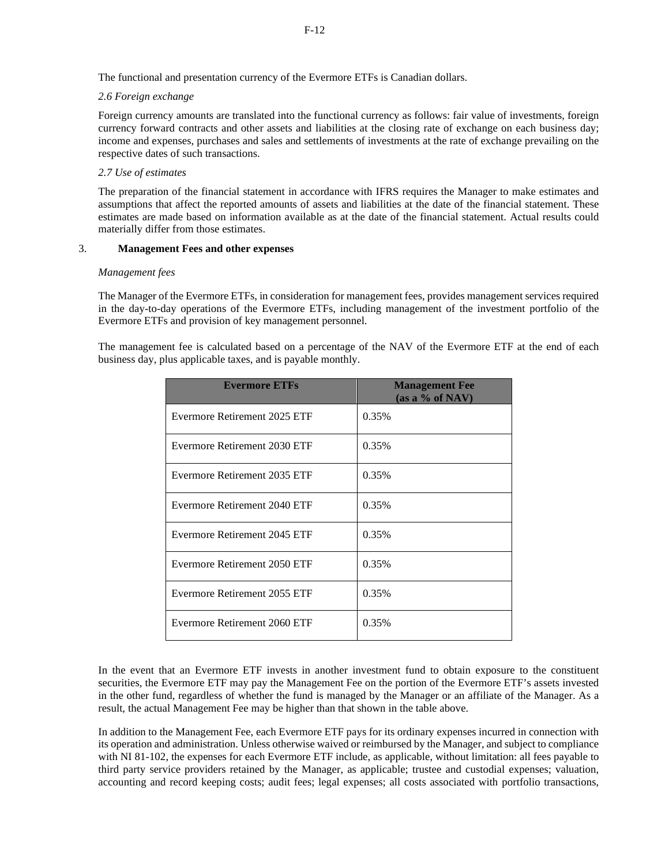The functional and presentation currency of the Evermore ETFs is Canadian dollars.

## *2.6 Foreign exchange*

Foreign currency amounts are translated into the functional currency as follows: fair value of investments, foreign currency forward contracts and other assets and liabilities at the closing rate of exchange on each business day; income and expenses, purchases and sales and settlements of investments at the rate of exchange prevailing on the respective dates of such transactions.

## *2.7 Use of estimates*

The preparation of the financial statement in accordance with IFRS requires the Manager to make estimates and assumptions that affect the reported amounts of assets and liabilities at the date of the financial statement. These estimates are made based on information available as at the date of the financial statement. Actual results could materially differ from those estimates.

# 3. **Management Fees and other expenses**

## *Management fees*

The Manager of the Evermore ETFs, in consideration for management fees, provides management services required in the day-to-day operations of the Evermore ETFs, including management of the investment portfolio of the Evermore ETFs and provision of key management personnel.

The management fee is calculated based on a percentage of the NAV of the Evermore ETF at the end of each business day, plus applicable taxes, and is payable monthly.

| <b>Evermore ETFs</b>         | <b>Management Fee</b><br>(as a % of NAV) |
|------------------------------|------------------------------------------|
| Evermore Retirement 2025 ETF | 0.35%                                    |
| Evermore Retirement 2030 ETF | 0.35%                                    |
| Evermore Retirement 2035 ETF | 0.35%                                    |
| Evermore Retirement 2040 ETF | 0.35%                                    |
| Evermore Retirement 2045 ETF | 0.35%                                    |
| Evermore Retirement 2050 ETF | 0.35%                                    |
| Evermore Retirement 2055 ETF | 0.35%                                    |
| Evermore Retirement 2060 ETF | 0.35%                                    |

In the event that an Evermore ETF invests in another investment fund to obtain exposure to the constituent securities, the Evermore ETF may pay the Management Fee on the portion of the Evermore ETF's assets invested in the other fund, regardless of whether the fund is managed by the Manager or an affiliate of the Manager. As a result, the actual Management Fee may be higher than that shown in the table above.

In addition to the Management Fee, each Evermore ETF pays for its ordinary expenses incurred in connection with its operation and administration. Unless otherwise waived or reimbursed by the Manager, and subject to compliance with NI 81-102, the expenses for each Evermore ETF include, as applicable, without limitation: all fees payable to third party service providers retained by the Manager, as applicable; trustee and custodial expenses; valuation, accounting and record keeping costs; audit fees; legal expenses; all costs associated with portfolio transactions,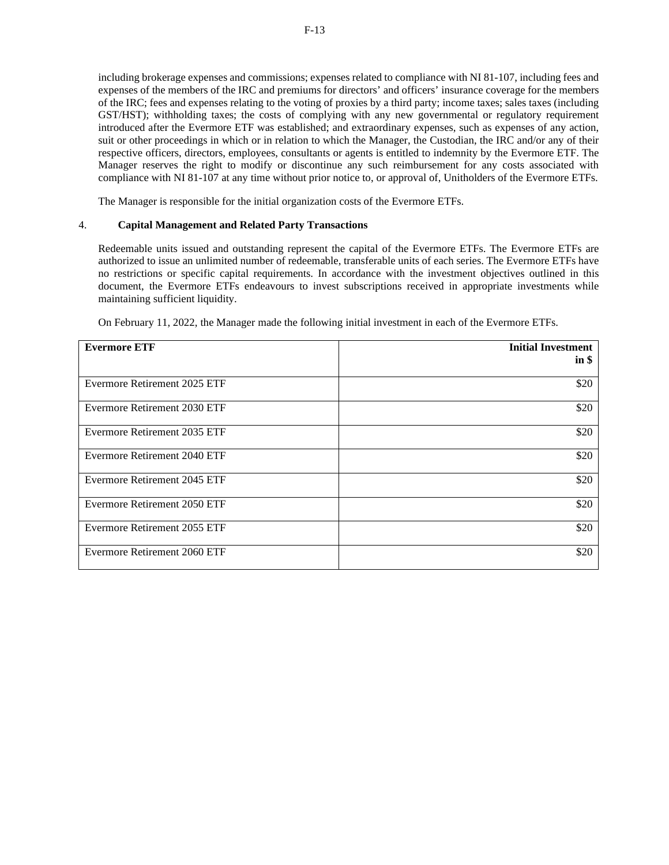including brokerage expenses and commissions; expenses related to compliance with NI 81-107, including fees and expenses of the members of the IRC and premiums for directors' and officers' insurance coverage for the members of the IRC; fees and expenses relating to the voting of proxies by a third party; income taxes; sales taxes (including GST/HST); withholding taxes; the costs of complying with any new governmental or regulatory requirement introduced after the Evermore ETF was established; and extraordinary expenses, such as expenses of any action, suit or other proceedings in which or in relation to which the Manager, the Custodian, the IRC and/or any of their respective officers, directors, employees, consultants or agents is entitled to indemnity by the Evermore ETF. The Manager reserves the right to modify or discontinue any such reimbursement for any costs associated with compliance with NI 81-107 at any time without prior notice to, or approval of, Unitholders of the Evermore ETFs.

The Manager is responsible for the initial organization costs of the Evermore ETFs.

# 4. **Capital Management and Related Party Transactions**

Redeemable units issued and outstanding represent the capital of the Evermore ETFs. The Evermore ETFs are authorized to issue an unlimited number of redeemable, transferable units of each series. The Evermore ETFs have no restrictions or specific capital requirements. In accordance with the investment objectives outlined in this document, the Evermore ETFs endeavours to invest subscriptions received in appropriate investments while maintaining sufficient liquidity.

On February 11, 2022, the Manager made the following initial investment in each of the Evermore ETFs.

| <b>Evermore ETF</b>                 | <b>Initial Investment</b><br>in \$ |
|-------------------------------------|------------------------------------|
| Evermore Retirement 2025 ETF        | \$20                               |
| Evermore Retirement 2030 ETF        | \$20                               |
| Evermore Retirement 2035 ETF        | \$20                               |
| Evermore Retirement 2040 ETF        | \$20                               |
| <b>Evermore Retirement 2045 ETF</b> | \$20                               |
| Evermore Retirement 2050 ETF        | \$20                               |
| <b>Evermore Retirement 2055 ETF</b> | \$20                               |
| Evermore Retirement 2060 ETF        | \$20                               |